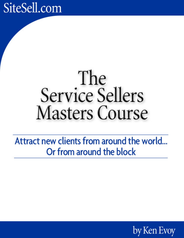## SiteSell.com

# The **Service Sellers Masters Course**

Attract new clients from around the world... Or from around the block

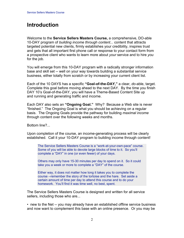## **Introduction**

Welcome to the **Service Sellers Masters Course,** a comprehensive, DO-able 10-DAY program of *building income through content...* content that attracts targeted potential new clients, firmly establishes your credibility, inspires trust and gets that all important first phone call or response to your contact form from a prospective client who wants to learn more about *your* service and to hire *you* for the job.

You will emerge from this 10-DAY program with a radically stronger information base and skill set -- well on your way towards building a substantial service business, either totally from scratch or by increasing your current client list.

Each of the 10 DAYS has a specific **"Goal-of-the-DAY,"** a clear, *do*-able, target. Complete this goal before moving ahead to the next DAY. By the time you finish DAY 10's Goal-of-the-DAY, you will have a Theme-Based Content Site up and running and generating traffic and income.

Each DAY also sets an **"Ongoing Goal."** Why? Because a Web site is never "finished." The Ongoing Goal is what you should be achieving on a regular basis. The Ongoing Goals provide the pathway for building *maximal income* through content over the following weeks and months.

Bottom line?...

Upon completion of the course, an income-generating process will be clearly established. Call it your 10-DAY program to building income through content!

The Service Sellers Masters Course is a "work-at-your-own-pace" course. Some of you will be able to devote large blocks of time to it. So you'll complete a "DAY" in one (or even fewer) of your days.

Others may only have 15-30 minutes per day to spend on it. So it could take you a week or more to complete a "DAY" of the course.

Either way, it does not matter how long it takes you to complete the course --remember the story of the tortoise and the hare. Set aside a certain amount of time per day to attend this course and to do your homework. You'll find it was time well, no best, spent.

The Service Sellers Masters Course is designed and written for all service sellers, including those who are...

• new to the Net -- you may already have an established offline service business and now want to complement this base with an online presence. Or you may be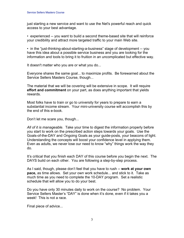just starting a new service and want to use the Net's powerful reach and quick access to your best advantage.

• experienced -- you want to build a second theme-based site that will reinforce your credibility and attract more targeted traffic to your main Web site.

• in the "just-thinking-about-starting-a-business" stage of development -- you have this idea about a possible service business and you are looking for the information and tools to bring it to fruition in an uncomplicated but effective way.

It doesn't matter who you are or what you do...

Everyone shares the same goal... to maximize profits. Be forewarned about the Service Sellers Masters Course, though...

The material that we will be covering will be extensive in scope. It will require **effort and commitment** on your part, as does anything important that yields rewards.

Most folks have to train or go to university for years to prepare to earn a substantial income stream. Your mini-university course will accomplish this by the end of this e-book.

Don't let me scare you, though...

*All of it is manageable.* Take your time to digest the information properly before you start to work on the prescribed action steps towards your goals. Use the Goals-of-the-DAY and Ongoing Goals as your guide-posts, your beacons of light. Understanding the concepts will boost your confidence level in applying them. Even as adults, we never lose our need to know "why" things work the way they do.

It's critical that you finish each DAY of this course before you begin the next. The DAYS build on each other. You are following a step-by-step process.

As I said, though, please don't feel that you have to rush -- **work at your own pace,** as time allows. Set your own work schedule... and stick to it. Take as much time as you need to complete the 10-DAY program. Set a realistic schedule that will allow you to do your best.

Do you have only 30 minutes daily to work on the course? No problem. Your Service Sellers Master's "DAY" is done when it's done, even if it takes you a week! This is not a race.

Final piece of advice...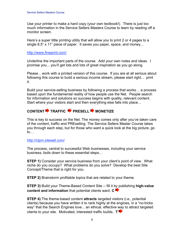Use your printer to make a hard copy (your own textbook!). There is just too much information in the Service Sellers Masters Course to learn by reading off a monitor screen.

Here's a super little printing utility that will allow you to print 2 or 4 pages to a single 8.5" x 11" piece of paper. It saves you paper, space, and money...

#### <http://www.fineprint.com/>

Underline the important parts of the course. Add your own notes and ideas. I promise you... you'll get lots and lots of great inspiration as you go along.

Please... work with a printed version of this course. If you are at all serious about following this course to build a serious income stream, please start right... print it.

Build your service-selling business by following a process that works… a process based upon the fundamental reality of how people use the Net. People search for information and solutions so success begins with quality, relevant content. Start where your visitors start and then everything else falls into place…

#### **CONTENT TRAFFIC****PRESELL MONETIZE**

This is key to success on the Net. The money comes only after you've taken care of the content, traffic and PREselling. The Service Sellers Master Course takes you through each step, but for those who want a quick look at the big picture, go to…

#### [http://ctpm.sitesell.com/](http://ctpm.sitesell.com/gitbwebaffiliate.html                        )

The process, central to successful Web businesses, including your service business, boils down to these essential steps…

**STEP 1)** Consider your service business from your client's point of view. What niche do you occupy? What problems do you solve? Develop the best Site Concept/Theme that is right for you.

**STEP 2)** Brainstorm profitable topics that are related to your theme.

**STEP 3)** Build your Theme-Based Content Site -- fill it by publishing **high-value content and information** that potential clients want. **C** 

**STEP 4)** The theme-based content **attracts** targeted visitors (i.e., potential clients) because you have written it to rank highly at the engines, in a "no-tricks way" that the Search Engines love... an ethical, effective way to attract targeted clients to your site. Motivated, interested traffic builds. **T**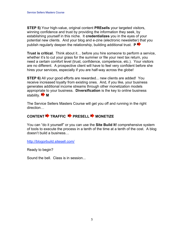**STEP 5)** Your high-value, original content **PREsells** your targeted visitors, winning confidence and trust by providing the information they seek, by establishing yourself in this niche. It **credentializes** you in the eyes of your potential new clients. And your blog and e-zine (electronic newsletter) that you publish regularly deepen the relationship, building additional trust. **P** 

**Trust is critical.** Think about it… before you hire someone to perform a service, whether it's to cut your grass for the summer or file your next tax return, you need a certain comfort level (trust, confidence, competence, etc.). Your visitors are no different. A prospective client will have to feel very confident before she hires your services, especially if you are half-way across the globe!

**STEP 6)** All your good efforts are rewarded... new clients are added! You receive increased loyalty from existing ones. And, if you like, your business generates additional income streams through other monetization models appropriate to your business. **Diversification** is the key to online business stability. **M**

The Service Sellers Masters Course will get you off and running in the right direction…

#### **CONTENT TRAFFIC****PRESELL MONETIZE**

You can "do it yourself" or you can use the **Site Build It!** comprehensive system of tools to execute the process in a tenth of the time at a tenth of the cost. A blog doesn't build a business…

[http://blogorbuild.sitesell.com/](http://blogorbuild.sitesell.com/gitbwebaffiliate.html                 )

Ready to begin?

Sound the bell. Class is in session...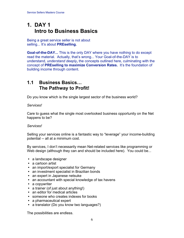## **1. DAY 1 Intro to Business Basics**

Being a great service seller is not about selling... It's about **PREselling.**

**Goal-of-the-DAY...** This is the only DAY where you have nothing to do except read the material. Actually, that's wrong... Your Goal-of-the-DAY is to understand, *understand deeply***,** the concepts outlined here, culminating with the concept of **PREselling to maximize Conversion Rates.** It's the foundation of building income through content.

## **1.1 Business Basics… The Pathway to Profit!**

Do you know which is the single largest sector of the business world?

#### *Services!*

Care to guess what the single most overlooked business opportunity on the Net happens to be?

#### *Services!*

Selling your services online is a fantastic way to "leverage" your income-building potential -- all at a minimum cost.

By services, I don't necessarily mean Net-related services like programming or Web design (although they can and should be included here). You could be...

- **•** a landscape designer
- **•** a cartoon artist
- **•** an import/export specialist for Germany
- **•** an investment specialist in Brazilian bonds
- **•** an expert in Japanese netsuke
- **•** an accountant with special knowledge of tax havens
- **•** a copywriter
- **•** a trainer (of just about anything!)
- **•** an editor for medical articles
- **•** someone who creates indexes for books
- **•** a pharmaceutical expert
- **•** a translator (Do you know two languages?)

The possibilities are endless.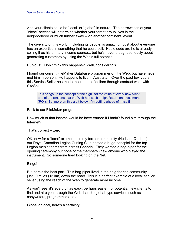And your clients could be "local" or "global" in nature. The narrowness of your "niche" service will determine whether your target group lives in the neighborhood or much further away -- on another continent, even!

The diversity of this world, including its people, is amazing. Just about everyone has an expertise in something that he could sell. Heck, odds are he is already selling it as his primary income source... but he's never thought seriously about generating customers by using the Web's full potential.

Dubious? Don't think this happens? Well, consider this...

I found our current FileMaker Database programmer on the Web, but have never met him in person. He happens to live in Australia. Over the past few years, this Service Seller has made thousands of dollars through contract work with SiteSell.

This brings up the concept of the high lifetime value of every new client... one of the reasons that the Web has such a high Return on Investment (ROI). But more on this a bit below, I'm getting ahead of myself!

Back to our FileMaker programmer...

How much of that income would he have earned if I hadn't found him through the Internet?

That's correct -- zero.

OK, now for a "local" example... in my former community (Hudson, Quebec), our Royal Canadian Legion Curling Club hosted a huge bonspiel for the top Legion men's teams from across Canada. They wanted a bag-piper for the opening ceremony but none of the members knew anyone who played the instrument. So someone tried looking on the Net.

Bingo!

But here's the best part. This bag-piper lived in the neighboring community - just 10 miles (15 km) down the road! This is a perfect example of a local service seller using the reach of the Web to generate more income.

As you'll see, it's every bit as easy, perhaps easier, for potential new clients to find and hire you through the Web than for global-type services such as copywriters, programmers, etc.

Global or local, here's a certainty...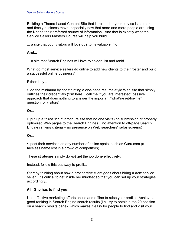Building a Theme-based Content Site that is related to your service is a smart and timely business move, especially now that more and more people are using the Net as their preferred source of information. And that is exactly what the Service Sellers Masters Course will help you build...

... a site that your visitors will love due to its valuable info

#### **And...**

... a site that Search Engines will love to spider, list and rank!

What do most service sellers do online to add new clients to their roster and build a successful online business?

#### Either they...

**•** do the minimum by constructing a one-page resume-style Web site that simply outlines their credentials ("I'm here... call me if you are interested" passive approach that does nothing to answer the important "what's-in-it-for-me" question for visitors)

#### **Or...**

**•** put up a "circa 1997" brochure site that no one visits (no submission of properly optimized Web pages to the Search Engines + no attention to off-page Search Engine ranking criteria = no presence on Web searchers' radar screens)

#### **Or...**

**•** post their services on any number of online spots, such as Guru.com (a faceless name lost in a crowd of competitors).

These strategies simply do *not* get the job done effectively.

Instead, follow this pathway to profit...

Start by thinking about how a prospective client goes about hiring a *new* service seller. It's critical to get inside her mindset so that you can set up your strategies accordingly...

#### **#1 She has to find you**.

Use effective marketing efforts online and offline to raise your profile. Achieve a good ranking in Search Engine search results (i.e., try to obtain a top 20 position on a search results page), which makes it easy for people to find and visit your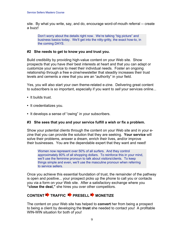site. By what you write, say, and do, encourage word-of-mouth referral -- create a buzz!

Don't worry about the details right now. We're talking "big picture" and business basics today. We'll get into the nitty-gritty, the exact how-to, in the coming DAYS.

#### **#2 She needs to get to know you and trust you.**

Build credibility by providing high-value content on your Web site. Show prospects that you have *their* best interests at heart and that you can adapt or customize your service to meet their individual needs. Foster an ongoing relationship through a free e-zine/newsletter that steadily increases their trust levels and cements a view that you are an "authority" in your field.

Yes, you will also start your own theme-related e-zine. Delivering great content to subscribers is so important, especially if you want to *sell* your services online...

- It builds trust.
- It credentializes you.
- It develops a sense of "owing" in your subscribers.

#### **#3 She sees that you and your service fulfill a wish or fix a problem.**

Show your potential clients through the content on your Web site and in your ezine that you can provide the solution that they are seeking. **Your service** will solve their problems, answer a dream, enrich their lives, and/or improve their businesses. You are the dependable expert that they want and need!

Women now represent over 50% of all surfers. And they control approximately 80% of all shopping dollars. To reinforce this in your mind, we'll use the feminine pronoun to talk about visitors/clients. To keep things simple and even, we'll use the masculine pronoun when referring to service sellers.

Once you achieve this essential foundation of trust, the remainder of the pathway is open and positive... your prospect picks up the phone to call you or contacts you via a form on your Web site. After a satisfactory exchange where you **"close the deal,"** she hires you over other competitors.

#### **CONTENT TRAFFIC****PRESELL MONETIZE**

The content on your Web site has helped to **convert** her from being a prospect to being a client by developing the **trust** she needed to contact you! A profitable WIN-WIN situation for both of you!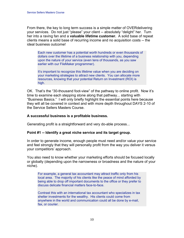From there, the key to long term success is a simple matter of OVERdelivering your services. Do not just "please" your client -- absolutely "delight" her. Turn her into a raving fan and a **valuable lifetime customer.** A solid base of repeat clients means a solid base of recurring income and no acquisition costs -- the ideal business outcome!

Each new customer has a potential worth hundreds or even thousands of dollars over the lifetime of a business relationship with you, depending upon the nature of your service (even tens of thousands, as you saw earlier with our FileMaker programmer).

It's important to recognize this lifetime value when you are deciding on your marketing strategies to attract new clients. You can allocate more resources, knowing that your potential Return on Investment (ROI) is high.

OK. That's the "30-thousand foot-view" of the pathway to online profit. Now it's time to examine each stepping stone along that pathway... starting with "Business Basics." I will only briefly highlight the essential points here because they will all be covered in context and with more depth throughout DAYS 2-10 of the Service Sellers Masters Course.

#### **A successful business is a profitable business.**

Generating profit is a straightforward and very do-able process...

#### **Point #1 -- Identify a great niche service and its target group.**

In order to generate income, enough people must need and/or value your service and feel strongly that they will personally profit from the way you deliver it versus your competitors' approach.

You also need to know whether your marketing efforts should be focused locally or globally (depending upon the narrowness or broadness and the nature of your niche).

For example, a general tax accountant may attract traffic only from his local area. The majority of his clients like the peace of mind afforded by being able to drop off important documents to the office or they prefer to discuss delicate financial matters face-to-face.

Contrast this with an international tax accountant who specializes in tax shelter investments for the wealthy. His clients could come from anywhere in the world and communication could all be done by e-mail, fax, or courier.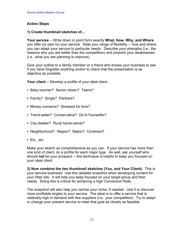#### **Action Steps**

#### **1) Create thumbnail sketches of...**

**Your service** -- Write down in point form exactly **What, How, Why, and Where** you offer (or plan to) your service. Note your range of flexibility -- how and where you can adapt your service to particular needs. Describe your strengths (i.e., the reasons why you are better than the competition) and pinpoint your weaknesses (i.e., what you are planning to improve).

Give your outline to a family member or a friend who knows your business to see if you have forgotten anything and/or to check that the presentation is as objective as possible.

**Your client** -- Develop a profile of your ideal client...

- **•** Baby boomer? Senior citizen? Teens?
- **•** Family? Single? Partners?
- **•** Money concerns? Stressed for time?
- **•** Trend-setter? Conservative? Do-It-Yourselfer?
- **•** City-dweller? Rural home-owner?
- **•** Neighborhood? Region? Nation? Continent?
- **•** Etc., etc.

Make your sketch as comprehensive as you can. If your service has more than one kind of client, do a profile for each major type. As well, ask yourself who should **not** be your prospect -- this technique is helpful to keep you focused on your ideal client.

**2) Now combine the two thumbnail sketches (You, and Your Client).** This is your service business! Use this detailed snapshot when developing content for your Web site. It will help you keep focused on your target group and their needs. Doing this is critical for achieving a high Conversion Rate.

The snapshot will also help you narrow your niche, if needed. Use it to discover more profitable angles to your service. The ideal is to offer a service that is relatively high in demand with few suppliers (i.e., your competition). Try to adapt or change your present service to meet that goal as closely as feasible.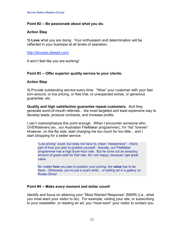#### **Point #2 -- Be passionate about what you do.**

#### **Action Step**

**1) Love** what you are doing. Your enthusiasm and determination will be reflected in your business at all levels of operation.

#### [http://ilovesbi.sitesell.com/](http://ilovesbi.sitesell.com/gitbwebaffiliate.html                    )

It won't feel like you are working!

#### **Point #3 -- Offer superior quality service to your clients.**

#### **Action Step**

**1)** Provide outstanding service every time. "Wow" your customer with your fast turn-around, or low pricing, or free trial, or unexpected extras, or generous guarantee, etc.

**Quality and high satisfaction guarantee repeat customers.** And they generate word-of-mouth referrals... the most targeted and least expensive way to develop leads, produce contracts, and increase profits.

I can't overemphasize this point enough. When I encounter someone who OVERdelivers (ex., our Australian FileMaker programmer), I'm "his" forever! However, on the flip side, start charging me too much for too little... and I start shopping for a better service.

"Low pricing" could, but does not have to, mean "inexpensive" – that's part of how you plan to position yourself. Actually, our FileMaker programmer has a high \$-per-hour rate. But he turns out an amazing amount of great code for that rate. So I am happy, because I get great value.

No matter **how** you plan to position your pricing, the **value** has to be there. Otherwise, you're just a scam artist... or selling art in a gallery on Rodeo Drive!

#### **Point #4 -- Make every moment and dollar count!**

Identify and focus on attaining your "Most Wanted Response" (MWR) (i.e., what you most want your visitor to do). For example, visiting your site, or subscribing to your newsletter, or reading an ad, you "most want" your visitor to contact you.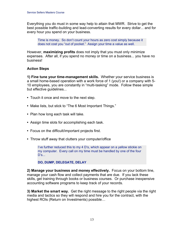Everything you do must in some way help to attain that MWR. Strive to get the best possible traffic-building and lead-converting results for every dollar... and for every hour you spend on your business.

Time is money. So don't count your hours as zero cost simply because it does not cost you "out of pocket." Assign your time a value as well.

However, **maximizing profits** does not imply that you must only minimize expenses. After all, if you spend no money or time on a business... you have no business!

#### **Action Steps**

**1) Fine tune your time-management skills.** Whether your service business is a small home-based operation with a work force of 1 (you!) or a company with 5- 10 employees, you are constantly in "multi-tasking" mode. Follow these simple but effective guidelines...

- **•** Touch it once and move to the next step.
- Make lists, but stick to "The 6 Most Important Things."
- **•** Plan how long each task will take.
- **•** Assign time slots for accomplishing each task.
- **•** Focus on the difficult/important projects first.
- **•** Throw stuff away that clutters your computer/office

I've further reduced this to my 4 D's, which appear on a yellow stickie on my computer. Every call on my time must be handled by one of the four D's...

#### **DO, DUMP, DELEGATE, DELAY**

**2) Manage your business and money effectively.** Focus on your bottom line, manage your cash flow and collect payments that are due. If you lack these skills, get training through books or business courses. Or purchase inexpensive accounting software programs to keep track of your records.

**3) Market the smart way.** Get the right message to the right people via the right media and tactics so they will respond and hire you for the contract, with the highest ROIs (Return on Investments) possible…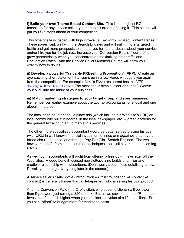**i) Build your own Theme-Based Content Site.** This is the highest ROI technique for any service seller, yet most don't dream of doing it. This course will put you five steps ahead of your competition.

This type of site is loaded with high info-value Keyword-Focused Content Pages. These pages rank well with the Search Engines and will pull in more targeted traffic and get more prospects to contact you for further details about your service and/or hire you for the job (i.e., increase your Conversion Rate). Your profits grow geometrically when you concentrate on maximizing both traffic and Conversion Rates. And the Service Sellers Masters Course will show you exactly how to do it all!

**ii) Develop a powerful "Valuable PREselling Proposition" (VPP).** Create an eye-catching short statement that sums up in a few words what sets you apart from the competition. For example, Mike's Pizza restaurant has this VPP... "Delivery in 30 minutes or it's free." The message is simple, clear and "hot." Weave your VPP into the fabric of your business.

**iii) Match marketing strategies to your target group and your business.** Remember our earlier example about the two tax accountants, one local and one global in nature?

The local bean counter should place ads (which include his Web site's URL) on local community bulletin boards, in the local newspaper, etc. -- great locations for the general tax accountant to market his services.

The other more specialized accountant would be better served placing his ads (with URL) in well-known financial investment e-zines or magazines that have a broad circulation base, and through Pay-Per-Click Search Engines. The two, however, benefit from some common techniques, too -- all covered in the coming DAYS.

As well, both accountants will profit from offering a free opt-in newsletter off their Web sites. A good benefit-focused newsletter/e-zine builds a familiar and credible relationship with subscribers. (Don't worry about these details right now. I'll walk you through everything later in the course.)

A service seller's "sale" cycle (introduction --> trust foundation --> contact --> contract) is generally longer than a Netrepreneur who is selling his own product.

And the Conversion Rate (the % of visitors who become clients) will be lower than if you were just selling a \$20 e-book. But as we saw earlier, the "Return on Investment" is much higher when you consider the value of a lifetime client. So you can "afford" to budget more for marketing costs.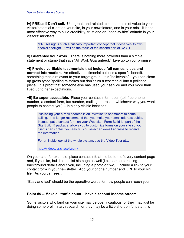**iv) PREsell! Don't sell.** Use great, and related, content that is of value to your visitor/potential client on your site, in your newsletters, and in your ads. It is the most effective way to build credibility, trust and an "open-to-hire" attitude in your visitors' mindsets.

"PREselling" is such a critically important concept that it deserves its own special spotlight. It will be the focus of the second part of DAY 1.

**v) Guarantee your work.** There is nothing more powerful than a simple statement or stamp that says "All Work Guaranteed." Live up to your promise.

**vi) Provide verifiable testimonials that include full names, cities and contact information.** An effective testimonial outlines a specific benefit, something that is relevant to your target group. It is "believable" – you can clean up gross typos/spelling mistakes but don't turn a testimonial into a polished piece. It is proof that someone else has used your service and you more than lived up to her expectations.

**vii) Be super accessible.** Place your contact information (toll-free phone number, a contact form, fax number, mailing address -- whichever way you want people to contact you) -- in highly visible locations.

Publishing your e-mail address is an invitation to spammers to come calling. I no longer recommend that you make your email address public. Instead, put a contact form on your Web site. Form Build It!, part of the Site Build It! package, allows you to customize forms on your site so your clients can contact you easily. You select an e-mail address to receive the information.

For an inside look at the whole system, see the Video Tour at…

[http://videotour.sitesell.com/](http://videotour.sitesell.com/gitbwebaffiliate.html                   )

On your site, for example, place contact info at the bottom of every content page and, if you like, build a special bio page as well (i.e., some interesting background details about you, including a photo or two). Include a link to your contact form in your newsletter. Add your phone number and URL to your sig file. As you can see...

"Easy and fast" should be the operative words for how people can reach you.

#### **Point #5 -- Make all traffic count... have a second income stream.**

Some visitors who land on your site may be overly cautious, or they may just be doing some preliminary research, or they may be a little short on funds at this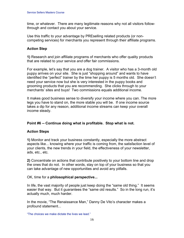time, or whatever. There are many legitimate reasons why not all visitors followthrough and contact you about your service.

Use this traffic to your advantage by PREselling related products (or noncompeting services) for merchants you represent through their affiliate programs.

#### **Action Step**

**1)** Research and join affiliate programs of merchants who offer quality products that are related to your service *and* offer fair commissions.

For example, let's say that you are a dog trainer. A visitor who has a 3-month old puppy arrives on your site. She is just "shopping around" and wants to have identified the "perfect" trainer by the time her puppy is 5 months old. She doesn't need your service now but she is very interested in the puppy books and grooming products that you are recommending. She clicks through to your merchants' sites and buys! Two commissions equals additional income.

It makes good business sense to diversify your income where you can. The more legs you have to stand on, the more stable you will be. If one income source takes a dip for any reason, additional income streams can keep your overall income steady.

#### **Point #6 -- Continue doing what is profitable. Stop what is not.**

#### **Action Steps**

**1)** Monitor and track your business constantly, especially the more abstract aspects like... knowing where your traffic is coming from, the satisfaction level of your clients, the new trends in your field, the effectiveness of your newsletter, ads, etc., etc.

**2)** Concentrate on actions that contribute positively to your bottom line and drop the ones that do not. In other words, stay on top of your business so that you can take advantage of new opportunities and avoid any pitfalls.

#### OK, time for a **philosophical perspective...**

In life, the vast majority of people just keep doing the "same old thing." It seems easier that way. But it guarantees the "same old results." So in the long run, it's actually much, much harder.

In the movie, "The Renaissance Man," Danny De Vito's character makes a profound statement...

<sup>&</sup>quot;The choices we make dictate the lives we lead."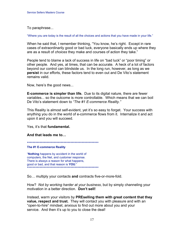#### To paraphrase...

"Where you are today is the result of all the choices and actions that you have made in your life."

When he said that, I remember thinking, "You know, he's right. Except in rare cases of extraordinarily good or bad luck, everyone basically ends up where they are as a result of *choices* they make and courses of action they take."

People tend to blame a lack of success in life on "bad luck" or "poor timing" or other people. And yes, at times, that can be accurate. A heck of a lot of factors beyond our control can blindside us. In the long run, however, as long as we **persist** in our efforts, these factors tend to even out and De Vito's statement remains valid.

Now, here's the good news...

**E-commerce is simpler than life.** Due to its digital nature, there are fewer variables... so the outcome is more controllable. Which means that we can boil De Vito's statement down to *"The #1 E-commerce Reality."*

This Reality is almost self-evident, yet it's so easy to forget. Your success with anything you do in the world of e-commerce flows from it. Internalize it and act upon it and you will succeed.

Yes, it's that **fundamental.**

**And that leads me to…**

\*\*\*\*\*\*\*\*\*\*\*\*\*\*\*\*\*\*\*\*\*\*\*\*\*\*\*\*\*\*\*\*\*\*\*\*\*\*\*\*\*\*\*\*\*\*\*\*\*\*\*

**The #1 E-commerce Reality**

"**Nothing** happens by accident in the world of computers, the Net, and customer response. There is always a reason for what happens, good or bad, and that reason is **YOU**." \*\*\*\*\*\*\*\*\*\*\*\*\*\*\*\*\*\*\*\*\*\*\*\*\*\*\*\*\*\*\*\*\*\*\*\*\*\*\*\*\*\*\*\*\*\*\*\*\*\*\*

So… multiply your contacts **and** contracts five-or-more-fold.

How? *Not by working harder at your business*, but by simply channeling your motivation in a better direction. **Don't sell!**

Instead, warm your visitors by **PREselling them with great content that they value, respect and trust.** They will contact you with pleasure and with an "open-to-hire" mindset, anxious to find out more about you and your service. And then it's up to you to close the deal!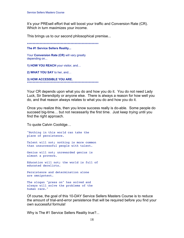It's your PREsell effort that will boost your traffic and Conversion Rate (CR). Which in turn maximizes your income.

This brings us to our second philosophical premise...

\*\*\*\*\*\*\*\*\*\*\*\*\*\*\*\*\*\*\*\*\*\*\*\*\*\*\*\*\*\*\*\*\*\*\*\*\*\*\*\*\*\*\*\*\*\*\*\*\*\*\* **The #1 Service Sellers Reality...** Your **Conversion Rate (CR)** will vary greatly depending on... **1) HOW YOU REACH** your visitor, and… **2) WHAT YOU SAY** to her, and…

**3) HOW ACCESSIBLE YOU ARE.** \*\*\*\*\*\*\*\*\*\*\*\*\*\*\*\*\*\*\*\*\*\*\*\*\*\*\*\*\*\*\*\*\*\*\*\*\*\*\*\*\*\*\*\*\*\*\*\*\*\*\*

Your CR depends upon what you do and how you do it. You do not need Lady Luck, Sir Serendipity or anyone else. There is always a reason for how well you do, and that reason always relates to what you do and how you do it.

Once you realize this, then you know success really is do-able. Some people do succeed big-time… but not necessarily the first time. Just keep trying until you find the right approach.

To quote Calvin Coolidge…

"Nothing in this world can take the place of persistence. Talent will not; nothing is more common than unsuccessful people with talent. Genius will not; unrewarded genius is almost a proverb. Education will not; the world is full of educated derelicts. Persistence and determination alone are omnipotent. The slogan "press on" has solved and always will solve the problems of the human race."

Of course, the goal of this 10-DAY Service Sellers Masters Course is to reduce the amount of trial-and-error persistence that will be required before you find your own successful formula!

Why is The #1 Service Sellers Reality true?...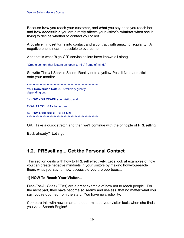Because **how** you reach your customer, and **what** you say once you reach her, and **how accessible** you are directly affects your visitor's **mindset** when she is trying to decide whether to contact you or not.

A positive mindset turns into contact and a contract with amazing regularity. A negative one is near-impossible to overcome.

And that is what "high-CR" service sellers have known all along.

"Create content that fosters an 'open-to-hire' frame of mind."

So write The #1 Service Sellers Reality onto a yellow Post-It Note and stick it onto your monitor...

\*\*\*\*\*\*\*\*\*\*\*\*\*\*\*\*\*\*\*\*\*\*\*\*\*\*\*\*\*\*\*\*\*\*\*\*\*\*\*\*\*\*\*\*\*\*\*\*\*\*\* Your **Conversion Rate (CR)** will vary greatly depending on...

**1) HOW YOU REACH** your visitor, and…

**2) WHAT YOU SAY** to her, and…

**3) HOW ACCESSIBLE YOU ARE.** \*\*\*\*\*\*\*\*\*\*\*\*\*\*\*\*\*\*\*\*\*\*\*\*\*\*\*\*\*\*\*\*\*\*\*\*\*\*\*\*\*\*\*\*\*\*\*\*\*\*\*

OK. Take a quick stretch and then we'll continue with the principle of PREselling.

Back already? Let's go...

### **1.2. PREselling... Get the Personal Contact**

This section deals with how to PREsell effectively. Let's look at examples of how you can create negative mindsets in your visitors by making how-you-reachthem, what-you-say, or how-accessible-you-are boo-boos...

#### **1) HOW To Reach Your Visitor...**

Free-For-All Sites (FFAs) are a great example of how not to reach people. For the most part, they have become so seamy and useless, that no matter what you say, you're doomed from the start. You have no credibility.

Compare this with how smart and open-minded your visitor feels when she finds you via a Search Engine!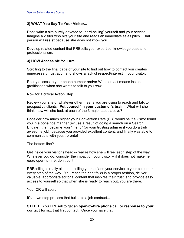#### **2) WHAT You Say To Your Visitor...**

Don't write a site purely devoted to "hard-selling" yourself and your service. Imagine a visitor who hits your site and reads an immediate sales pitch. That person will **resist** because she does not know you.

Develop related content that PREsells your expertise, knowledge base and professionalism.

#### **3) HOW Accessible You Are...**

Scrolling to the final page of your site to find out how to contact you creates unnecessary frustration and shows a lack of respect/interest in your visitor.

Ready access to your phone number and/or Web contact means instant gratification when she wants to talk to you *now.*

Now for a critical Action Step...

Review your site or whatever other means you are using to reach and talk to prospective clients. **Put yourself in your customer's brain.** What will she think, how will she feel, at each of the 3 major steps above?

Consider how much higher your Conversion Rate (CR) would be if a visitor found you in a bona fide manner (ex., as a result of doing a search on a Search Engine), then became your "friend" (or your trusting admirer if you do a truly awesome job!) because you provided excellent content, and finally was able to communicate with you... pronto!

The bottom line?

Get inside your visitor's head -- realize how she will feel each step of the way. Whatever you do, consider the impact on your visitor -- if it does not make her *more* open-to-hire, don't do it.

PREselling is really all about selling yourself and your service to your customer, every step of the way. You reach the right folks in a proper fashion, deliver valuable, appropriate editorial content that inspires their trust, and provide easy access to yourself so that when she is ready to reach out, you are there.

Your CR will soar.

It's a two-step process that builds to a job contract...

**STEP 1** You PREsell to get an **open-to-hire phone call or response to your contact form...** that first contact. Once you have that...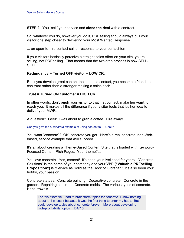**STEP 2** You "sell" your service and **close the deal** with a contract.

So, whatever you do, however you do it, PREselling should always pull your visitor one step closer to delivering your Most Wanted Response...

... an open-to-hire contact call or response to your contact form.

If your visitors basically perceive a straight sales effort on your site, you're selling, not PREselling. That means that the two-step process is now SELL-SELL...

#### **Redundancy = Turned OFF visitor = LOW CR.**

But if you develop great content that leads to contact, you become a friend she can trust rather than a stranger making a sales pitch…

#### **Trust = Turned ON customer = HIGH CR.**

In other words, don't **push** your visitor to that first contact, make her **want** to reach you. It makes all the difference if your visitor feels that it's her idea to deliver your MWR.

A question? Geez, I was about to grab a coffee. Fire away!

Can you give me a *concrete* example of using content to PREsell?

You want "concrete"? OK, concrete you get. Here's a real concrete, non-Webbased, service example that **will** succeed...

It's all about creating a Theme-Based Content Site that is loaded with Keyword-Focused Content-Rich Pages. Your theme?...

You love concrete. Yes, cement! It's been your livelihood for years. "Concrete Solutions" is the name of your company and your **VPP ("Valuable PREselling Proposition")** is "Service as Solid as the Rock of Gibraltar!" It's also been your hobby, your passion...

Concrete statues. Concrete painting. Decorative concrete. Concrete in the garden. Repairing concrete. Concrete molds. The various types of concrete. Hand trowels.

For this example, I had to brainstorm topics for concrete. I know nothing about it. I chose it because it was the first thing to enter my head. But I could develop topics about concrete forever. More about developing high-profitability topics in DAY 3.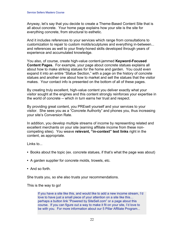Anyway, let's say that you decide to create a Theme-Based Content Site that is all about concrete. Your home page explains how your site is the site for everything concrete, from structural to esthetic.

And it includes references to your services which range from consultations to customization to repair to custom molds/sculptures and everything in-between... and references as well to your finely-honed skills developed through years of experience and accumulated knowledge.

You also, of course, create high-value content-jammed **Keyword-Focused Content Pages.** For example, your page about concrete statues explains all about how to make striking statues for the home and garden. You could even expand it into an entire "Statue Section," with a page on the history of concrete statues and another one about how to market and sell the statues that the visitor makes. Your contact info is presented on the bottom of all of these pages.

By creating truly excellent, high-value content you deliver exactly what your visitor sought at the engines and this content strongly reinforces your expertise in the world of concrete -- which in turn earns her trust and respect.

By providing great content, you PREsell yourself and your services to your visitor. She sees you as a "Concrete Authority" and phones you, thus increasing your site's Conversion Rate.

In addition, you develop multiple streams of income by representing related and excellent merchants on your site (earning affiliate income from these noncompeting sites). You weave **relevant, "in-context" text links** right in the content, as appropriate.

Links to...

- **•** Books about the topic (ex. concrete statues, if that's what the page was about)
- **•** A garden supplier for concrete molds, trowels, etc.
- **•** And so forth.

She trusts you, so she also trusts your recommendations.

This is the way to go!

If you have a site like this, and would like to add a new income stream, I'd love to have just a small piece of your attention on a site like this… perhaps a button link "Powered by SiteSell.com" or a page about this course. If you can figure out a way to make it fit on your site, I'd love to be with you. For more information about our 5 Pillar Affiliate Program...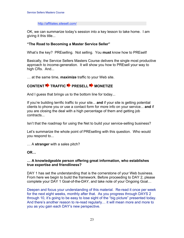[http://affiliates.sitesell.com/](http://affiliates.sitesell.com/gitbwebaffiliate.html                  )

OK, we can summarize today's session into a key lesson to take home. I am giving it this title...

#### **"The Road to Becoming a Master Service Seller"**

What's the key? PREselling. Not selling. You **must** know how to PREsell!

Basically, the Service Sellers Masters Course delivers the single most productive approach to income-generation. It will show you how to PREsell your way to high CRs. And...

… at the same time, **maximize** traffic to your Web site.

#### **CONTENT TRAFFIC PRESELL MONETIZE**

And I guess that brings us to the bottom line for today...

If you're building terrific traffic to your site... **and** if your site is getting potential clients to phone you or use a contact form for more info on your service... **and** if you are closing the deal with a high percentage of them and getting job contracts...

Isn't that the roadmap for using the Net to build your service-selling business?

Let's summarize the whole point of PREselling with this question. Who would you respond to...

… A **stranger** with a sales pitch?

**OR…**

#### **… A knowledgeable person offering great information, who establishes true expertise and friendliness?**

DAY 1 has set the understanding that is the cornerstone of your Web business. From here we begin to build the framework. Before proceeding to DAY 2, please complete your DAY 1 Goal-of-the-DAY, and take note of your Ongoing Goal…

Deepen and focus your understanding of this material. Re-read it once per week for the next eight weeks, monthly after that. As you progress through DAYS 2 through 10, it's going to be easy to lose sight of the "big picture" presented today. And there's another reason to re-read regularly… it will mean more and more to you as you gain each DAY's new perspective.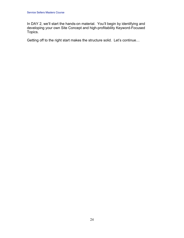In DAY 2, we'll start the hands-on material. You'll begin by identifying and developing your own Site Concept and high-profitability Keyword-Focused Topics.

Getting off to the right start makes the structure solid. Let's continue…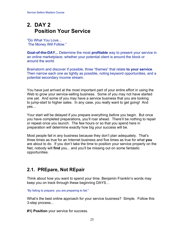## **2. DAY 2 Position Your Service**

"Do What You Love... The Money Will Follow."

**Goal-of-the-DAY...** Determine the most **profitable** way to present your service in an online marketplace, whether your potential client is around the block or around the world.

Brainstorm and discover if possible, three "themes" that relate **to your service**. Then narrow each one as tightly as possible, noting keyword opportunities, and a potential secondary income stream.

You have just arrived at the most important part of your entire effort in using the Web to grow your service-selling business. Some of you may not have started one yet. And some of you may have a service business that you are looking to jump-start to higher sales. In any case, you really want to get going! And yes…

Your start *will* be delayed if you prepare everything *before* you begin. But once you have completed preparations, you'll roar ahead. There'll be nothing to repair or repeat once you launch. The few hours or so that you spend here in preparation will determine exactly how big your success will be.

Most people fail in any business because they don't plan adequately. That's three times as true for an Internet business and five times as true for what **you** are about to do. If you don't take the time to position your service properly on the Net, nobody will **find** you... and you'll be missing out on some fantastic opportunities.

## **2.1. PREpare, Not REpair**

Think about how you want to spend your time. Benjamin Franklin's words may keep you on track through these beginning DAYS…

"By failing to prepare, you are preparing to fail."

What's the best online approach for your service business? Simple. Follow this 3-step process...

**#1) Position** your service for success.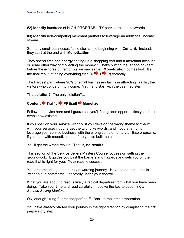**#2) Identify** hundreds of HIGH-PROFITABILITY service-related keywords.

**#3) Identify** non-competing merchant partners to leverage an additional income stream.

So many small businesses fail to start at the beginning with **Content.** Instead, they start at the end with **Monetization.**

They spend time and energy setting up a shopping cart and a merchant account or some other way of "collecting the money." That's putting the (shopping) cart before the e-horse of traffic. As we saw earlier, **Monetization** comes last. It's the final result of doing everything else (**C T P**) correctly.

The hardest part, where 98% of small businesses fail, is in attracting **Traffic,** the visitors who convert, into income. Yet many start with the cash register!

**The solution?** The only solution?...

#### Content **Traffic PREsell Monetize**

Follow the advice here and I guarantee you'll find golden opportunities you didn't even know existed!

If you position your service wrongly, if you develop the wrong theme to "tie-in" with your service, if you target the wrong keywords, and if you attempt to leverage your service business with the wrong complementary affiliate programs, if you start with monetization before you've built the content...

You'll get the wrong results. That is, **no results.**

This section of the Service Sellers Masters Course focuses on setting the groundwork. It guides you past the barriers and hazards and sets you on the road that is right for you. **Your** road to success.

You are embarking upon a truly rewarding journey. Have no doubts -- this is "winnable" e-commerce. It's totally under your control.

What you are about to read is likely a radical departure from what you have been doing. Take your time and read carefully... receive the key to becoming a *Service Selling Master.*

OK, enough "kung-fu grasshopper" stuff. Back to real-time preparation.

You have already started your journey in the right direction by completing the first preparatory step...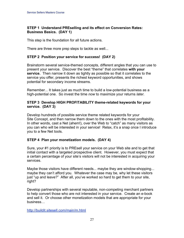#### **STEP 1 Understand PREselling and its effect on Conversion Rates: Business Basics. (DAY 1)**

This step is the foundation for all future actions.

There are three more prep steps to tackle as well...

#### **STEP 2 Position your service for success! (DAY 2)**

Brainstorm several service-themed concepts, different angles that you can use to present your service. Discover the best "theme" that correlates **with your service.** Then narrow it down as tightly as possible so that it correlates to the service you offer, presents the richest keyword opportunities, and shows potential for secondary income streams.

Remember... It takes just as much time to build a low-potential business as a high-potential one. So invest the time *now* to maximize your returns *later.*

#### **STEP 3 Develop HIGH PROFITABILITY theme-related keywords for your service. (DAY 3)**

Develop hundreds of possible service theme related keywords for your Site Concept, and then narrow them down to the ones with the most profitability. In other words, cast a Net (ahem!), over the Web to "catch" as many visitors as you can who will be interested in your service! Relax, it's a snap once I introduce you to a few Net tools.

#### **STEP 4 Plan your monetization models. (DAY 4)**

Sure, your #1 priority is to PREsell your service on your Web site and to get that initial contact with a targeted prospective client. However, you must expect that a certain percentage of your site's visitors will not be interested in acquiring your services.

Maybe those visitors have different needs... maybe they are window-shopping... maybe they can't afford you. Whatever the case may be, why let these visitors just "up and leave?" After all, you've worked so hard to get them to your site, right?

Develop partnerships with several reputable, non-competing merchant partners to help convert those who are not interested in your service. Create an e-book and sell it. Or choose other monetization models that are appropriate for your business…

<http://buildit.sitesell.com/main/m.html>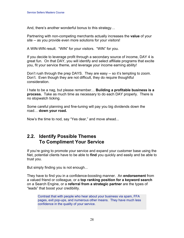And, there's another wonderful bonus to this strategy…

Partnering with non-competing merchants actually increases the **value** of your site -- as you provide even more solutions for your visitors!

A WIN-WIN result. "WIN" for your visitors. "WIN" for you.

If you decide to leverage profit through a secondary source of income, DAY 4 is great fun. On that DAY, you will identify and select affiliate programs that excite you, fit your service theme, and leverage your income earning ability!

Don't rush through the prep DAYS. They are easy -- so it's tempting to zoom. Don't. Even though they are not difficult, they do require thoughtful consideration.

I hate to be a nag, but please remember… **Building a profitable business is a process.** Take as much time as necessary to do each DAY properly. There is no stopwatch ticking.

Some careful planning and fine-tuning will pay you big dividends down the road… **down your road.**

Now's the time to nod, say "Yes dear," and move ahead...

## **2.2. Identify Possible Themes To Compliment Your Service**

If you're going to promote your service and expand your customer base using the Net, potential clients have to be able to **find** you quickly and easily and be able to trust you.

But simply finding you is not enough...

They have to find you in a confidence-boosting manner. An **endorsement** from a valued friend or colleague, or a **top ranking position for a keyword search** on a Search Engine, or a **referral from a strategic partner** are the types of "leads" that boost your credibility.

Contrast that with people who hear about your business via spam, FFA pages, exit pop-ups, and numerous other means. They have much less confidence in the quality of your service.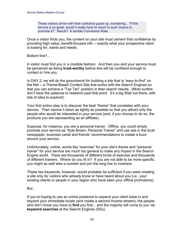These visitors arrive with their collective guard up, wondering... "If this service is so great, would it really have to resort to such means to promote it?" Result? A terrible Conversion Rate.

Once a visitor finds you, the content on your site must cement that confidence by providing high-value, benefit-focused info -- exactly what your prospective client is looking for, wants and needs.

Bottom line?...

A visitor must find you in a credible fashion. And then you and your service must be perceived as being **trust-worthy** before she will be confident enough to contact or hire you.

In DAY 2, we will do the groundwork for building a site that is "easy-to-find" on the Net -- a Theme-Based Content Site that works with the Search Engines so that you can achieve a "Top Ten" position in their search results. (Most surfers don't have the patience to research past that point. It's a big Web out there, with lots of sites to explore!)

Your first action step is to discover the best "theme" that correlates with your service. Then narrow it down as tightly as possible so that you attract only the people who would be interested in your service (and, if you choose to do so, the products you are representing as an affiliate).

Suppose, for instance, you are a personal trainer. Offline, you could simply promote your service as "Kyle Brown, Personal Trainer" and use ads in the local newspaper, business cards and friends' recommendations to create a buzz around your service.

Unfortunately, online, words like "exercise" for your site's theme and "personal trainer" for your service are much too general to make any impact in the Search Engine world. There are thousands of different kinds of exercise and thousands of different trainers. Where do you fit in? If you are not able to be more specific, you might as well take a number and join the long line to nowhere.

These two keywords, however, would probably be sufficient if you were creating a site only for visitors who *already* know or have heard about you (i.e., your existing clients or people in your region who have seen your offline promotions).

But...

If you're hoping to use an online presence to expand your client base in *and* beyond your immediate locale (and create a second income stream), the people who don't know you have to **find** you first... and the majority will come to you via **keyword searches** at the Search Engines (SEs).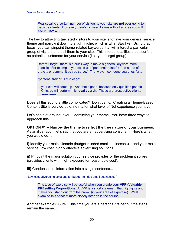Realistically, a certain number of visitors to your site are **not** ever going to become clients. However, there's no need to waste this traffic as you will see in DAY 4.

The key to attracting **targeted** visitors to your site is to take your general service theme and narrow it down to a tight niche, which is what SEs like. Using that focus, you can pinpoint theme-related keywords that will interest a particular group of visitors and pull them to your site. This interest qualifies these surfers as potential customers for your service (i.e., your target group).

Before I forget, there is a quick way to make a general keyword more specific. For example, you could use "personal trainer" + "the name of the city or communities you serve." That way, if someone searches for...

"personal trainer" + "Chicago"

…your site will come up. And that's good, because only qualified people in Chicago will perform this **local search**. These are prospective clients in **your area.**

Does all this sound a little complicated? Don't panic. Creating a Theme-Based Content Site is very do-able, no matter what level of Net experience you have.

Let's begin at ground level -- identifying your theme. You have three ways to approach this...

**OPTION #1 -- Narrow the theme to reflect the true nature of your business.** As an illustration, let's say that you are an advertising consultant. Here's what you would do…

**i)** Identify your main clientele (budget-minded small businesses)... and your main service (low cost, highly effective advertising solutions).

**ii)** Pinpoint the major solution your service provides or the problem it solves (provides clients with high-exposure for reasonable cost).

**iii)** Condense this information into a single sentence...

"Low cost advertising solutions for budget-minded small businesses!"

This type of exercise will be useful when you create your **VPP (Valuable PREselling Proposition).** A VPP is a short statement that highlights and makes you stand out from the crowd (in your area of expertise). We'll examine this concept more closely later on in the course.

Another example? Sure. This time you are a personal trainer but the steps remain the same...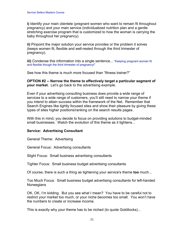**i)** Identify your main clientele (pregnant women who want to remain fit throughout pregnancy) and your main service (individualized nutrition plan and a gentle stretching exercise program that is customized to how the woman is carrying the baby throughout her pregnancy).

**ii)** Pinpoint the major solution your service provides or the problem it solves (keeps women fit, flexible and well-rested through the third trimester of pregnancy).

**iii)** Condense this information into a single sentence... "Keeping pregnant woman fit and flexible though the third trimester of pregnancy!"

See how this theme is much more focused than "fitness trainer?"

**OPTION #2 -- Narrow the theme to effectively target a particular segment of your market.** Let's go back to the advertising example.

Even if your advertising consulting business does provide a wide range of services to a wide range of customers, you'll still need to narrow your theme if you intend to attain success within the framework of the Net. Remember that Search Engines like tightly focused sites and show their pleasure by giving these types of sites higher positions/ranking on the search results pages.

With this in mind, you decide to focus on providing solutions to budget-minded small businesses. Watch the evolution of this theme as it tightens...

#### **Service: Advertising Consultant**

General Theme: Advertising

General Focus: Advertising consultants

Slight Focus: Small business advertising consultants

Tighter Focus: Small business budget advertising consultants

Of course, there is such a thing as tightening your service's theme **too** much...

Too Much Focus: Small business budget advertising consultants for left-handed **Norwegians** 

OK, OK, I'm kidding. But you see what I mean? You have to be careful not to restrict your market too much, or your niche becomes too small. You won't have the numbers to create or increase income.

This is exactly why your theme has to be niched (to quote Goldilocks)...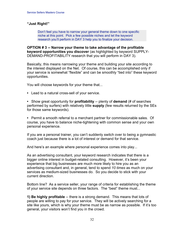#### **"Just Right!"**

Don't feel you have to narrow your general theme down to one specific niche at this point. Pick a few possible niches and let the keyword research you'll perform in DAY 3 help you to finalize your decision.

**OPTION # 3 -- Narrow your theme to take advantage of the profitable keyword opportunities you discover** (as highlighted by keyword SUPPLY-DEMAND-PROFITABILITY research that you will perform in DAY 3).

Basically, this means narrowing your theme and building your site according to the interest displayed on the Net. Of course, this can be accomplished only if your service is somewhat "flexible" and can be smoothly "tied into" these keyword opportunities.

You will choose keywords for your theme that...

**•** Lead to a natural cross-sell of your service.

**•** Show great opportunity for **profitability** -- plenty of **demand** (# of searches performed by surfers) with relatively little **supply** (few results returned by the SEs for those same keywords).

**•** Permit a smooth referral to a merchant partner for commissionable sales. Of course, you have to balance niche-tightening with common sense and your own personal experience.

If you are a personal trainer, you can't suddenly switch over to being a gymnastic coach just because there is a lot of interest or demand for that service.

And here's an example where personal experience comes into play...

As an advertising consultant, your keyword research indicates that there is a bigger online interest in budget-related consulting. However, it's been your experience that big businesses are much more likely to hire you as an advertising consultant and, in general, tend to spend *10 times* as much on your services as medium-sized businesses do. So you decide to stick with your current direction.

Bottom line? As a service seller, your range of criteria for establishing the theme of your service site depends on three factors. The "best" theme must...

**1) Be highly profitable** -- there is a strong demand. This means that lots of people are willing to pay for your service. They will be actively searching for a site like yours, which is why your theme must be as narrow as possible. If it's too general, your visitors won't find you in the crowd.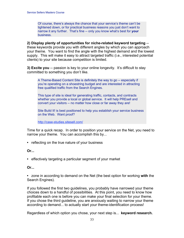Of course, there's always the chance that your service's theme can't be tightened down, or for practical business reasons you just don't want to narrow it any further. That's fine -- only you know what's best for **your** business.

**2) Display plenty of opportunities for niche-related keyword targeting** - these keywords provide you with different angles by which you can approach your theme. You want to find the angle with the highest demand and the lowest supply. This will make it easy to attract targeted traffic (i.e., interested potential clients) to your site because competition is limited.

**3) Excite you** -- passion is key to your online longevity. It's difficult to stay committed to something you don't like.

A Theme-Based Content Site is definitely the way to go -- especially if you're operating on a shoestring budget and are interested in attracting free qualified traffic from the Search Engines.

This type of site is ideal for generating traffic, contacts, and contracts whether you provide a local or global service. It will help PREsell and convert your visitors -- no matter how close or far away they are!

Site Build It! is best positioned to help you establish your service business on the Web. Want proof?

[http://case-studies.sitesell.com/](http://case-studies.sitesell.com/gitbwebaffiliate.html                )

Time for a quick recap. In order to position your service on the Net, you need to narrow your theme. You can accomplish this by...

**•** reflecting on the true nature of your business

**Or...**

**•** effectively targeting a particular segment of your market

#### **Or...**

**•** zone in according to demand on the Net (the best option for working **with** the Search Engines).

If you followed the first two guidelines, you probably have narrowed your theme choices down to a handful of possibilities. At this point, you need to know how profitable each one is before you can make your final selection for your theme. If you chose the third guideline, you are anxiously waiting to narrow your theme according to demand... to actually start your theme-identification process!

Regardless of which option you chose, your next step is... **keyword research.**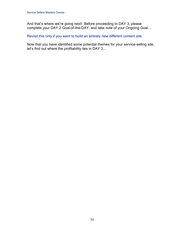And that's where we're going next! Before proceeding to DAY 3, please complete your DAY 2 Goal-of-the-DAY, and take note of your Ongoing Goal...

Revisit this only if you want to build an entirely new different content site.

Now that you have identified some potential themes for your service-selling site, let's find out where the profitability lies in DAY 3...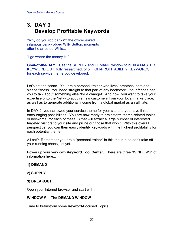## **3. DAY 3 Develop Profitable Keywords**

"Why do you rob banks?" the officer asked infamous bank-robber Willy Sutton, moments after he arrested Willie...

"I go where the money is."

**Goal-of-the-DAY...** Use the SUPPLY and DEMAND window to build a MASTER KEYWORD LIST, fully researched, of 5 HIGH-PROFITABILITY KEYWORDS for each service theme you developed.

Let's set the scene. You are a personal trainer who lives, breathes, eats and sleeps fitness. You head straight to that part of any bookstore. Your friends beg you to talk about something else "for a change!" And now, you want to take your expertise onto the Net -- to acquire new customers from your local marketplace, as well as to generate additional income from a global market as an affiliate.

In DAY 2, you narrowed your service theme for your site and you have three encouraging possibilities. You are now ready to brainstorm theme-related topics or keywords (for each of these 3) that will attract a large number of interested targeted visitors to your site and prune out those that won't. With this overall perspective, you can then easily identify keywords with the highest profitability for each potential theme.

All set? Remember you are a "personal trainer" in this trial run so don't take off your running shoes just yet.

Power up your very own **Keyword Tool Center.** There are three "WINDOWS" of information here...

#### **1) DEMAND**

**2) SUPPLY**

#### **3) BREAKOUT**

Open your Internet browser and start with...

#### **WINDOW #1 The DEMAND WINDOW**

Time to brainstorm some Keyword-Focused Topics.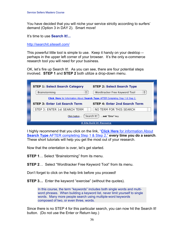You have decided that you will niche your service strictly according to surfers' demand (Option 3 in DAY 2). Smart move!

It's time to use **Search It!...**

[http://searchit.sitesell.com/](http://searchit.sitesell.com/gitbwebaffiliate.html                    )

This powerful little tool is simple to use. Keep it handy on your desktop - perhaps in the upper left corner of your browser. It's the only e-commerce research tool you will need for your business.

OK, let's fire up Search It!. As you can see, there are four potential steps involved. **STEP 1** and **STEP 2** both utilize a drop-down menu.

| <b>STEP 1: Select Search Category</b>                                          | <b>STEP 2: Select Search Type</b>    |
|--------------------------------------------------------------------------------|--------------------------------------|
| ÷<br>Brainstorming                                                             | ÷<br>Wordtracker Free Keyword Tool   |
| Click Here for Information About Search Type AFTER Completing Step 1 & Step 2. |                                      |
| <b>STEP 3: Enter 1st Search Term</b>                                           | <b>STEP 4: Enter 2nd Search Term</b> |
| STEP 3: ENTER 1st SEARCH TERM                                                  | NO TERM FOR THIS SEARCH              |
| Search It!<br>Click button<br>not "Enter" key.                                 |                                      |
| A Site Build It! Resource                                                      |                                      |

I highly recommend that you click on the link, "**Click Here** for information About **Search Type** AFTER completing Step 1 & Step 2," **every time you do a search**. These short tutorials will help you get the most out of your research.

Now that the orientation is over, let's get started.

**STEP 1**… Select "Brainstorming" from its menu.

**STEP 2**… Select "Wordtracker Free Keyword Tool" from its menu.

Don't forget to click on the help link before you proceed!

**STEP 3...** Enter the keyword "exercise" (without the quotes).

In this course, the term "keywords" includes both single words and multiword phrases. When building a keyword list, never limit yourself to single words. Many more people search using multiple-word keywords composed of two, or even three, words.

Since there is no STEP 4 for this particular search, you can now hit the Search It! button. (Do not use the Enter or Return key.)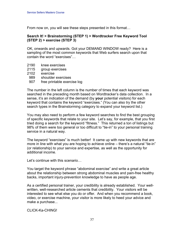From now on, you will see these steps presented in this format…

#### **Search It! > Brainstorming (STEP 1) > Wordtracker Free Keyword Tool (STEP 2) > exercise (STEP 3)**

OK, onwards and upwards. Got your DEMAND WINDOW ready? Here is a sampling of the most common keywords that Web surfers search upon that contain the word "exercises"…

- 2190 knee exercises
- 2115 group exercises
- 2102 exercise
- 989 shoulder exercises
- 907 free printable exercise log

The number in the left column is the number of times that each keyword was searched in the preceding month based on Wordtracker's data collection. In a sense, it's an indication of the demand (by **your** potential visitors) for each keyword that contains the keyword "exercises." (You can also try the other search types in the Brainstorming category to expand your keyword list.)

You may also need to perform a few keyword searches to find the best grouping of specific keywords that relate to your site. Let's say, for example, that you first tried doing a search for the keyword "fitness." This returned a ton of listings but 98% of them were too general or too difficult to "tie-in" to your personal training service in a natural way.

The keyword "exercises" is much better! It came up with new keywords that are more in line with what you are hoping to achieve online – there's a natural "tie-in" (or relationship) to your service and expertise, as well as the opportunity for additional income.

Let's continue with this scenario…

You target the keyword phrase "abdominal exercise" and write a great article about the relationship between strong abdominal muscles and pain-free healthy backs, important injury-prevention knowledge to have as people age.

As a certified personal trainer, your credibility is already established. Your wellwritten, well-researched article cements that credibility. Your visitors will be interested to see what else you do or offer. And when you recommend a book, video, or exercise machine, your visitor is more likely to heed your advice and make a purchase...

#### CLICK-Ka-CHING!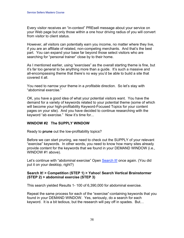Every visitor receives an "in-context" PREsell message about your service on your Web page but only those within a one hour driving radius of you will convert from visitor to client status.

However, *all* visitors can potentially earn you income, no matter where they live, if you are an affiliate of related, non-competing merchants. And that's the best part. You can expand your base far beyond those select visitors who are searching for "personal trainer" close by to their home.

As I mentioned earlier, using "exercises" as the overall starting theme is fine, but it's far too general to be anything more than a guide. It's such a massive and all-encompassing theme that there's no way you'd be able to build a site that covered it all.

You need to narrow your theme in a *profitable* direction. So let's stay with "abdominal exercise."

OK, you have a good idea of what your potential visitors want. You have the demand for a variety of keywords related to your potential theme (some of which will become your high-profitability Keyword-Focused Topics for your content pages on your site). And you have decided to continue researching with the keyword "ab exercise." Now it's time for...

#### **WINDOW #2 The SUPPLY WINDOW**

Ready to **prune** out the low-profitability topics?

Before we can start pruning, we need to check out the SUPPLY of your relevant "exercise" keywords. In other words, you need to know how many sites already provide content for the keywords that we found in your DEMAND WINDOW (i.e., WINDOW #1 above).

Let's continue with "abdominal exercise" Open [Search It!](http://searchit.sitesell.com/gitbwebaffiliate.html                    ) once again. (You did put it on your desktop, right?)

#### **Search It! > Competition (STEP 1) > Yahoo! Search Vertical Brainstormer (STEP 2) > abdominal exercise (STEP 3)**

This search yielded Results 1- 100 of 6,390,000 for abdominal exercise.

Repeat the same process for each of the "exercise"-containing keywords that you found in your DEMAND WINDOW. Yes, seriously, do a search for each keyword. It is a bit tedious, but the research will pay off in spades. But…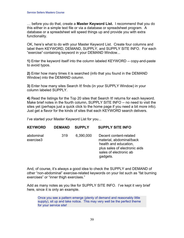… before you do that, create a **Master Keyword List.** I recommend that you do this either in a simple text file or via a database or spreadsheet program. A database or a spreadsheet will speed things up and provide you with extra functionality.

OK, here's what to do with your Master Keyword List. Create four columns and label them KEYWORD, DEMAND, SUPPLY, and SUPPLY SITE INFO. For each "exercise"-containing keyword in your DEMAND Window...

**1)** Enter the keyword itself into the column labeled KEYWORD -- copy-and-paste to avoid typos.

**2)** Enter how many times it is searched (info that you found in the DEMAND Window) into the DEMAND column.

**3)** Enter how many sites Search It! finds (in your SUPPLY Window) in your column labeled SUPPLY.

**4)** Read the listings for the Top 20 sites that Search It! returns for each keyword. Make brief notes in the fourth column, SUPPLY SITE INFO -- no need to visit the sites yet (perhaps just a quick click to the home page if you need a bit more info). Just get a flavor for the kinds of sites that each KEYWORD search delivers.

I've started your Master Keyword List for you...

| <b>KEYWORD</b>         | <b>DEMAND</b> | <b>SUPPLY</b> | <b>SUPPLY SITE INFO</b>                                                                                                                            |
|------------------------|---------------|---------------|----------------------------------------------------------------------------------------------------------------------------------------------------|
| abdominal<br>exercise3 | 319           | 6,390,000     | Decent content-related<br>material, abdominal/back<br>health and education,<br>plus sales of electronic aids<br>sales of electronic ab<br>gadgets. |

And, of course, it's always a good idea to check the SUPPLY and DEMAND of other "non-abdominal" exercise-related keywords on your list such as "fat burning exercises" or "inner thigh exercises."

Add as many notes as you like for SUPPLY SITE INFO. I've kept it very brief here, since it is only an example.

Once you see a pattern emerge (plenty of demand and reasonably little supply), sit up and take notice. This may very well be the perfect theme for your service site!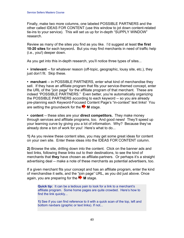Finally, make two more columns, one labeled POSSIBLE PARTNERS and the other called IDEAS FOR CONTENT (use this window to jot down content-related tie-ins to your service). This will set us up for in-depth "SUPPLY WINDOW" research.

Review as many of the sites you find as you like. I'd suggest at least **the first 10-20 sites** for each keyword**.** But you may find merchants in need of traffic help (i.e., you!) deeper down.

As you get into this in-depth research, you'll notice three types of sites...

**• irrelevant** -- for whatever reason (off-topic, geographic, lousy site, etc.), they just don't fit. Skip these.

**• merchant** -- in POSSIBLE PARTNERS, enter what kind of merchandise they sell. If they have an affiliate program that fits your service-themed concept, enter the URL of the "join page" for the affiliate program of that merchant. These are indeed "POSSIBLE PARTNERS." Even better, you're automatically organizing the POSSIBLE PARTNERS according to each keyword -- so you are already pre-planning each Keyword-Focused Content Page's "in-context" text links! You are setting the groundwork for the **M** stage.

**• content** -- these sites are your **direct competitors.** They make money through services and affiliate programs, too. And good news! They'll speed up your learning curve by giving you a lot of information. Why? Because they've already done a ton of work for you! Here's what to do...

**1)** As you review these content sites, you may get some great ideas for content on your own site. Enter these ideas into the IDEAS FOR CONTENT column.

**2)** Browse the site, drilling down into the content. Click on the banner ads and text links, following these links out to their destinations, to see the kind of merchants that **they** have chosen as affiliate-partners. Or perhaps it's a straight advertising deal -- make a note of these merchants as potential advertisers, too.

If a given merchant fits your concept and has an affiliate program, enter the kind of merchandise it sells, and the "join page" URL, as you did just above. Once again, you are preparing for the **M** stage.

**Quick tip:** It can be a tedious pain to look for a link to a merchant's affiliate program. Some home pages are quite crowded. Here's how to find the link quickly...

**1)** See if you can find reference to it with a quick scan of the top, left and bottom navbars (graphic or text links). If not...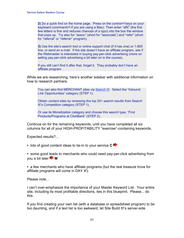**2)** Do a quick find on the home page. Press on the control+f keys on your keyboard (command+f if you are using a Mac). Then enter "affil" (the first few letters is fine and reduces chances of a typo) into the box the window that pops up. Try also for "assoc" (short for "associate") and "refer" (short for "referral" or "referrer" program).

**3)** Use the site's search tool or online support chat (if it has one) or 1-800 line, or send an e-mail. If the site doesn't have an affiliate program, ask if the Webmaster is interested in buying pay-per-click advertising (more on selling pay-per-click advertising a bit later on in the course).

If you still can't find it after that, forget it. They probably don't have an affiliate program.

While we are researching, here's another sidebar with additional information on how to research partners.

You can also find MERCHANT sites via [Search It!.](http://searchit.sitesell.com/gitbwebaffiliate.html                    ) Select the "Inbound Link Opportunities" category (STEP 1).

Obtain content sites by reviewing the top 20+ search results from Search It!'s Competition category (STEP 1).

Or use its Monetization category and choose this search type, "Find Products/Programs at ClickBank" (STEP 2).

Continue on for the remaining keywords, until you have completed all six columns for all of your HIGH-PROFITABILITY "exercise"-containing keywords.

Expected results?...

**•** lots of good content ideas to tie-in to your service **C** 

**•** some good leads to merchants who could need pay-per-click advertising from you a bit later **M**

**•** a few merchants who have affiliate programs (but the real treasure trove for affiliate programs will come in DAY 4!).

Please note...

I can't over-emphasize the importance of your Master Keyword List. Your entire site, including its most profitable directions, lies in this blueprint. Please... do this.

If you find creating your own list (with a database or spreadsheet program) to be too daunting, and if a text list is too awkward, let Site Build It!'s server-side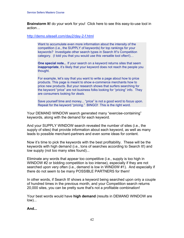**Brainstorm It!** do your work for you! Click here to see this easy-to-use tool in action…

<http://demo.sitesell.com/day2/day-2-f.html>

Want to accumulate even more information about the intensity of the competition (i.e., the SUPPLY of keywords) for top rankings for your keywords? Investigate other search types in Search It!'s Competition category. (I told you that you would use this versatile tool often!)…

**One special note..**. If your search on a keyword returns sites that seem **inappropriate**, it's likely that your keyword does not reach the people you thought.

For example, let's say that you want to write a page about how to price products. This page is meant to show e-commerce merchants how to price new products. But your research shows that surfers searching for the keyword "price" are not business folks looking for "pricing" info. They are consumers looking for *deals.*

Save yourself time and money... "price" is not a good word to focus upon. Repeat for the keyword "pricing." BINGO! This is the right word.

Your DEMAND WINDOW search generated many "exercise-containing" keywords, along with the demand for each keyword.

And your SUPPLY WINDOW search revealed the number of sites (i.e., the supply of sites) that provide information about each keyword, as well as many leads to possible merchant-partners and even some ideas for content.

Now it's time to pick the keywords with the best profitability. These will be the keywords with high demand (i.e., tons of searches according to Search It!) and low supply (not too many sites found)...

Eliminate any words that appear too competitive (i.e., supply is too high in WINDOW #2 or bidding competition is too intense), especially if they are not searched upon very often (i.e., demand is low in WIND0W #1). And especially if there do not seem to be many POSSIBLE PARTNERS for them!

In other words, if Search It! shows a keyword being searched upon only a couple of hundred times in the previous month, and your Competition search returns 20,000 sites, you can be pretty sure that's not a profitable combination!

Your best words would have **high demand** (results in DEMAND WINDOW are low)...

**And...**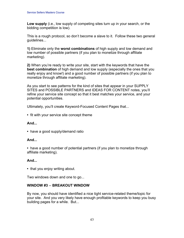**Low supply** (i.e., low supply of competing sites turn up in your search, or the bidding competition is low).

This is a rough protocol, so don't become a slave to it. Follow these two general guidelines...

**1)** Eliminate only the **worst combinations** of high supply and low demand and low number of possible partners (if you plan to monetize through affiliate marketing).

**2)** When you're ready to write your site, start with the keywords that have the **best combination** of high demand and low supply (especially the ones that you really enjoy and know!) and a good number of possible partners (if you plan to monetize through affiliate marketing).

As you start to see patterns for the kind of sites that appear in your SUPPLY SITES and POSSIBLE PARTNERS and IDEAS FOR CONTENT notes, you'll refine your service site concept so that it best matches your service, and your potential opportunities.

Ultimately, you'll create Keyword-Focused Content Pages that...

**•** fit with your service site concept theme

#### **And...**

**•** have a good supply/demand ratio

#### **And...**

**•** have a good number of potential partners (if you plan to monetize through affiliate marketing).

#### **And...**

**•** that you enjoy writing about.

Two windows down and one to go...

#### **WINDOW #3** -- **BREAKOUT WINDOW**

By now, you should have identified a nice tight service-related theme/topic for your site. And you very likely have enough profitable keywords to keep you busy building pages for a while. But...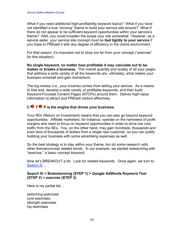What if you need additional high-profitability keyword topics? What if you have not identified a true "winning" theme to build your service site around? What if there do not appear to be sufficient keyword opportunities within your service's theme? Well, you could broaden the scope your site somewhat. However, as a service seller, your service site concept must be **tied tightly to your service** if you hope to PREsell it with any degree of efficiency in the online environment.

For that reason, it's important not to stray too far from your concept ("exercise" for this situation).

**No single keyword, no matter how profitable it may calculate out to be, makes or breaks a business.** The overall quantity and quality of all your pages that address a wide variety of all the keywords are, ultimately, what makes your business snowball and gain momentum.

The big money (i.e., your income) comes from selling your service. As a means to that end, develop a wide variety of profitable keywords, and then build Keyword-Focused Content Pages (KFCPs) around them. Deliver high-value information to attract and PREsell visitors effectively.

## C **P** T **P** is the engine that drives your business.

Your ROI (Return on Investment) means that you can also go beyond keyword opportunities. Affiliate marketers, for instance, operate on the narrowest of profit margins and need to focus on keyword opportunities in order to drive low cost traffic from the SEs. You, on the other hand, may gain hundreds, thousands and even tens of thousands of dollars from a single new customer, so you can justify building your business with some advertising expenses as well.

So the best strategy is to stay within your theme, but do some research with other theme/concept related words. In our example, we started researching with "exercise," a basic concept keyword.

Now let's BREAKOUT a bit. Look for related keywords. Once again, we turn to Search It!...

#### **Search It! > Brainstorming (STEP 1) > Google AdWords Keyword Tool (STEP 2) > exercise (STEP 3)**

Here is my partial list…

stretching exercises core exercises strength exercises hip exercises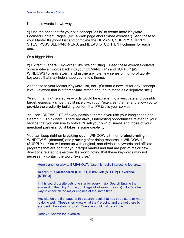Use these words in two ways...

**1)** Use the ones that **fit** your site concept "as is" to create more Keyword-Focused Content Pages, (ex., a Web page about "knee exercise"). Add these to your Master Keyword List and complete the DEMAND, SUPPLY, SUPPLY SITES, POSSIBLE PARTNERS, and IDEAS for CONTENT columns for each one.

Or a bigger idea...

**2)** Extract "General Keywords," like "weight lifting." Feed these exercise-related "concept-level" words back into your DEMAND (#1) and SUPPLY (#2) WINDOWS **to brainstorm and prune** a whole new series of high-profitability keywords that may help shape your site's theme.

Add these to your Master Keyword List, too. (Or start a new list for any "conceptlevel" keyword that is different-**and**-strong enough to stand as a separate site.)

"Weight training" related keywords would be excellent to investigate and possibly target, especially since they fit nicely with your "exercise" theme, and allow you to provide the credibility-building content that PREsells your service.

You can "BREAKOUT" of every possible theme if you use your imagination and Search It!.Think hard! There are always interesting opportunities related to your service that you can use to both PREsell your own business and those of your merchant partners. All it takes is some creativity.

You can keep right on **breaking out** in WINDOW #3, then **brainstorming** in WINDOW #1 (demand) and **pruning** after doing research in WINDOW #2 (SUPPLY). You will come up with original, non-obvious keywords and affiliate programs that are right for your target market and that are part of major new directions related to exercise. It's worth noting that these keywords may not necessarily contain the word "exercise."

Here's another way to BREAKOUT. Use this really interesting feature...

#### **Search It! > Metasearch (STEP 1) > IxQuick (STEP 2) > exercise (STEP 3)**

In this search, a site gets one star for every major Search Engine that scores it in their Top 10 (i.e., on Page #1 of search results). So it's a fast way to check all the major engines at the same time.

Any site on the first page of this search result that has three stars or more is doing well. These sites know what they're doing and are not there by accident. Two stars is good. One star could just be a fluke.

Ready? Search for "exercise."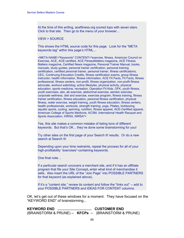At the time of this writing, acefitness.org scored tops with seven stars. Click to that site. Then go to the menu of your browser...

VIEW > SOURCE

This shows the HTML source code for this page. Look for the "META keywords tag" within this page's HTML...

<META NAME="Keywords" CONTENT="exercise, fitness, American Council on Exercise, ACE, ACE-certified, ACE FitnessMatters magazine, ACE Fitness Matters magazine, Certified News magazine, Personal Trainer Manual, books, manuals, study guides, personal trainer certification, personal training certification, certified personal trainer, personal trainer, fitness certifications, CEC, Continuing Education Credits, fitness certification exams, group fitness instructor, health information, fitness information, ACE Fit Facts, Fit Facts, fitness professional, fitness centers, non-profit, fitness organization, non-profit fitness advocate, workout watchdog, active lifestyles, physical activity, physical education, sports medicine, recreation, Operation Fit Kids, OFK, youth fitness, youth exercises, abs, ab exercise, abdominal exercise, aerobic exercise, corporate wellness, diet and exercise, exercise program, fitness training, fitness trainer certification, fitness education, personal fitness certification, physical fitness, water exercise, weight training, youth fitness education, fitness centers, health professionals, workouts, strength training, yoga, Pilates, kickboxing, aquatic sports, cycling, spinning, nutrition, fitness apparel, ACE-Certified apparel, American College of Sports Medicine, ACSM, International Health Racquet and Sports Association, IHRSA, NIRSA">

Yes, this site makes a common mistake of listing tons of different keywords. But that's OK... they've done some brainstorming for you!

Try other sites on the first page of your Search It! results. Or do a new search at Search It!.

Depending upon your time restraints, repeat the process for all of your high-profitability "exercises"-containing keywords.

One final note…

If a particular search uncovers a merchant site, and if it has an affiliate program that fits your Site Concept**,** enter what kind of merchandise it sells. Also insert the URL of the "Join Page" into POSSIBLE PARTNERS for that keyword (as explained above).

If it's a "content site," review its content and follow the "links out" -- add to your POSSIBLE PARTNERS and IDEAS FOR CONTENT columns.

OK, let's get out of these windows for a moment. They have focused on the "KEYWORD END" of brainstorming...

**KEYWORD END .................................. CUSTOMER END** (BRAINSTORM & PRUNE) -- **KFCPs** -- (BRAINSTORM & PRUNE)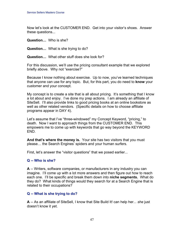Now let's look at the CUSTOMER END. Get into your visitor's shoes. Answer these questions...

**Question…** Who is she?

**Question…** What is she trying to do?

**Question…** What other stuff does she look for?

For this discussion, we'll use the pricing consultant example that we explored briefly above. Why not "exercise?"

Because I know nothing about exercise. Up to now, you've learned techniques that anyone can use for any topic. But, for this part, you do need to **know** your customer and your concept.

My concept is to create a site that is all about pricing. It's something that I know a lot about and enjoy. I've done my prep actions. I am already an affiliate of SiteSell. I'll also provide links to good pricing books at an online bookstore as well as other related vendors. (Specific details on how to choose affiliate programs appear in DAY 4).

Let's assume that I've "three-windowed" my Concept Keyword, "pricing," to death. Now I want to approach things from the CUSTOMER END. This empowers me to come up with keywords that go way beyond the KEYWORD END.

**And that's where the money is.** Your site has two visitors that you must please… the Search Engines' spiders and your human surfers.

First, let's answer the "visitor questions" that we posed earlier...

#### **Q -- Who is she?**

**A** -- Writers, software companies, or manufacturers in any industry you can imagine. I'll come up with a lot more answers and then figure out how to reach each one. I'll be specific and break them down into **niche segments.** What do they do? What kinds of things would they search for at a Search Engine that is related to their occupations?

#### **Q -- What is she trying to do?**

**A** -- As an affiliate of SiteSell, I know that Site Build It! can help her... *she* just doesn't know it yet.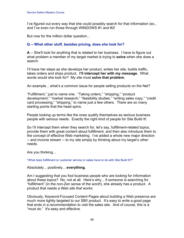I've figured out every way that she could possibly search for that information (ex., and I've even run those through WINDOWS #1 and #2!

But now for the million dollar question...

#### **Q -- What other stuff, besides pricing, does she look for?**

**A** -- She'll look for anything that is related to her business. I have to figure out what problem a member of my target market is trying to **solve** when she does a search.

I'll trace her steps as she develops her product, writes her site, builds traffic, takes orders and ships product. **I'll intercept her with my message.** What words would she look for? My site must **solve that problem.**

An example... what's a common issue for people selling products on the Net?

"Fulfillment," just to name one. "Taking orders," "shipping," "product development," "market research," "feasibility studies," "writing sales copy," "credit card processing," "shipping," to name just a few others. There are so many starting points that the head spins.

People looking up terms like the ones qualify themselves as serious business people with serious needs. Exactly the right kind of people for Site Build It!.

So I'll intercept them when they search for, let's say, fulfillment-related topics, provide them with great content about fulfillment, and then also introduce them to the concept of effective Web marketing. I've added a whole new major direction -- and income stream -- to my site simply by thinking about my target's *other* needs.

Are you thinking...

"What does fulfillment or customer service or sales have to do with Site Build It!?"

Absolutely... positively... **everything.**

Am I suggesting that you fool business people who are looking for information about these topics? No, not at all. Here's why... if someone is searching for "fulfillment" (in the non-Zen sense of the word!), she already has a product. A product that needs a *Web site that works.*

Obviously, Keyword-Focused Content Pages about building a Web presence are much more tightly targeted to our SBI! product. It's easy to write a good page that ends in a recommendation to visit the sales site. And of course, this is a "must do." It's easy and effective.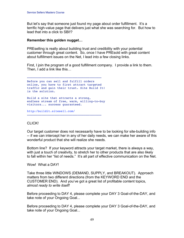But let's say that someone just found my page about order fulfillment. It's a terrific high-value page that delivers just what she was searching for. But how to lead that into a click to SBI!?

#### **Remember this golden nugget…**

PREselling is really about building trust and credibility with your potential customer through great content. So, once I have PREsold with great content about fulfillment issues on the Net, I lead into a few closing links.

First, I join the program of a good fulfillment company. I provide a link to them. Then, I add a link like this…

-------------------------------------------------------------- Before you can sell and fulfill orders online, you have to first attract targeted traffic and gain their trust. Site Build It! is the solution. Build a site that attracts a strong, endless stream of free, warm, willing-to-buy visitors... success guaranteed. http:/buildit.sitesell.com/

--------------------------------------------------------------

#### CLICK!

Our target customer does not necessarily have to be looking for site-building info -- if we can intercept her in any of her daily needs, we can make her aware of this wonderful product that she will realize she needs.

Bottom line? If your keyword attracts your target market, there is always a way, with just a touch of creativity, to stretch her to other products that are also likely to fall within her "list of needs." It's all part of effective communication on the Net.

Wow! What a DAY!

Take three little WINDOWS (DEMAND, SUPPLY, and BREAKOUT). Approach matters from two different directions (from the KEYWORD END and the CUSTOMER END). And you've got a great list of profitable content topics, *almost ready to write itself!*

Before proceeding to DAY 4, please complete your DAY 3 Goal-of-the-DAY, and take note of your Ongoing Goal...

Before proceeding to DAY 4, please complete your DAY 3 Goal-of-the-DAY, and take note of your Ongoing Goal...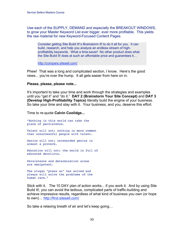Use each of the SUPPLY, DEMAND and especially the BREAKOUT WINDOWS, to grow your Master Keyword List ever bigger, ever more profitable. This yields the raw material for new Keyword-Focused Content Pages.

Consider getting Site Build It!'s Brainstorm It! to do it all for you. It can build, research, and help you analyze an endless stream of highprofitability keywords. What a time-saver! No other product does what the Site Build It! does at such an affordable price and guarantees it…

[http://compare.sitesell.com/](http://compare.sitesell.com/gitbwebaffiliate.html                     )

Phew! That was a long and complicated section, I know. Here's the good news... you're over the hump. It all gets easier from here on in.

#### **Please, please, please note...**

It's important to take your time and work through the strategies and examples until you "get it" and "do it." **DAY 2 (Brainstorm Your Site Concept)** and **DAY 3 (Develop High-Profitability Topics)** literally build the engine of your business. So take your time and stay with it. Your business, and you, deserve this effort.

Time to re-quote **Calvin Coolidge...**

"Nothing in this world can take the place of persistence.

Talent will not; nothing is more common than unsuccessful people with talent.

Genius will not; unrewarded genius is almost a proverb.

Education will not; the world is full of educated derelicts.

Persistence and determination alone are omnipotent.

The slogan "press on" has solved and always will solve the problems of the human race."

Stick with it. The 10 DAY plan of action works... if you work it. And by using Site Build It!, you can avoid the tedious, complicated parts of traffic-building and achieve impressive results, regardless of what kind of business you own (or hope to own)… [http://find.sitesell.com/](http://find.sitesell.com/gitbwebaffiliate.html                        )

So take a relaxing breath of air and let's keep going…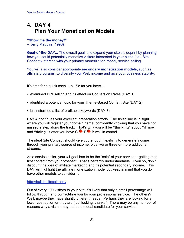# **4. DAY 4 Plan Your Monetization Models**

**"Show me the money!"**

-- Jerry Maguire (1996)

**Goal-of-the-DAY...** The overall goal is to expand your site's blueprint by planning how you could potentially monetize visitors interested in your niche (i.e., Site Concept), starting with your primary monetization model, service selling.

You will also consider appropriate **secondary monetization models,** such as affiliate programs, to diversify your Web income and give your business stability.

It's time for a quick check-up. So far you have…

- examined PREselling and its effect on Conversion Rates (DAY 1)
- identified a potential topic for your Theme-Based Content Site (DAY 2)
- brainstormed a list of profitable keywords (DAY 3)

DAY 4 continues your excellent preparation efforts. The finish line is in sight where you will register your domain name, confidently knowing that you have not missed a step along the track. That's why you will be **"thinking"** about "M" now*,* and "doing" it after you have **C <sup>p</sup> T P** well in control.

The ideal Site Concept should give you enough flexibility to generate income through your primary source of income, plus two or three or more additional streams.

As a service seller, your #1 goal has to be the "sale" of your service -- getting that first contact from your prospect. That's perfectly understandable. Even so, don't discount the idea of affiliate marketing and its potential secondary income. This DAY will highlight the affiliate monetization model but keep in mind that you do have other models to consider…

#### [http://buildit.sitesell.com/](http://buildit.sitesell.com/gitbwebaffiliate.html                     )

Out of every 100 visitors to your site, it's likely that only a small percentage will follow through and contact/hire you for your professional service. The others? Well, maybe they have slightly different needs. Perhaps they are looking for a lower-cost option or they are "just looking, thanks." There may be any number of reasons why a visitor may not be an ideal candidate for your service.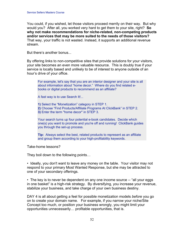You could, if you wished, let those visitors proceed merrily on their way. But why would you? After all, you worked very hard to get them to your site, right? **So why not make recommendations for niche-related, non-competing products and/or services that may be more suited to the needs of those visitors?** That way, your traffic is not wasted. Instead, it supports an additional revenue stream.

But there's another bonus...

By offering links to non-competitive sites that provide solutions for your visitors, your site becomes an even more valuable resource. This is doubly true if your service is locally based and unlikely to be of interest to anyone outside of an hour's drive of your office.

For example, let's say that you are an interior designer and your site is all about information about "home decor." Where do you find related ebooks or digital products to recommend as an affiliate?

A fast way is to use Search It!...

**1)** Select the "Monetization" category in STEP 1.

**2)** Choose "Find Products/Affiliate Programs At ClickBank" in STEP 2. **3)** Enter the term "home decor" in STEP 3.

Your search turns up four potential e-book candidates. Decide which one(s) you want to promote and you're off and running! ClickBank guides you through the set-up process.

**Tip:** Always select the best, related products to represent as an affiliate and group them according to your high-profitability keywords.

Take-home lessons?

They boil down to the following points…

• Ideally, you don't want to leave any money on the table. Your visitor may not respond to your primary Most Wanted Response, but she may be attracted to one of your secondary offerings.

• The key is to never be dependent on any one income source -- "all your eggs in one basket" is a high-risk strategy. By diversifying, you increase your revenue, stabilize your business, and take charge of your own business destiny.

DAY 4 is all about getting a feel for possible monetization models *before* you go on to create your domain name. For example, if you narrow your niche/Site Concept too much, or position your business wrongly, you might limit your opportunities unnecessarily… profitable opportunities, that is.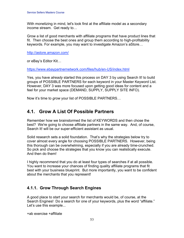With monetizing in mind, let's look first at the affiliate model as a secondary income stream. Get ready to…

Grow a list of good merchants with affiliate programs that have product lines that fit. Then choose the best ones and group them according to high-profitability keywords. For example, you may want to investigate Amazon's aStore…

#### <http://astore.amazon.com/>

or eBay's Editor Kit…

<https://www.ebaypartnernetwork.com/files/hub/en-US/index.html>

Yes, you have *already* started this process on DAY 3 by using Search It! to build groups of POSSIBLE PARTNERS for each keyword in your Master Keyword List. However, DAY 3 was more focused upon getting good ideas for content and a feel for your market space (DEMAND, SUPPLY, SUPPLY SITE INFO).

Now it's time to *grow* your list of POSSIBLE PARTNERS…

## **4.1. Grow A List Of Possible Partners**

Remember how we brainstormed the list of KEYWORDS and then chose the best? We're going to choose affiliate partners in the same way. And, of course, Search It! will be our super-efficient assistant as usual.

Solid research sets a solid foundation. That's why the strategies below try to cover almost every angle for choosing POSSIBLE PARTNERS. However, being this thorough can be overwhelming, especially if you are already time-crunched. So pick and choose the strategies that you know you can realistically execute. And then do them!

I highly recommend that you do at least four types of searches if at all possible. You want to increase your chances of finding quality affiliate programs that fit best with your business blueprint. But more importantly, you want to be confident about the merchants that you represent!

### **4.1.1. Grow Through Search Engines**

A good place to start your search for merchants would be, of course, at the Search Engines! Do a search for one of your keywords, plus the word "affiliate." Let's use this example...

+ab exercise +affiliate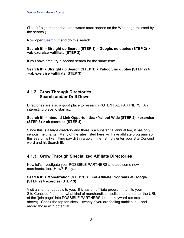(The "+" sign means that both words must appear on the Web page returned by the search.)

Now open [Search It!](http://searchit.sitesell.com/gitbwebaffiliate.html                    ) and do this search...

#### **Search It! > Straight up Search (STEP 1) > Google, no quotes (STEP 2) > +ab exercise +affiliate (STEP 3)**

If you have time, try a second search for the same term.

**Search It! > Straight up Search (STEP 1) > Yahoo!, no quotes (STEP 2) > +ab exercise +affiliate (STEP 3)**

### **4.1.2. Grow Through Directories... Search and/or Drill Down**

Directories are also a good place to research POTENTIAL PARTNERS. An interesting place to start is…

#### **Search It! > Inbound Link Opportunities> Yahoo! Wide (STEP 2) > exercise (STEP 3) > ab exercise (STEP 4)**

Since this is a large directory and there is a substantial annual fee, it has only serious merchants. Many of the sites listed here will have affiliate programs so this search is like hitting pay dirt in a gold mine. Simply enter your Site Concept word and hit Search It!.

### **4.1.3. Grow Through Specialized Affiliate Directories**

Now let's investigate your POSSIBLE PARTNERS and add some new merchants, too. How? Easy...

#### **Search It! > Monetization (STEP 1) > Find Affiliate Programs at Google (STEP 2) > exercise (STEP 3)**

Visit a site that appeals to you. If it has an affiliate program that fits your Site Concept, first enter what kind of merchandise it sells and then enter the URL of the "join page" into POSSIBLE PARTNERS for that keyword (as explained above). Check the top ten sites -- twenty if you are feeling ambitious -- and record those with potential.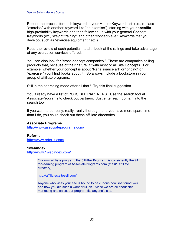Repeat the process for each keyword in your Master Keyword List (i.e., replace "exercise" with another keyword like "ab exercise"), starting with your **specific** high-profitability keywords and then following up with your general Concept Keywords (ex., "weight training" and other "concept-level" keywords that you develop, such as "exercise equipment," etc.).

Read the review of each potential match. Look at the ratings and take advantage of any evaluation services offered.

You can also look for "cross-concept companies." These are companies selling products that, because of their nature, fit with most or all Site Concepts. For example, whether your concept is about "Renaissance art" or "pricing" or "exercise," you'll find books about it. So always include a bookstore in your group of affiliate programs.

Still in the searching mood after all that? Try this final suggestion…

You already have a list of POSSIBLE PARTNERS. Use the search tool at AssociatePrograms to check out partners. Just enter each domain into the search tool.

If you want to be really, really, really thorough, and you have more spare time than I do, you could check out these affiliate directories…

#### **Associate Programs**

<http://www.associateprograms.com/>

#### **Refer-it**

<http://www.refer-it.com/>

#### **1webindex**

<http://www.1webindex.com/>

Our own affiliate program, the **5 Pillar Program**, is consistently the #1 top-earning program of AssociatePrograms.com (the #1 affiliate directory).

[http://affiliates.sitesell.com/](http://affiliates.sitesell.com/gitbwebaffiliate.html                  )

Anyone who visits your site is bound to be curious how she found you, and how you did such a wonderful job. Since we are all about Net marketing and sales, our program fits anyone's site.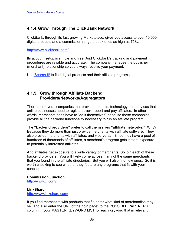## **4.1.4.Grow Through The ClickBank Network**

ClickBank, through its fast-growing Marketplace, gives you access to over 10,000 digital products and a commission range that extends as high as 75%.

#### <http://www.clickbank.com/>

Its account setup is simple and free. And ClickBank's tracking and payment procedures are reliable and accurate. The company manages the publisher (merchant) relationship so you always receive your payment.

Use [Search It!](http://searchit.sitesell.com/gitbwebaffiliate.html                    ) to find digital products and their affiliate programs.

## **4.1.5. Grow through Affiliate Backend Providers/Networks/Aggregators**

There are several companies that provide the tools, technology and services that online businesses need to register, track, report and pay affiliates. In other words, merchants don't have to "do it themselves" because these companies provide all the backend functionality necessary to run an affiliate program.

The **"backend providers"** prefer to call themselves **"affiliate networks."** Why? Because they do more than just provide merchants with affiliate software. They also provide merchants with affiliates, and vice-versa. Since they have a pool of hundreds of thousands of affiliates, a merchant's program gets instant exposure to potentially interested affiliates.

And affiliates get exposure to a wide variety of merchants. So join each of these backend providers. You will likely come across many of the same merchants that you found in the affiliate directories. But you will also find new ones. So it is worth checking to see whether they feature any programs that fit with your concept....

#### **Commission Junction**

<http://www.cj.com/>

#### **LinkShare**

<http://www.linkshare.com/>

If you find merchants with products that fit, enter what kind of merchandise they sell and also enter the URL of the "join page" to the POSSIBLE PARTNERS column in your MASTER KEYWORD LIST for each keyword that is relevant.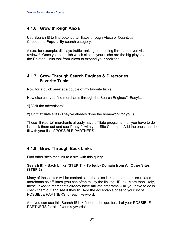## **4.1.6. Grow through Alexa**

Use Search It! to find potential affiliates through Alexa or Quantcast. Choose the **Popularity** search category.

Alexa, for example, displays traffic ranking, in-pointing links, and even visitor reviews! Once you establish which sites in your niche are the big players, use the Related Links tool from Alexa to expand your horizons!

### **4.1.7. Grow Through Search Engines & Directories... Favorite Tricks**

Now for a quick peek at a couple of my favorite tricks...

How else can you find merchants through the Search Engines? Easy!...

**1)** Visit the advertisers!

**2)** Sniff affiliate sites (They've already done the homework for you!)...

These "linked-to" merchants already have affiliate programs -- all you have to do is check them out and see if they fit with your Site Concept! Add the ones that do fit with your list of POSSIBLE PARTNERS.

### **4.1.8**. **Grow Through Back Links**

Find other sites that link to a site with this query….

#### **Search It! > Back Links (STEP 1) > To (sub) Domain from All Other Sites (STEP 2)**

Many of these sites will be content sites that also link to other exercise-related merchants as affiliates (you can often tell by the linking URLs). More than likely, these linked-to merchants already have affiliate programs -- all you have to do is check them out and see if they fit! Add the acceptable ones to your list of POSSIBLE PARTNERS for each keyword.

And you can use this Search It! link-finder technique for all of your POSSIBLE PARTNERS for all of your keywords!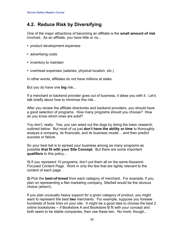## **4.2. Reduce Risk by Diversifying**

One of the major attractions of becoming an affiliate is the **small amount of risk** involved. As an affiliate, you have little or no...

- **•** product development expenses
- **•** advertising costs
- **•** inventory to maintain
- **•** overhead expenses (salaries, physical location, etc.)

In other words, affiliates do not have millions at stake.

But you do have one **big** risk...

If a merchant or backend provider goes out of business, it takes you with it. Let's talk briefly about how to minimize this risk...

After you review the affiliate directories and backend providers, you should have a good selection of programs. How many programs should you choose? How do you know which ones are solid?

You don't, really. Yes, you can weed out the dogs by doing the basic research outlined below. But most of us just **don't have the ability or time** to thoroughly analyze a company, its financials, and its business model… and then predict success or failure.

So your best bet is to spread your business among as many programs as possible **that fit with your Site Concept.** But there are some important **qualifiers** to this policy...

**1)** If you represent 10 programs, don't put them all on the same Keyword-Focused Content Page. Work in only the few that are tightly relevant to the content of each page.

**2)** Pick the **best-of-breed** from each category of merchant. For example, if you plan on representing a Net marketing company, SiteSell would be the obvious choice (ahem!).

If you plan unusually heavy support for a given category of product, you might want to represent the best **two** merchants. For example, suppose you foresee hundreds of book links on your site. It might be a good idea to choose the best 2 online bookstores -- if Bookstore A and Bookstore B fit with your concept and both seem to be stable companies, then use these two. No more, though...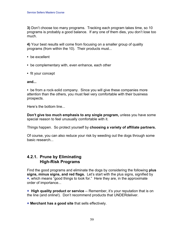**3)** Don't choose too many programs. Tracking each program takes time, so 10 programs is probably a good balance. If any one of them dies, you don't lose too much.

**4)** Your best results will come from focusing on a smaller group of quality programs (from within the 10). Their products must...

- **•** be excellent
- **•** be complementary with, even enhance, each other
- **•** fit your concept

#### **and...**

**•** be from a rock-solid company. Since you will give these companies more attention than the others, you must feel very comfortable with their business prospects.

Here's the bottom line...

**Don't give too much emphasis to any single program,** unless you have some special reason to feel unusually comfortable with it.

Things happen. So protect yourself by **choosing a variety of affiliate partners.**

Of course, you can also reduce your risk by weeding out the dogs through some basic research...

### **4.2.1. Prune by Eliminating High-Risk Programs**

Find the good programs and eliminate the dogs by considering the following **plus signs, minus signs, and red flags.** Let's start with the plus signs, signified by **+**, which means "good things to look for." Here they are, in the approximate order of importance...

**+ High quality product or service** -- Remember, it's your reputation that is on the line (and online!). Don't recommend products that UNDERdeliver.

**+ Merchant has a good site** that sells effectively.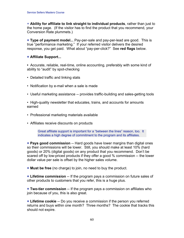+ **Ability for affiliate to link straight to individual products**, rather than just to the home page. (If the visitor has to find the product that you recommend, your Conversion Rate plummets.)

**+ Type of payment model...** Pay-per-sale and pay-per-lead are good. This is true "performance marketing." If your referred visitor delivers the desired response, you get paid. What about "pay-per-click?" See **red flags** below.

#### **+ Affiliate Support...**

**•** Accurate, reliable, real-time, online accounting, preferably with some kind of ability to "audit" by spot-checking

- Detailed traffic and linking stats
- Notification by e-mail when a sale is made
- Useful marketing assistance -- provides traffic-building and sales-getting tools
- High-quality newsletter that educates, trains, and accounts for amounts earned
- Professional marketing materials available
- Affiliates receive discounts on products

Great affiliate support is important for a "between the lines" reason, too. It indicates a high degree of commitment to the program and its affiliates.

**+ Pays good commission** -- Hard goods have lower margins than digital ones so their commissions will be lower. Still, you should make at least 10% (hard goods) or 20% (digital goods) on any product that you recommend. Don't be scared off by low-priced products if they offer a good % commission -- the lower dollar value per sale is offset by the higher sales volume.

**+ Must be free** (no charge) to join, no need to buy the product.

**+ Lifetime commission** -- If the program pays a commission on future sales of other products to customers that you refer, this is a huge plus.

**+ Two-tier commission** -- If the program pays a commission on affiliates who join because of you, this is also great.

**+ Lifetime cookie** -- Do you receive a commission if the person you referred returns and buys within one month? Three months? The cookie that tracks this should not expire.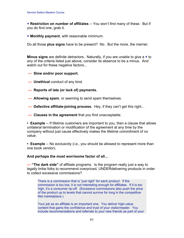**+ Restriction on number of affiliates** -- You won't find many of these. But if you do find one, grab it.

**+ Monthly payment**, with reasonable minimum.

Do all those **plus signs** have to be present? No. But the more, the merrier.

**Minus signs** are definite detractors. Naturally, if you are unable to give a **+** to any of the criteria listed just above, consider its absence to be a minus. And watch out for these negative factors...

- **Slow and/or poor support.**
- **Unethical** conduct of any kind.
- **Reports of late (or lack of) payments.**
- **Allowing spam**, or seeming to send spam themselves.
- **Defective affiliate-joining process.** Hey, if they can't get this right...
- **Clauses in the agreement** that you find unacceptable.

**• Example** -- If lifetime customers are important to you, then a clause that allows unilateral termination or modification of the agreement at any time by the company without just cause effectively makes the lifetime commitment of no value.

**• Example** -- No exclusivity (i.e., you should be allowed to represent more than one book vendor).

#### **And perhaps the most worrisome factor of all…**

**— "The dark side"** of affiliate programs. Is the program really just a way to legally bribe folks to recommend overpriced, UNDERdelivering products in order to collect excessive commissions?

There is a commission that is "just right" for each product. If the commission is too low, it is not interesting enough for affiliates. If it is too high, it's a consumer rip-off. (Excessive commissions also push the price of the product up to levels that cannot survive for long in the competitive Net marketplace.)

Your job as an affiliate is an important one. You deliver high-value content that gains the confidence and trust of your visitor/reader. You include recommendations and referrals to your new friends as part of your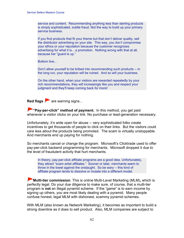service and content. Recommending anything less than sterling products is simply sophisticated, subtle fraud. Not the way to build up your primary service business.

If you find products that fit your theme but that don't deliver quality, sell the distributor advertising on your site. This way, you don't compromise your ethics or your reputation because the customer recognizes advertising for what it is... a promotion. Nothing wrong with that at all, because her "guard is up."

Bottom line...

Don't allow yourself to be bribed into recommending such products -- in the long run, your reputation will be ruined. And so will your business.

On the other hand, when your visitors are rewarded repeatedly by your rich recommendations, they will increasingly like you and respect your judgment and they'll keep coming back for more!

**Red flags are warning signs...** 

**P** "Pay-per-click" method of payment. In this method, you get paid whenever a visitor clicks on your link. No purchase or lead-generation necessary.

Unfortunately, it's wide open for abuse -- very sophisticated folks create incentives to get thousands of people to click on their links. But the visitors could care less about the products being promoted. The scam is virtually unstoppable. And merchants end up paying for nothing.

So merchants cancel or change the program. Microsoft's Clicktrade used to offer pay-per-click backend programming for merchants. Microsoft dropped it due to the level of fraudulent activity that hurt merchants.

In theory, pay-per-click affiliate programs are a good idea. Unfortunately, they attract "scam artist affiliates." Sooner or later, merchants seem to throw in the towel against the onslaught. So be wary -- this kind of affiliate program tends to dissolve or mutate into a different model.

**Multi-tier commission**. This is online Multi-Level Marketing (MLM), which is perfectly legal. Do your due diligence to make sure, of course, that a multi-tier program is **not** an illegal pyramid scheme. If the "game" is to earn income by signing up others, you are most likely dealing with a pyramid. Many people confuse honest, legal MLM with dishonest, scammy pyramid schemes.

With MLM (also known as Network Marketing), it becomes as important to build a strong downline as it does to sell product. Also, MLM companies are subject to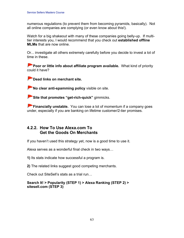numerous regulations (to prevent them from becoming pyramids, basically). Not all online companies are complying (or even know about this!).

Watch for a big shakeout with many of these companies going belly-up. If multitier interests you, I would recommend that you check out **established offline MLMs** that are now online.

Or... investigate all others extremely carefully before you decide to invest a lot of time in these.

**Poor or little info about affiliate program available.** What kind of priority could it have?

**Dead links on merchant site.** 

**No clear anti-spamming policy** visible on site.

**Site that promotes "get-rich-quick"** gimmicks.

**Financially unstable.** You can lose a lot of momentum if a company goes under, especially if you are banking on lifetime customer/2-tier promises.

## **4.2.2. How To Use Alexa.com To Get the Goods On Merchants**

If you haven't used this strategy yet, now is a good time to use it.

Alexa serves as a wonderful final check in two ways…

**1)** Its stats indicate how successful a program is.

**2)** The related links suggest good competing merchants.

Check out SiteSell's stats as a trial run…

**Search It! > Popularity (STEP 1) > Alexa Ranking (STEP 2) > sitesell.com (STEP 3)**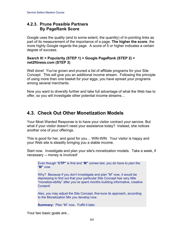### **4.2.3. Prune Possible Partners By PageRank Score**

Google uses the quality (and to some extent, the quantity) of in-pointing links as part of its measurement of the importance of a page. **The higher the score**, the more highly Google regards the page. A score of 5 or higher indicates a certain degree of success.

#### **Search It! > Popularity (STEP 1) > Google PageRank (STEP 2) > net2fitness.com (STEP 3)**

Well done! You've grown and pruned a list of affiliate programs for your Site Concept. This will give you an additional income stream. Following the principle of using more than one basket for your eggs, you have spread your programs among several merchants.

Now you want to diversify further and take full advantage of what the Web has to offer, so you will investigate other potential income streams…

## **4.3. Check Out Other Monetization Models**

Your Most Wanted Response is to have your visitor contract your service. But what if your visitor doesn't need your assistance today? Instead, she notices another one of your offerings.

This is good for her, and good for you… WIN-WIN. Your visitor is happy and your Web site is steadily bringing you a stable income.

Start now. Investigate and plan your site's monetization models. Take a week, if necessary -- money is involved!

Even though "**CTP"** is first and "**M"** comes last, you do have to *plan* the "**M"** *now*.

Why? Because if you don't investigate and plan "M" now, it would be depressing to find out that your particular Site Concept has very little "monetize-ability" after you've spent months building informative, creative Content!

Also, you may adjust the Site Concept, fine-tune its approach, according to the Monetization Mix you develop now.

**Summary:** Plan "M" now. Fulfill it later.

Your two basic goals are...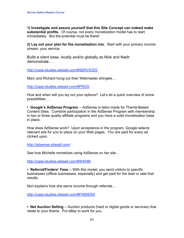**1) Investigate and assure yourself that this Site Concept can indeed make substantial profits.** Of course, not every monetization model has to start immediately. But the potential must be there!

**2) Lay out your plan for the monetization mix.** Start with your primary income stream, your service.

Build a client base, locally and/or globally as Nick and Nadir demonstrate…

<http://case-studies.sitesell.com/#SERVICES>

Marc and Richard hung out their Webmaster shingles…

<http://case-studies.sitesell.com/#PROS>

How and when will you lay out your options? Let's do a quick overview of some possibilities…

• **Google's AdSense Program** -- AdSense is tailor-made for Theme-Based Content Sites. Combine participation in the AdSense Program with membership in two or three quality affiliate programs and you have a solid monetization base in place.

How does AdSense work? Upon acceptance in the program, Google selects relevant ads for you to place on your Web pages. You are paid for every ad clicked upon.

[http://adsense.sitesell.com/](http://adsense.sitesell.com/gitbwebaffiliate.html                     )

See how Michelle monetizes using AdSense on her site…

<http://case-studies.sitesell.com/#WAHM>

**• Referral/Finders' Fees** -- With this model, you send visitors to specific businesses (offline businesses, especially) and get paid for the lead or sale that results.

Nori explains how she earns income through referrals…

<http://case-studies.sitesell.com/#FINDERS>

**• Net Auction Selling** -- Auction products (hard or digital goods or services) that relate to your theme. Put eBay to work for you.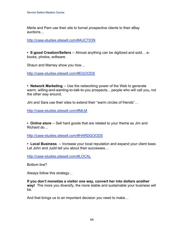Merle and Pam use their site to funnel prospective clients to their eBay auctions…

<http://case-studies.sitesell.com/#AUCTION>

**• E-good Creation/Sellers** -- Almost anything can be digitized and sold… ebooks, photos, software.

Shaun and Marney show you how…

<http://case-studies.sitesell.com/#EGOODS>

**• Network Marketing** -- Use the networking power of the Web to generate warm, willing-and-wanting-to-talk-to-you prospects... people who will call you*,* not the other way around.

Jim and Sara use their sites to extend their "warm circles of friends"…

<http://case-studies.sitesell.com/#MLM>

**• Online store** -- Sell hard goods that are related to your theme as Jim and Richard do…

<http://case-studies.sitesell.com/#HARDGOODS>

**• Local Business** -- Increase your local reputation and expand your client base. Let John and Judd tell you about their successes…

<http://case-studies.sitesell.com/#LOCAL>

Bottom line?

Always follow this strategy…

**If you don't monetize a visitor one way, convert her into dollars another way!** The more you diversify, the more stable and sustainable your business will be.

And that brings us to an important decision you need to make…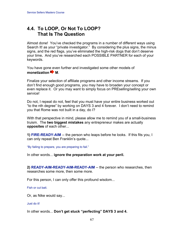## **4.4. To LOOP, Or Not To LOOP? That Is The Question**

Almost done! You've checked the programs in a number of different ways using Search It! as your "private investigator." By considering the plus signs, the minus signs, and the red flags, you've eliminated the high-risk dogs that don't deserve your time**.** And you've researched each POSSIBLE PARTNER for each of your keywords.

You have gone even further and investigated some other models of **monetization M**.

Finalize your selection of affiliate programs and other income streams. If you don't find enough good programs, you may have to broaden your concept or even replace it. Or you may want to simply focus on PREselling/selling your own service!

Do not, I repeat do not, feel that you must have your entire business worked out "to the nth degree" by working on DAYS 3 and 4 forever. I don't need to remind you that Rome was not built in a day, do I?

With that perspective in mind, please allow me to remind you of a small-business truism. The **two biggest mistakes** any entrepreneur makes are actually **opposites** of each other...

**1) FIRE-READY-AIM** -- the person who leaps before he looks. If this fits you, I can only repeat Ben Franklin's quote...

"By failing to prepare, you are preparing to fail."

In other words... **ignore the preparation work at your peril.**

**2) READY-AIM-READY-AIM-READY-AIM** -- the person who researches, then researches some more, then some more.

For this person, I can only offer this profound wisdom...

Fish or cut bait.

Or, as Nike would say...

Just do it!

In other words... **Don't get stuck "perfecting" DAYS 3 and 4.**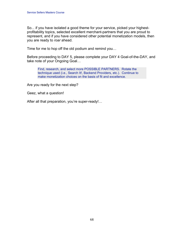So... if you have isolated a good theme for your service, picked your highestprofitability topics, selected excellent merchant-partners that you are proud to represent, and if you have considered other potential monetization models, then you are ready to *roar* ahead.

Time for me to hop off the old podium and remind you…

Before proceeding to DAY 5, please complete your DAY 4 Goal-of-the-DAY, and take note of your Ongoing Goal…

Find, research, and select more POSSIBLE PARTNERS. Rotate the technique used (i.e., Search It!, Backend Providers, etc.). Continue to make monetization choices on the basis of fit and excellence.

Are you ready for the next step?

Geez, what a question!

After all that preparation, you're super-ready!…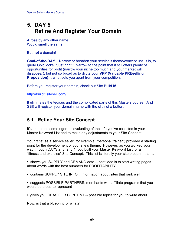# **5. DAY 5 Refine And Register Your Domain**

A rose by any other name Would smell the same...

But **not** a domain!

**Goal-of-the-DAY...** Narrow or broaden your service's theme/concept until it is, to quote Goldilocks, "Just right." Narrow to the point that it still offers plenty of opportunities for profit (narrow your niche too much and your market will disappear), but not so broad as to dilute your **VPP (Valuable PREselling Proposition)**… what sets you apart from your competition.

Before you register your domain, check out Site Build It!...

[http://buildit.sitesell.com/](http://buildit.sitesell.com/gitbwebaffiliate.html                     )

It eliminates the tedious and the complicated parts of this Masters course. And SBI! will register your domain name with the click of a button.

## **5.1. Refine Your Site Concept**

It's time to do some rigorous evaluating of the info you've collected in your Master Keyword List and to make any adjustments to your Site Concept.

Your "title" as a service seller (for example, "personal trainer") provided a starting point for the development of your site's theme. However, as you worked your way through DAYS 2, 3, and 4, you built your Master Keyword List for a "fitness and exercise" Site Concept. This list is literally your site blueprint that…

**•** shows you SUPPLY and DEMAND data -- best idea is to start writing pages about words with the best numbers for PROFITABILITY

**•** contains SUPPLY SITE INFO... information about sites that rank well

**•** suggests POSSIBLE PARTNERS, merchants with affiliate programs that you would be proud to represent

**•** gives you IDEAS FOR CONTENT -- possible topics for you to write about.

Now, is that a blueprint, or what?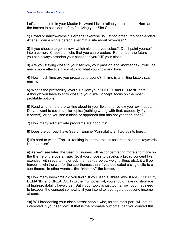Let's use the info in your Master Keyword List to refine your concept. Here are the factors to consider before finalizing your Site Concept...

**1)** Broad or narrow-niche? Perhaps "exercise" is just too broad, too open-ended. After all, can a single person ever "fill" a site about "exercise"?

**2)** If you choose to go narrow, which niche do you select? Don't paint yourself into a corner. Choose a niche that you can broaden. Remember the future - you can always broaden your concept if you "fill" your niche.

**3)** Are you staying close to your service, your passion and knowledge? You'll be much more effective if you stick to what you know and love.

**4)** How much time are you prepared to spend? If time is a limiting factor, stay narrow.

**5)** What's the profitability level? Review your SUPPLY and DEMAND data. Although you have to stick close to your Site Concept, focus on the most profitable options.

**6)** Read what others are writing about in your field, and review your own ideas. Do you want to cover similar topics (nothing wrong with that, especially if you do it better!), or do you see a niche or approach that has not yet been done?

**7)** How many solid affiliate programs are good fits?

**8)** Does the concept have Search Engine "Winnability"? Two points here...

**i)** It's hard to win a "Top 10" ranking in search results for broad-concept keywords like "exercise".

**ii)** As we'll see later, the Search Engines will be concentrating more and more on the **theme** of the overall site. So if you choose to develop a broad concept like exercise, with several major sub-themes (aerobics, weight lifting, etc.), it will be harder to win the war for the sub-themes than if you dedicated a single site to a sub-theme. In other words... **the "nichier," the better.**

**9)** How many keywords did you find? If you used all three WINDOWS (SUPPLY, DEMAND, and BREAKOUT) to their full potential, you should have no shortage of high-profitability keywords. But if your topic is just too narrow, you may need to broaden the concept somewhat if you intend to leverage that second income stream.

**10)** Will broadening your niche attract people who, for the most part, will not be interested in your service? If that is the probable outcome, can you convert this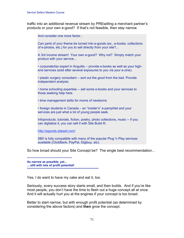traffic into an additional revenue stream by PREselling a merchant partner's products or your own e-good? If that's not feasible, then stay narrow.

And consider one more factor.

Can parts of your theme be turned into e-goods (ex., e-books, collections of e-photos, etc.) for you to sell directly from your site?...

A 3rd income stream! Your own e-good? Why not? Simply match your product with your service...

• corporate/tax expert in Anguilla -- provide e-books as well as your highend services (sold after several exposures to you via your e-zine).

• plastic surgery consultant -- sort out the good from the bad. Provide independent analysis.

• home schooling expertise -- sell some e-books and your services to those seeking help here.

• time management skills for moms of newborns

• foreign students in Canada – an "insider's" e-pamphlet and your services are just what a lot of young people seek.

Infoproducts, tutorials, fiction, poetry, photo collections, music -- if you can digitalize it, you can sell it with Site Build It!.

[http://egoods.sitesell.com/](http://egoods.sitesell.com/gitbwebaffiliate.html                      )

SBI! is fully compatible with many of the popular Plug 'n Play services available (ClickBank, PayPal, Digibuy, etc).

So how broad should your Site Concept be? The single best recommendation...

\*\*\*\*\*\*\*\*\*\*\*\*\*\*\*\*\*\*\*\*\*\*\*\*\*\*\*\*\*\*\*\*\*\*\*\*\*\*\* **As narrow as possible, yet... ... still with lots of profit potential!** \*\*\*\*\*\*\*\*\*\*\*\*\*\*\*\*\*\*\*\*\*\*\*\*\*\*\*\*\*\*\*\*\*\*\*\*\*\*\*\*\*\*\*\*\*\*\*\*\*\*\*

Yes, I do want to have my cake and eat it, too.

Seriously, every success story starts small, and then builds. And if you're like most people, you don't have the time to flesh out a huge concept all at once. And it will actually hurt you at the engines if your concept is too broad.

Better to start narrow, but with enough profit potential (as determined by considering the above factors) and **then** grow the concept.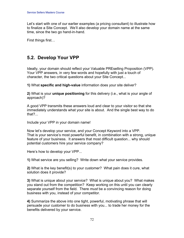Let's start with one of our earlier examples (a pricing consultant) to illustrate how to finalize a Site Concept. We'll also develop your domain name at the same time, since the two go hand-in-hand.

First things first…

## **5.2. Develop Your VPP**

Ideally, your domain should reflect your Valuable PREselling Proposition (VPP). Your VPP answers, in very few words and hopefully with just a touch of character, the two critical questions about your Site Concept...

**1)** What **specific and high-value** information does your site deliver?

**2)** What is your **unique positioning** for this delivery (i.e., what is your angle of approach)?

A good VPP transmits these answers loud and clear to your visitor so that she immediately understands what your site is about. And the single best way to do that?...

Include your VPP in your domain name!

Now let's develop your service, and your Concept Keyword into a VPP. That is your service's most powerful benefit, in combination with a strong, unique feature of your business. It answers that most difficult question... why should potential customers hire your service company?

Here's how to develop your VPP...

**1)** What service are you selling? Write down what your service provides.

**2)** What is the key benefit(s) to your customer? What pain does it cure, what solution does it provide?

**3)** What is unique about your service? What is unique about you? What makes you stand out from the competition? Keep working on this until you can clearly separate yourself from the field. There *must* be a convincing reason for doing business with you, instead of your competitor.

**4)** Summarize the above into one tight, powerful, motivating phrase that will persuade your customer to do business with you... to trade her money for the benefits delivered by your service.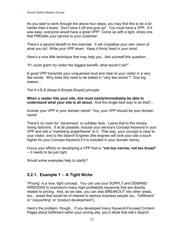As you start to work through the above four steps, you may find this to be a lot harder than it looks. Don't blow it off and give up! You must have a VPP. If it was easy, everyone would have a great VPP! Come up with a tight, sharp one that PREsells your service to your customer.

There's a second benefit to this exercise. It will crystallize your own vision of what you do! Write your VPP down. Keep it firmly fixed in your mind.

Here's a nice little technique that may help you. Ask yourself this question...

"If I could grant my visitor the biggest benefit, what would it be?"

A good VPP transmits your uniqueness loud and clear to your visitor in a very few words. Why does this need to be stated in "very few words"? One big reason

The K-I-S-S (Keep-It-Simple-Stupid) principle.

#### **When a reader hits your site, she must easily/immediately be able to understand what your site is all about.** And the single best way to do that?...

Include your VPP in your domain name! Yes, your VPP should be your domain name!

There's no room for "cleverness" or subtlety here. Leave that to the moneylosing dotcoms. If at all possible, include your service's Concept Keyword in your VPP and add a "marketing angle/theme" to it. That way, your concept is clear to your visitor, and to the Search Engines (the engines will rank your site a touch higher for your Concept Keyword if it is included in your domain name).

Focus your efforts on developing a VPP that is **"not too narrow, not too broad"** -- it needs to be just right.

Would some examples help to clarify?

## **5.2.1. Example 1** -- **A Tight Niche**

"Pricing" is a nice, tight concept. You can use your SUPPLY and DEMAND WINDOWS to brainstorm many high-profitability keywords that are directly related to pricing. And, as we saw, you can also BREAKOUT into other areas, too... areas that would be of interest to serious business people (ex., "fulfillment" or "copywriting" or "product development").

Here's the problem, though... if you developed many Keyword-Focused Content Pages about fulfillment within your pricing site, you'd *dilute* that site's Search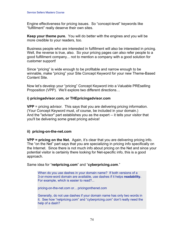Engine effectiveness for pricing issues. So "concept-level" keywords like "fulfillment" really deserve their own sites.

**Keep your theme pure.** You will do better with the engines and you will be more credible to your readers, too.

Business people who are interested in fulfillment will also be interested in pricing. Well, the reverse is true, also. So your pricing pages can also refer people to a good fulfillment company... not to mention a company with a good solution for customer support!

Since "pricing" is wide enough to be profitable and narrow enough to be winnable, make "pricing" your Site Concept Keyword for your new Theme-Based Content Site.

Now let's develop your "pricing" Concept Keyword into a Valuable PREselling Proposition (VPP). We'll explore two different directions…

#### **i) pricingadvisor.com, or THEpricingadvisor.com**

**VPP** = pricing advisor. This says that you are delivering pricing information. (Your Concept Keyword must, of course, be included in your domain.) And the "advisor" part establishes you as the expert -- it tells your visitor that you'll be delivering some great pricing advice!

#### **ii) pricing-on-the-net.com**

**VPP = pricing on the Net.** Again, it's clear that you are delivering pricing info. The "on the Net" part says that you are specializing in pricing info specifically on the Internet. Since there is not much info about pricing on the Net and since your potential visitor is certainly there looking for Net-specific info, this is a good approach.

Same idea for "**netpricing.com**" and "**cyberpricing.com**."

When do you use dashes in your domain name? If both versions of a 3-or-more-word domain are available, use dashes if it helps **readability.** For example, which is easier to read?...

pricing-on-the-net.com or... pricingonthenet.com

Generally, do not use dashes if your domain name has only two words in it. See how "netpricing.com" and "cyberpricing.com" don't really need the help of a dash?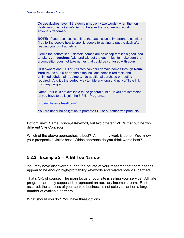Do use dashes (even if the domain has only two words) when the nondash version is *not available.* But be sure that you are not violating anyone's trademark.

**NOTE:** If your business is offline, the dash issue is important to consider (i.e., telling people how to spell it, people forgetting to put the dash after reading your print ad, etc.).

Here's the bottom line... domain names are so cheap that it's a good idea to take **both versions** (with and without the dash), just to make sure that a competitor does not take names that could be confused with yours.

SBI! owners and 5 Pillar Affiliates can park domain names through **Name Park It!.** Its \$9.95 per-domain fee includes domain-redirects and unlimited subdomain-redirects. No additional purchase or hosting required. And it's the perfect way to hide any long and ugly affiliate link from any program!

Name Park It! is not available to the general public. If you are interested, all you have to do is join the 5 Pillar Program…

[http://affiliates.sitesell.com/](http://affiliates.sitesell.com/gitbwebaffiliate.html                  )

You are under no obligation to promote SBI! or our other free products.

Bottom line? Same Concept Keyword, but two different VPPs that outline two different Site Concepts.

Which of the above approaches is best? Ahhh... my work is done. **You** know your prospective visitor best. Which approach do **you** think works best?

### **5.2.2. Example 2** -- **A Bit Too Narrow**

You may have discovered during the course of your research that there doesn't appear to be enough high-profitability keywords and related potential partners.

That's OK, of course. The main focus of your site is selling your service. Affiliate programs are only supposed to represent an auxiliary income stream. Rest assured, the success of your service business is not solely reliant on a large number of available partners.

What should you do? You have three options...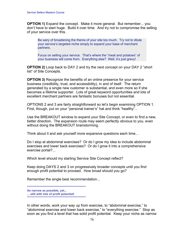**OPTION 1)** Expand the concept. Make it more general. But remember... you don't have to start huge. Build it over time. And try not to compromise the selling of your service over this.

Be wary of broadening the theme of your site too much. Try not to dilute your service's targeted niche simply to expand your base of merchant partners.

Focus on selling your service. That's where the "meat and potatoes" of your business will come from. Everything else? Well, it's just gravy!

**OPTION 2)** Loop back to DAY 2 and try the next concept on your DAY 2 "short list" of Site Concepts.

**OPTION 3)** Recognize the benefits of an online presence for your service business (credibility, trust, and accessibility), in and of itself. The return generated by a single new customer is substantial, and even more so if she becomes a lifetime supporter. Lots of great keyword opportunities and lots of excellent merchant partners are fantastic bonuses but not essential.

OPTIONS 2 and 3 are fairly straightforward so let's begin examining OPTION 1. First, though, put on your "personal trainer's" hat and think "healthy"...

Use the BREAKOUT window to expand your Site Concept, or even to find a new, better direction. The expansion route may seem perfectly obvious to you, even without doing the BREAKOUT brainstorming.

Think about it and ask yourself more expansive questions each time...

Do I stop at abdominal exercises? Or do I grow my idea to include abdominal exercises and lower back exercises? Or do I grow it into a comprehensive exercise portal?...

Which level should my starting Service Site Concept reflect?

Keep doing DAYS 2 and 3 on progressively broader concepts until you find enough profit potential to proceed. How broad should you go?

Remember the single best recommendation...

\*\*\*\*\*\*\*\*\*\*\*\*\*\*\*\*\*\*\*\*\*\*\*\*\*\*\*\*\*\*\*\*\*\*\*\*\*\*\*\*\*\*\*\*\*\*\*\*\*\*\* **As narrow as possible, yet... ... still with lots of profit potential!** \*\*\*\*\*\*\*\*\*\*\*\*\*\*\*\*\*\*\*\*\*\*\*\*\*\*\*\*\*\*\*\*\*\*\*\*\*\*\*\*\*\*\*\*\*\*\*\*\*\*\*

In other words, work your way up from exercise, to "abdominal exercise," to "abdominal exercise and lower back exercise," to "everything exercise." Stop as soon as you find a level that has solid profit potential. Keep your niche as narrow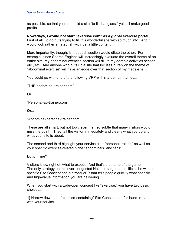as possible, so that you can build a site "to fill that glass," yet still make good profits.

**Nowadays, I would not start "exercise.com" as a global exercise portal**. First of all, I'd go nuts trying to fill this wonderful site with so much info. And it would look rather amateurish with just a little content.

More importantly, though, is that each section would dilute the other. For example, since Search Engines will increasingly evaluate the overall theme of an entire site, my abdominal exercise section will dilute my aerobic activities section, etc., etc. And anyone who puts up a site that focuses purely on the theme of "abdominal exercise" will have an edge over that section of my mega-site.

You could go with one of the following VPP-within-a-domain names...

"THE-abdominal-trainer.com"

**Or...**

"Personal-ab-trainer.com"

**Or...**

"Abdominal-personal-trainer.com"

These are all smart, but not too clever (i.e., so subtle that many visitors would miss the point). They tell the visitor immediately and clearly what you do and what your site is about.

The second and third highlight your service as a "personal trainer," as well as your specific exercise-related niche "abdominals" and "abs".

Bottom line?

Visitors know right off what to expect. And that's the name of the game. The only strategy on this over-congested Net is to target a specific niche with a specific Site Concept and a strong VPP that tells people quickly what specific and high-value information you are delivering.

When you start with a wide-open concept like "exercise," you have two basic choices...

**1)** Narrow down to a "exercise-containing" Site Concept that fits hand-in-hand with your service.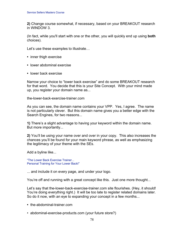**2)** Change course somewhat, if necessary, based on your BREAKOUT research in WINDOW 3.

(In fact, while you'll start with one or the other, you will quickly end up using **both** choices).

Let's use these examples to illustrate…

- **•** inner thigh exercise
- **•** lower abdominal exercise
- **•** lower back exercise

Narrow your choice to "lower back exercise" and do some BREAKOUT research for that word. You decide that this is your Site Concept. With your mind made up, you register your domain name as...

the-lower-back-exercise-trainer.com

As you can see, the domain name contains your VPP. Yes, I agree. The name is not particularly clever. But this domain name gives you a better edge with the Search Engines, for two reasons...

**1)** There's a slight advantage to having your keyword within the domain name. But more importantly...

**2)** You'll be using your name over and over in your copy. This also increases the chances you'll be found for your main keyword phrase, as well as emphasizing the legitimacy of your theme with the SEs.

Add a byline like...

"The Lower Back Exercise Trainer... Personal Training for Your Lower Back!"

... and include it on every page, and under your logo.

You're off and running with a great concept like this. Just one more thought...

Let's say that the-lower-back-exercise-trainer.com site flourishes. (Hey, it should! You're doing everything right.) It will be too late to register related domains later. So do it now, with an eye to expanding your concept in a few months...

- **•** the-abdominal-trainer.com
- abdominal-exercise-products.com (your future store?)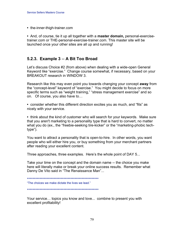**•** the-inner-thigh-trainer.com

**•** And, of course, tie it up all together with a **master domain,** personal-exercisetrainer.com or THE-personal-exercise-trainer.com. This master site will be launched once your other sites are all up and running!

## **5.2.3. Example 3** -- **A Bit Too Broad**

Let's discuss Choice #2 (from above) when dealing with a wide-open General Keyword like "exercise." Change course somewhat, if necessary, based on your BREAKOUT research in WINDOW 3.

Research like this may even point you towards changing your concept **away** from the "concept-level" keyword of "exercise." You might decide to focus on more specific terms such as "weight training," "stress management exercise" and so on. Of course, you also have to…

**•** consider whether this different direction excites you as much, and "fits" as nicely with your service.

**•** think about the kind of customer who will search for your keywords. Make sure that you aren't marketing to a personality type that is hard to convert, no matter what you do (ex., the "freebie-seeking tire-kicker" or the "marketing-phobic techtype").

You want to attract a personality that is open-to-hire. In other words, you want people who will either hire you, or buy something from your merchant partners after reading your excellent content.

Three approaches, three examples. Here's the whole point of DAY 5...

Take your time on the concept and the domain name -- the choice you make here will literally make or break your online success results. Remember what Danny De Vito said in "The Renaissance Man"...

\*\*\*\*\*\*\*\*\*\*\*\*\*\*\*\*\*\*\*\*\*\*\*\*\*\*\*\*\*\*\*\*\*\*\*\*\*\*\*\*\*\*\*\*\*\*\*\*\*\*\* "The choices we make dictate the lives we lead."

\*\*\*\*\*\*\*\*\*\*\*\*\*\*\*\*\*\*\*\*\*\*\*\*\*\*\*\*\*\*\*\*\*\*\*\*\*\*\*\*\*\*\*\*\*\*\*\*\*\*\*

Your service… topics you know and love... combine to present you with excellent profitability!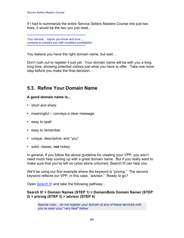If I had to summarize the entire Service Sellers Masters Course into just two lines, it would be the two you just read...

\*\*\*\*\*\*\*\*\*\*\*\*\*\*\*\*\*\*\*\*\*\*\*\*\*\*\*\*\*\*\*\*\*\*\*\*\*\*\*\*\*\*\*\*\*\*\*\*\*\*\* Your service… topics you know and love… combine to present you with excellent profitability! \*\*\*\*\*\*\*\*\*\*\*\*\*\*\*\*\*\*\*\*\*\*\*\*\*\*\*\*\*\*\*\*\*\*\*\*\*\*\*\*\*\*\*\*\*\*\*\*\*\*\*

You believe you have the right domain name, but wait…

Don't rush out to register it just yet. Your domain name will be with you a long, long time, showing potential visitors just what you have to offer. Take one more step before you make the final decision…

## **5.3. Refine Your Domain Name**

#### **A good domain name is...**

- **•** short and sharp
- **•** meaningful -- conveys a clear message
- **•** easy to spell
- **•** easy to remember
- **•** unique, descriptive, and "you"
- **•** solid, classic, **not** hokey

In general, if you follow the above guideline for creating your VPP, you won't need much help coming up with a great domain name. But if you really want to make sure that you've left no cyber-stone unturned, Search It! can help you.

We'll be using our first example where the keyword is "pricing." The second keyword reflects our VPP, in this case, "advisor." Ready to go?

Open [Search It!](http://searchit.sitesell.com/gitbwebaffiliate.html                    ) and take the following pathway…

#### **Search It! > Domain Names (STEP 1) > DomainBots Domain Namer (STEP 2) > pricing (STEP 3) > advisor (STEP 4)**

Special note… do not register your domain at any of these services until you've seen your "very best" below.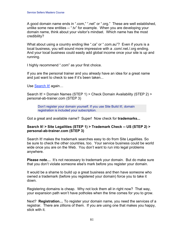A good domain name ends in ".com," ".net" or ".org." These are well established, unlike some new entities -- ".tv" for example. When you are developing your domain name, think about your visitor's mindset. Which name has the most credibility?

What about using a country ending like ".ca" or ".com.au"? Even if yours is a local business, you will sound more impressive with a .com/.net./.org ending. And your local business could easily add global income once your site is up and running.

I highly recommend ".com" as your first choice.

If you are the personal trainer and you already have an idea for a great name and just want to check to see if it's been taken...

Use [Search It!](http://searchit.sitesell.com/gitbwebaffiliate.html                    ) again...

Search It! > Domain Names (STEP 1) > Check Domain Availability (STEP 2) > personal-ab-trainer.com (STEP 3)

Don't register your domain yourself. If you use Site Build It!, domain registration is included your subscription.

Got a great and available name? Super! Now check for **trademarks...**

#### **Search It! > Site Legalities (STEP 1) > Trademark Check -- US (STEP 2) > personal-ab-trainer.com (STEP 3)**

Search It! makes the trademark searches easy to do from Site Legalities. So be sure to check the other countries, too. Your service business could be world wide once you are on the Web. You don't want to run into legal problems anywhere.

**Please note…** It's not necessary to trademark your domain. But do make sure that you don't violate someone else's mark before you register your domain.

It would be a shame to build up a great business and then have someone who owned a trademark (before you registered your domain) force you to take it down.

Registering domains is cheap. Why not lock them all in right now? That way, your expansion path won't have potholes when the time comes for you to grow.

Next? **Registration…** To register your domain name, you need the services of a registrar. There are zillions of them. If you are using one that makes you happy, stick with it.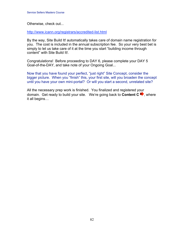Otherwise, check out...

<http://www.icann.org/registrars/accredited-list.html>

By the way, Site Build It! automatically takes care of domain name registration for you. The cost is included in the annual subscription fee. So your very best bet is simply to let us take care of it at the time you start "building income through content" with Site Build It!.

Congratulations! Before proceeding to DAY 6, please complete your DAY 5 Goal-of-the-DAY, and take note of your Ongoing Goal...

Now that you have found your perfect, "just right" Site Concept, consider the bigger picture. When you "finish" this, your first site, will you broaden the concept until you have your own mini-portal? Or will you start a second, unrelated site?

All the necessary prep work is finished. You finalized and registered your domain. Get ready to build your site. We're going back to **Content C**<sub>1</sub>, where it all begins*…*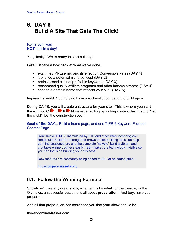# **6. DAY 6 Build A Site That Gets The Click!**

#### Rome.com was **NOT** built in a day!

Yes, finally! We're ready to start building!

Let's just take a look back at what we've done…

- examined PREselling and its effect on Conversion Rates **(**DAY 1)
- identified a potential niche concept (DAY 2)
- brainstormed a list of profitable keywords (DAY 3)
- researched quality affiliate programs and other income streams (DAY 4).
- chosen a domain name that reflects your VPP (DAY 5).

Impressive work! You truly do have a rock-solid foundation to build upon.

During DAY 6, you will create a structure for your site. This is where you start the exciting  $C \rightarrow T \rightarrow P$  **M** snowball rolling by writing content designed to "get" the click!" Let the construction begin!

**Goal-of-the-DAY**... Build a home page, and one TIER 2 Keyword-Focused Content Page.

Don't know HTML? Intimidated by FTP and other Web technologies? Relax. Site Build It!'s "through-the-browser" site-building tools can help both the seasoned pro and the complete "newbie" build a vibrant and profitable online business easily! SBI! makes the technology invisible so you can focus on building your business!

New features are constantly being added to SBI! at no added price...

[http://compare.sitesell.com/](http://compare.sitesell.com/gitbwebaffiliate.html                     )

## **6.1. Follow the Winning Formula**

Showtime! Like any great show, whether it's baseball, or the theatre, or the Olympics, a successful outcome is all about **preparation.** And boy, have you prepared!

And all that preparation has convinced you that your show should be...

the-abdominal-trainer.com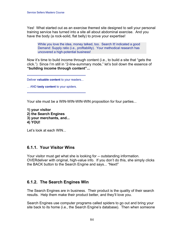Yes! What started out as an exercise themed site designed to sell your personal training service has turned into a site all about abdominal exercise. And you have the body (a rock-solid, flat belly) to prove your expertise!

While you love the idea, money talked, too. Search It! indicated a good Demand: Supply ratio (i.e., profitability). Your methodical research has uncovered a high-potential business!

Now it's time to build income through content (i.e., to build a site that "gets the click.") Since I'm still in "2-line-summary mode," let's boil down the essence of **"building income through content"...**

\*\*\*\*\*\*\*\*\*\*\*\*\*\*\*\*\*\*\*\*\*\*\*\*\*\*\*\*\*\*\*\*\*\*\*\*\*\*\*\*\*\*\*\*\*\*\*\*\*\*\* Deliver **valuable content** to your readers... ... AND **tasty content** to your spiders. \*\*\*\*\*\*\*\*\*\*\*\*\*\*\*\*\*\*\*\*\*\*\*\*\*\*\*\*\*\*\*\*\*\*\*\*\*\*\*\*\*\*\*\*\*\*\*\*\*\*\*

Your site must be a WIN-WIN-WIN-WIN proposition for four parties...

**1) your visitor 2) the Search Engines 3) your merchants, and... 4) YOU!**

Let's look at each WIN...

## **6.1.1. Your Visitor Wins**

Your visitor must get what she is looking for -- outstanding information. OVERdeliver with original, high-value info. If you don't do this, she simply clicks the BACK button to the Search Engine and says... "Next!"

## **6.1.2. The Search Engines Win**

The Search Engines are in business. Their product is the quality of their search results. Help them make their product better, and they'll love you.

Search Engines use computer programs called spiders to go out and bring your site back to its home (i.e., the Search Engine's database). Then when someone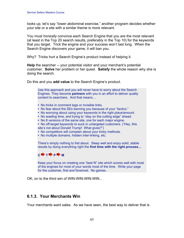looks up, let's say "lower abdominal exercise," another program decides whether your site or a site with a similar theme is more relevant.

You must *honestly* convince each Search Engine that you are the most relevant (at least in the Top 20 search results, preferably in the Top 10) for the keywords that you target. Trick the engine and your success won't last long. When the Search Engine discovers your game, it will ban you.

Why? Tricks hurt a Search Engine's product instead of helping it.

**Help** the searcher -- your potential visitor and your merchant's potential customer. **Solve** her problem or her quest. **Satisfy** the whole reason why she is doing the search.

Do this and you **add value** to the Search Engine's product.

Use this approach and you will never have to worry about the Search Engines. They become **partners** with you in an effort to deliver quality content to searchers. And that means…

- **•** No tricks in comment tags or invisible links.
- **•** No fear about the SEs banning you because of your "tactics."
- No worrying about using your keywords in the right place/amount.
- No wasting time, and trying to "stay on the cutting edge" ahead.
- No 8 versions of the same site, one for each major engine.
- No off-target keywords to suck in untargeted customers. ("Hey, this site's not about Donald Trump! What gives?")
- No competitors will complain about your tricky methods.
- **•** No multiple domains, hidden inter-linking, etc.

There's simply nothing to fret about. Sleep well and enjoy solid, stable results by doing everything right the **first time with the right process…**



Keep your focus on creating one "best fit" site which scores well with most of the engines for most of your words most of the time. Write your page for the customer, first and foremost. No games.

OK, on to the third win of WIN-WIN-WIN-WIN...

### **6.1.3. Your Merchants Win**

Your merchants want sales. As we have seen, the best way to deliver that is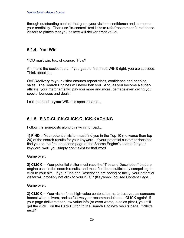through outstanding content that gains your visitor's confidence and increases your credibility. Then use "in-context" text links to refer/recommend/direct those visitors to places that you believe will deliver great value.

## **6.1.4. You Win**

YOU must win, too, of course. How?

Ah, that's the easiest part. If you get the first three WINS right, you *will* succeed. Think about it...

OVERdelivery to your visitor ensures repeat visits, confidence and ongoing sales. The Search Engines will never ban you. And, as you become a superaffiliate, your merchants will pay you more and more, perhaps even giving you special bonuses and deals!

I call the road to **your** WIN this special name...

## **6.1.5. FIND-CLICK-CLICK-CLICK-KACHING**

Follow the sign-posts along this winning road…

**1) FIND** -- Your potential visitor must find you in the Top 10 (no worse than top 20) of the search results for your keyword. If your potential customer does not find you on the first or second page of the Search Engine's search for your keyword, well, you simply don't exist for that word.

Game over.

**2) CLICK** -- Your potential visitor must read the "Title and Description" that the engine uses in the search results, and must find them sufficiently compelling to click to your site. If your Title and Description are boring or tacky, your potential visitor will probably not click to your KFCP (Keyword-Focused Content Page).

Game over.

**3) CLICK** -- Your visitor finds high-value content, learns to trust you as someone honest who delivers, and so follows your recommendations... CLICK again! If your page delivers poor, low-value info (or even worse, a sales pitch), you still get the click... on the Back Button to the Search Engine's results page. "Who's next?"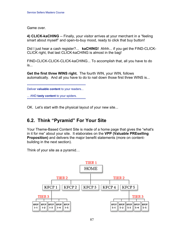Game over.

**4) CLICK-kaCHING** -- Finally, your visitor arrives at your merchant in a "feeling smart about myself" and open-to-buy mood, ready to click that buy button!

Did I just hear a cash register?... **kaCHING!** Ahhh... if you get the FIND-CLICK-CLICK right, that last CLICK-kaCHING is almost in the bag!

FIND-CLICK-CLICK-CLICK-kaCHING... To accomplish that, all you have to do is...

**Get the first three WINS right.** The fourth WIN, your WIN, follows automatically. And all you have to do to nail down those first three WINS is...

```
***************************************************
Deliver valuable content to your readers...
```
... AND **tasty content** to your spiders. \*\*\*\*\*\*\*\*\*\*\*\*\*\*\*\*\*\*\*\*\*\*\*\*\*\*\*\*\*\*\*\*\*\*\*\*\*\*\*\*\*\*\*\*\*\*\*\*\*\*\*

OK. Let's start with the physical layout of your new site...

## **6.2. Think "Pyramid" For Your Site**

Your Theme-Based Content Site is made of a home page that gives the "what's in it for me" about your site. It elaborates on the **VPP (Valuable PREselling Proposition)** and delivers the major benefit statements (more on contentbuilding in the next section).

Think of your site as a pyramid…

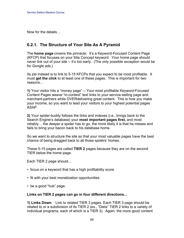Now for the details…

## **6.2.1. The Structure of Your Site As A Pyramid**

The **home page** crowns the pinnacle. It's a Keyword-Focused Content Page (KFCP) that focuses on your Site Concept keyword. Your home page should never link out of your site -- it's too early. (The only possible exception would be for Google ads.)

Its job instead is to link to 5-15 KFCPs that you expect to be most profitable. It must **get the click** to at least one of these pages. This is important for two reasons...

**1)** Your visitor hits a "money page" -- Your most profitable Keyword-Focused Content Pages weave "in-context" text links to your service-selling page and merchant-partners while OVERdelivering great content. This is how you make your income, so you want to lead your visitors to your highest potential pages ASAP.

**2)** Your spider-buddy follows the links and indexes (i.e., brings back to the Search Engine's database) your **most important pages first,** and most reliably… the deeper a spider has to go, the more likely it is that he misses and fails to bring your bacon back to his database home.

So we want to structure the site so that your most valuable pages have the best chance of being dragged back to all those spiders' homes.

These 5-15 pages are called **TIER 2** pages because they are on the second TIER below the home page.

Each TIER 2 page should…

- focus on a keyword that has a high profitability score
- fit with your best monetization opportunities
- be a good "hub" page.

#### **Links on TIER 2 pages can go in four different directions...**

**1) Links Down** Link to related TIER 3 pages. Each TIER 3 page should be related to or a subdivision of its TIER 2 (ex., "Diets" TIER 2 links to a variety of individual programs, each of which is a TIER 3). Again, the more good content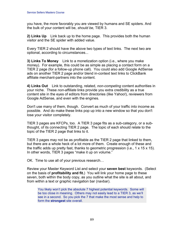you have, the more favorably you are viewed by humans and SE spiders. And the bulk of your content will be, *should be,* TIER 3.

**2) Links Up** Link back up to the home page. This provides both the human visitor and the SE spider with added value.

Every TIER 2 should have the above two types of text links. The next two are optional, according to circumstances...

**3) Links To Money** Link to a monetization option (i.e., where you make money). For example, this could be as simple as placing a contact form on a TIER 2 page (for a follow-up phone call). You could also add Google AdSense ads on another TIER 2 page and/or blend in-context text links to ClickBank affiliate merchant-partners into the content.

**4) Links Out** Link to outstanding, related, *non-competing* content authorities in your niche. These *non-affiliate* links provide you extra credibility as a true content site in the eyes of editors from directories (like Yahoo!), reviewers from Google AdSense, and even with the engines.

Don't use many of them, though. Convert as much of your traffic into income as possible. And do make these links pop up into a new window so that you don't lose your visitor completely.

TIER 3 pages are KFCPs, too. A TIER 3 page fits as a sub-category, or a subthought, of its connecting TIER 2 page. The topic of each should relate to the topic of the TIER 2 page that links to it.

TIER 3 pages may not be as profitable as the TIER 2 page that linked to them, but there are a whole heck of a lot more of them. Create enough of these and the traffic adds up pretty fast, thanks to geometric progression (i.e., 1 x 15 x 15). In other words, TIER 3 pages "make it up on volume."

OK. Time to use all of your previous research…

Review your Master Keyword List and select your **seven best** keywords. (Select on the basis of **profitability and fit.**) You will link your home page to these seven, both within the body copy, as you outline what the site is all about, and from within a text or graphic navigation bar (navbar).

You likely won't pick the absolute 7 highest potential keywords. Some will be too close in meaning. Others may not easily lead to a TIER 3, as we'll see in a second. So you pick the 7 that make the most sense and help to form the **strongest** site overall.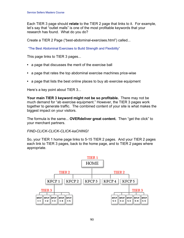Each TIER 3 page should **relate** to the TIER 2 page that links to it. For example, let's say that "outlet malls" is one of the most profitable keywords that your research has found. What do you do?

Create a TIER 2 Page ("best-abdominal-exercises.html") called...

"The Best Abdominal Exercises to Build Strength and Flexibility"

This page links to TIER 3 pages...

- **•** a page that discusses the merit of the exercise ball
- **•** a page that rates the top abdominal exercise machines price-wise
- **•** a page that lists the best online places to buy ab exercise equipment

Here's a key point about TIER 3...

**Your main TIER 3 keyword might not be so profitable.** There may not be much demand for "ab exercise equipment." However, the TIER 3 pages work together to generate traffic. The combined content of your site is what makes the biggest impact on your visitors.

The formula is the same... **OVERdeliver great content.** Then "get the click" to your merchant partners.

*FIND-CLICK-CLICK-CLICK-kaCHING!*

So, your TIER 1 home page links to 5-15 TIER 2 pages. And your TIER 2 pages each link to TIER 3 pages, back to the home page, and to TIER 2 pages where appropriate.

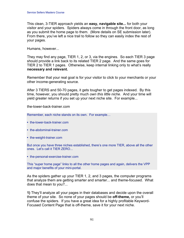This clean, 3-TIER approach yields an **easy, navigable site...** for both your visitor and your spiders. Spiders always come in through the front door, as long as you submit the home page to them. (More details on SE submission later). From there, you've left a nice trail to follow so they can easily index the rest of your pages.

Humans, however...

They may find any page, TIER 1, 2, or 3, via the engines. So each TIER 3 page should provide a link back to its related TIER 2 page. And the same goes for TIER 2 to TIER 1 pages. Otherwise, keep internal linking only to what's really **necessary and relevant.**

Remember that your real goal is for your visitor to click to your merchants or your other income-generating source.

After 3 TIERS and 50-70 pages, it gets tougher to get pages indexed. By this time, however, you should pretty much *own this little niche.* And your time will yield greater returns if you set up your next niche site. For example...

the-lower-back-trainer.com

Remember, each niche stands on its own. For example…

- **•** the-lower-back-trainer.com
- **•** the-abdominal-trainer.com
- **•** the-weight-trainer.com

But once you have three niches established, there's one more TIER, above all the other ones. Let's call it TIER ZERO...

**•** the-personal-exercise-trainer.com

This "super home page" links to all the other home pages and again, delivers the VPP and major benefits of your mini-portal.

As the spiders gather up your TIER 1, 2, and 3 pages, the computer programs that analyze them are getting smarter and smarter... and theme-focused. What does that mean to you?...

**1)** They'll analyze all your pages in their databases and decide upon the overall theme of your site. So none of your pages should be **off-theme,** or you'll confuse the spiders. If you have a great idea for a highly profitable Keyword-Focused Content Page that is off-theme, save it for your next niche.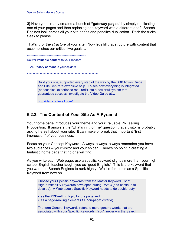**2)** Have you already created a bunch of **"gateway pages"** by simply duplicating one of your pages and then replacing one keyword with a different one? Search Engines look across all your site pages and penalize duplication. Ditch the tricks. Seek to please.

That's it for the *structure* of your site. Now let's fill that structure with content that accomplishes our critical two goals…

\*\*\*\*\*\*\*\*\*\*\*\*\*\*\*\*\*\*\*\*\*\*\*\*\*\*\*\*\*\*\*\*\*\*\*\*\*\*\*\*\*\*\*\*\*\*\*\*\*\*\* Deliver **valuable content** to your readers...

... AND **tasty content** to your spiders.

\*\*\*\*\*\*\*\*\*\*\*\*\*\*\*\*\*\*\*\*\*\*\*\*\*\*\*\*\*\*\*\*\*\*\*\*\*\*\*\*\*\*\*\*\*\*\*\*\*\*\*

Build your site, supported every step of the way by the SBI! Action Guide and Site Central's extensive help. To see how everything is integrated (no technical experience required!) into a powerful system that guarantees success, investigate the Video Guide at…

[http://demo.sitesell.com/](http://demo.sitesell.com/gitbwebaffiliate.html                        )

## **6.2.2. The Content of Your Site As A Pyramid**

Your home page introduces your theme and your Valuable PREselling Proposition. It answers the "what's in it for me" question that a visitor is probably asking herself about your site. It can make or break that important "first impression" of your business.

Focus on your Concept Keyword. Always, always, always remember you have two audiences -- your visitor and your spider. There's no point in creating a fantastic home page that no one will find.

As you write each Web page, use a specific keyword slightly more than your high school English teacher taught you as "good English." This is the keyword that you want the Search Engines to rank highly. We'll refer to this as a Specific Keyword from now on.

Choose your Specific Keywords from the Master Keyword List of High-profitability keywords developed during DAY 3 (and continue to develop). A Web page's Specific Keyword needs to do double-duty...

- **•** as the **PREselling** topic for the page and…
- **•** as a page-ranking element ( SE "on-page" criteria)

The term General Keywords refers to more generic words that are associated with your Specific Keywords. You'll never win the Search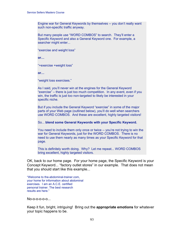Engine war for General Keywords by themselves -- you don't really want such non-specific traffic anyway.

But many people use "WORD COMBOS" to search. They'll enter a Specific Keyword and also a General Keyword one. For example, a searcher might enter...

"exercise and weight loss"

**or…**

"+exercise +weight loss"

**or…**

"weight loss exercises."

As I said, you'll never win at the engines for the General Keyword "exercise" – there is just too much competition. In any event, even if you win, the traffic is just too non-targeted to likely be interested in your specific niche.

But if you include the General Keyword "exercise" in some of the major parts of your Web page (outlined below), you'll do well when searchers use WORD COMBOS. And these are excellent, highly targeted visitors!

#### So... **blend some General Keywords with your Specific Keyword.**

You need to include them only once or twice -- you're not trying to win the war for General Keywords, just for the WORD COMBOS. There is no need to use them nearly as many times as your Specific Keyword for that page.

This is definitely worth doing. Why? Let me repeat... WORD COMBOS bring excellent, highly targeted visitors.

OK, back to our home page. For your home page, the Specific Keyword is your Concept Keyword... "factory outlet stores" in our example. That does not mean that you should start like this example...

"Welcome to the-abdominal-trainer.com, your home for information about abdominal exercises. I am an A.C.E. certified personal trainer. The best research results are here."

No-o-o-o-o-o...

Keep it fun, bright, intriguing! Bring out the **appropriate emotions** for whatever your topic happens to be.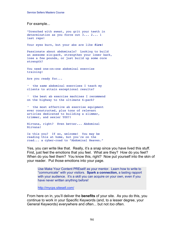For example...

"Drenched with sweat, you grit your teeth in determination as you force out 3... 2... 1 last reps! Your eyes burn, but your abs are like **fire**! Passionate about abdominals? Looking to build an awesome six-pack, strengthen your lower back, lose a few pounds, or just build up some core strength? You need one-on-one abdominal exercise training! Are you ready for... **•** the same abdominal exercises I teach my clients to attain exceptional results? **•** the best ab exercise machines I recommend on the highway to the ultimate 6-pack? **•** the most effective ab exercise equipment ever constructed, plus tons of relevant articles dedicated to building a slimmer, trimmer, and sexier YOU?! Nirvana, right? Even better... Abdominal Nirvana! Is this you? If so, welcome! You may be reading this at home, but you're on the

road... a cyber-road to "Abdominal Heaven."

Yes, you *can* write like that. Really, it's a snap since you have lived this stuff. First, just feel the emotions that you feel. What are they? How do you feel? When do you feel them? You know this, right? Now put yourself into the skin of your reader. Put those emotions into your page.

Use Make Your Content PREsell! as your mentor. Learn how to write to "communicate" with your visitors. **Spark a connection,** a lasting rapport with your audience. It's a skill you can acquire on your own, even if you have never written anything before!

[http://mycps.sitesell.com/](http://mycps.sitesell.com/gitbwebaffiliate.html                       )

From here on in, you'll deliver the **benefits** of your site. As you do this, you continue to work in your Specific Keywords (and, to a lesser degree, your General Keywords) everywhere and often... but not *too* often.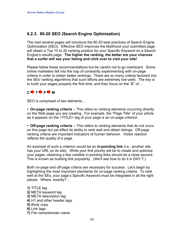## **6.2.3. 80-20 SEO (Search Engine Optimization)**

The next several pages will introduce the 80-20 best practices of Search Engine Optimization (SEO). Effective SEO improves the likelihood your submitted page will obtain a Top 10 to 20 ranking position for your Specific Keyword on a Search Engine's results page. **The higher the ranking, the better are your chances that a surfer will see your listing and click over to visit your site!**

Please follow these recommendations but be careful not to go overboard. Some online marketers fall into the trap of constantly experimenting with on-page criteria in order to obtain better rankings. There are so many criteria factored into the SEs' ranking algorithms that such efforts are extremely low-yield. The key is to build your pages properly the first time, and then focus on the "**C**" of…

## **C ■ T ■ P ■ M**

SEO is comprised of two elements…

**• On-page ranking criteria** -- This refers to ranking elements occurring directly on the Web page you are creating. For example, the "Page Title" of your article as it appears on the <TITLE> tag of your page is an on-page criterion.

**• Off-page ranking criteria** -- This refers to ranking elements that do not occur on this page but yet affect its ability to rank well and obtain listings. Off-page ranking criteria are important indicators of human behavior. Visitor reaction reflects the quality of a page.

An example of such a criterion would be an **in-pointing link** (i.e., another site has your URL on its site). While your first priority will be to create and optimize your pages, obtaining a few credible in-pointing links should be a close second. This is known as building link popularity. (We'll see how to do it in DAY 7.)

Both on-page and off-page criteria are necessary for success. Let's begin by highlighting the most important standards for on-page ranking criteria. To rank well at the SEs, your page's Specific Keyword must be integrated in all the right places. Where, exactly?...

**1)** TITLE tag **2)** META keyword tag **3)** META description tag **4)** H1 and other header tags **5)** Body copy **6)** Link tags **7)** File name/domain name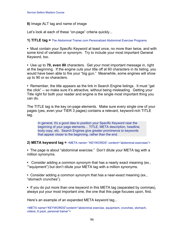#### **8)** Image ALT tag and name of image

Let's look at each of these "on-page" criteria quickly...

**1) TITLE tag =** The Abdominal Trainer.com Personalized Abdominal Exercise Programs

**•** Must contain your Specific Keyword at least once, no more than twice, and with some kind of variation or synonym. Try to include your most important General Keyword, too.

**•** Use up to **70, even 80** characters. Get your most important message in, right at the beginning. If the engine cuts your title off at 60 characters in its listing, you would have been able to fire your "big gun." Meanwhile, some engines will show up to 90 or so characters.

**•** Remember, the title appears as the link in Search Engine listings. It must "get the click" -- so make sure it's attractive, without being misleading. Getting your Title right for both your reader and engine is the single most important thing you can do.

The TITLE tag is the key on-page elements. Make sure every single one of your pages (yes, even your TIER 3 pages) contains a relevant, keyword-rich TITLE tag.

In general, it's a good idea to position your Specific Keyword near the beginning of your page elements… TITLE, META description, headline, body copy, etc. Search Engines give greater prominence to keywords that appear closer to the beginning, rather than the end.

**2) META keyword tag =** <META name= "KEYWORDS" content="abdominal exercises">

**•** The page is about "abdominal exercise." Don't dilute your META tag with a million synonyms.

**•** Consider adding a common synonym that has a nearly exact meaning (ex., ""equipment") but don't dilute your META tag with a million synonyms.

**•** Consider adding a common synonym that has a near-exact meaning (ex., "stomach crunches").

**•** If you do put more than one keyword in this META tag (separated by commas), always put your most important one, the one that this page focuses upon, first.

Here's an example of an expanded META keyword tag...

<META name="KEYWORDS"content="abdominal exercise, equipment, crunches, stomach, videos, 6 pack, personal trainer">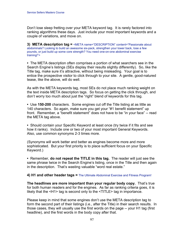Don't lose sleep fretting over your META keyword tag. It is rarely factored into ranking algorithms these days. Just include your most important keywords and a couple of variations, and move on.

**3) META description tag = <META name="DESCRIPTION" content="Passionate about** abdominals? Looking to build an awesome six-pack, strengthen your lower back, lose a few pounds, or just build up some core strength? You need one-on-one abdominal exercise training!">

**•** The META description often comprises a portion of what searchers see in the Search Engine's listings (SEs display their results slightly differently). So, like the Title tag, make sure it's attractive, without being misleading. Your goal is to entice the prospective visitor to click through to your site. A gentle, good-natured tease, like the above, will do well.

As with the META keywords tag, most SEs do not place much ranking weight on the text inside META description tags. So focus on getting the click through, and don't worry too much about just the "right" blend of keywords for this tag.

**•** Use **150-200** characters. Some engines cut off the Title listing at as little as 140 characters. So again, make sure you get your "#1 benefit statement" up front. Remember, a "benefit statement" does not have to be "in your face" -- read the META tag above.

**•** Should contain your Specific Keyword at least once (try twice if it fits and see how it ranks). Include one or two of your most important General Keywords. Also, use common synonyms 2-3 times more.

(Synonyms will work better and better as engines become more and more sophisticated. But your first priority is to place sufficient focus on your Specific Keyword.)

**•** Remember, **do not repeat the TITLE in this tag.** The reader will just see the same phrase twice in the Search Engine's listing, once in the Title and then again in the description. That's wasting valuable "word real estate."

#### **4) H1 and other header tags =** The Ultimate Abdominal Exercise and Fitness Program!

**The headlines are more important than your regular body copy.** That's true for both human readers and for the engines. As far as ranking criteria goes, it is likely that the <H1> tag is second only to the <TITLE> tag in importance.

Please keep in mind that some engines don't use the META description tag to form the second part of their listings (i.e., after the Title) in their search results. In those cases, they will usually use the first words on the page -- your H1 tag (first headline), and the first words in the body copy after that.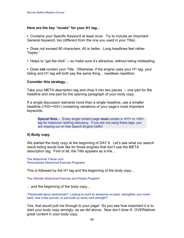#### **Here are the key "musts" for your H1 tag...**

**•** Contains your Specific Keyword at least once. Try to include an important General Keyword, too (different from the one you used in your Title).

**•** Does not exceed 80 characters, 40 is better. Long headlines feel rather "hypey."

**•** Helps to "get the click" -- so make sure it's attractive, without being misleading.

**•** Does **not** contain your Title. Otherwise, if the engine uses your H1 tag, your listing and H1 tag will both say the same thing... needless repetition.

#### **Consider this strategy…**

Take your META description tag and chop it into two pieces -- one part for the headline and one part for the opening paragraph of your body copy.

If a single discussion warrants more than a single headline, use a smaller headline (<H2><H3>) containing variations of your page's most important keywords.

**Special Note…** Every single content page **must** contain a <H1> or <H2> tag for maximum ranking relevancy. If you are not using these tags, you are missing out on free Search Engine traffic!

#### **5) Body copy**

We started the body copy at the beginning of DAY 6. Let's see what our search result listing would look like for those engines that don't use the META description tag. First of all, the Title appears as a link...

The Abdominal Trainer.com Personalized Abdominal Exercise Programs

This is followed by the H1 tag and the beginning of the body copy...

The Ultimate Abdominal Exercise and Fitness Program!

... and the beginning of the body copy...

"Passionate about abdominals? Looking to build an awesome six-pack, strengthen your lower back, lose a few pounds, or just build up some core strength?"

Yes, that would pull me through to your page! So you see how important it is to start your body copy strongly, as we did above. Now don't blow it! OVERdeliver great content in your body copy.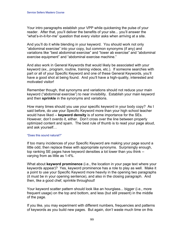Your intro paragraphs establish your VPP while quickening the pulse of your reader. After that, you'll deliver the benefits of your site... you'll answer the "what's-in-it-for-me" question that every visitor asks when arriving at a site.

And you'll do it while blending in your keyword. You should work not only "abdominal exercise" into your copy, but common synonyms (if any) and variations like "best abdominal exercise" and "lower ab exercise" and "abdominal exercise equipment" and "abdominal exercise machine."

And also work in General Keywords that would likely be associated with your keyword (ex., program, routine, training videos, etc.). If someone searches with part or all of your Specific Keyword and one of these General Keywords, you'll have a good shot at being found. And you'll have a high-quality, interested and motivated visitor!

Remember though, that synonyms and variations should not reduce your main keyword ("abdominal exercise") to near invisibility. Establish your main keyword and then **sprinkle** in the synonyms and variations.

How many times should you use your specific keyword in your body copy? As I said before, do use your Specific Keyword more than your high school teacher would have liked -- **keyword density** is of some importance for the SEs. However, don't overdo it, either. Don't cross over the line between properly optimized content and spam. The best rule of thumb is to read your page aloud, and ask yourself…

#### "Does this sound natural?"

If too many incidences of your Specific Keyword are making your page sound a little odd, then replace these with appropriate synonyms. Surprisingly enough, top ranking SE pages have keyword densities a lot lower than you think - varying from as little as 1-4%.

What about **keyword prominence** (i.e., the location in your page text where your keywords appear)? Yes, keyword prominence has a role to play as well. Make it a point to use your Specific Keyword more heavily in the opening two paragraphs (it must be in your opening sentence), and also in the closing paragraph. And then, like a good chef, sprinkle throughout!

Your keyword scatter pattern should look like an hourglass... bigger (i.e., more frequent usage) on the top and bottom, and less (but still present) in the middle of the page.

If you like, you may experiment with different numbers, frequencies and patterns of keywords as you build new pages. But again, don't waste much time on this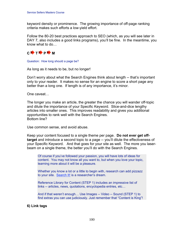keyword density or prominence. The growing importance of off-page ranking criteria makes such efforts a low-yield effort.

Follow the 80-20 best practices approach to SEO (which, as you will see later in DAY 7, also includes a good links programs), you'll be fine. In the meantime, you know what to do…



Question: How long should a page be?

As long as it needs to be, but no longer!

Don't worry about what the Search Engines think about length -- that's important only to your reader. It makes no sense for an engine to score a short page any better than a long one. If length is of any importance, it's minor.

One caveat…

The longer you make an article, the greater the chance you will wander off-topic and dilute the importance of your Specific Keyword. Slice-and-dice lengthy articles into smaller ones. This improves readability and gives you additional opportunities to rank well with the Search Engines. Bottom line?

Use common sense, and avoid abuse.

Keep your content focused to a single theme per page. **Do not ever get offtarget** and introduce a second topic to a page -- you'll dilute the effectiveness of your Specific Keyword. And that goes for your site as well. The more you laserbeam on a single theme, the better you'll do with the Search Engines.

Of course if you've followed your passion, you will have lots of ideas for content. You may not know all you want to, but when you love your topic, learning more about it will be a pleasure.

Whether you know a lot or a little to begin with, research can add pizzazz to your site. [Search It!](http://searchit.sitesell.com/gitbwebaffiliate.html                    ) is a researcher's dream.

Reference Library for Content (STEP 1) includes an impressive list of links -- articles, news, quotations, encyclopedia entries, etc…

And if that weren't enough… Use Images -- Video -- Sound (STEP 1) to find extras you can use judiciously. Just remember that "Content is King"!

#### **6) Link tags**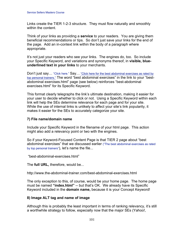Links create the TIER 1-2-3 structure. They must flow naturally and smoothly within the content.

Think of your links as providing a **service** to your readers. You are giving them beneficial recommendations or tips. So don't just save your links for the end of the page. Add an in-context link within the body of a paragraph where appropriate.

It's not just your readers who see your links. The engines do, too. So include your Specific Keyword, and variations and synonyms thereof, in **visible, blueunderlined text in your links** to your merchants.

Don't just say… "Click here." Say… "Click here for the best abdominal exercises as rated by top personal trainers." The word "best abdominal exercises" in the link to your "bestabdominal exercises.html" page (see below) reinforces "best-abdominal exercises.html" for its Specific Keyword.

This format clearly telegraphs the link's ultimate destination, making it easier for your user to decide whether to click or not. Using a Specific Keyword within each link will help the SEs determine relevance for each page and for your site. While the use of internal links is unlikely to affect your site's link popularity, it makes it easier for the SEs to accurately categorize your site.

#### **7) File name/domain name**

Include your Specific Keyword in the filename of your html page. This action might also add a relevancy point or two with the engines.

So if your Keyword-Focused Content Page is that TIER 2 page about "best abdominal exercises" that we discussed earlier ("The best abdominal exercises as rated by top personal trainers"), let's name the file...

"best-abdominal-exercises.html"

The **full URL,** therefore, would be...

http://www.the-abdominal-trainer.com/best-abdominal-exercises.html

The only exception to this, of course, would be your home page. The home page must be named **"index.html"** -- but that's OK. We already have its Specific Keyword included in the **domain name,** because it is your Concept Keyword!

#### **8) Image ALT tag and name of image**

Although this is probably the least important in terms of ranking relevancy, it's still a worthwhile strategy to follow, especially now that the major SEs (Yahoo!,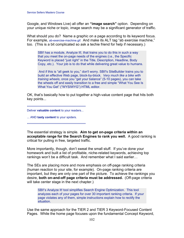Google, and Windows Live) all offer an **"image search"** option. Depending on your unique niche or topic, image search may be a significant generator of traffic.

What should you do? Name a graphic on a page according to its keyword focus. For example, ab-exercise-machine.gif. And make its ALT tag "ab exercise machine," too. (This is a bit complicated so ask a techie friend for help if necessary.)

SBI! has a module, Analyze It!, that trains you to do this in such a way that you meet the on-page needs of the engines (i.e., the Specific Keyword is placed "just right" in the Title, Description, Headline, Body Copy, etc.). Your job is to do that while delivering great value to humans.

 And if this is "all geek to you," don't worry. SBI!'s SiteBuilder trains you to build an effective Web page, block-by-block. *Very much like a bike with training wheels,* once you "get your balance" (5-10 pages), you can take the wheels off and easily transition to a free and simple "What You See Is What You Get" ("WYSIWYG") HTML editor.

OK, that's basically how to put together a high-value content page that hits both key points...

\*\*\*\*\*\*\*\*\*\*\*\*\*\*\*\*\*\*\*\*\*\*\*\*\*\*\*\*\*\*\*\*\*\*\*\*\*\*\*\*\*\*\*\*\*\*\*\*\*\*\* Deliver **valuable content** to your readers...

... AND **tasty content** to your spiders.

\*\*\*\*\*\*\*\*\*\*\*\*\*\*\*\*\*\*\*\*\*\*\*\*\*\*\*\*\*\*\*\*\*\*\*\*\*\*\*\*\*\*\*\*\*\*\*\*\*\*\*

The essential strategy is simple. **Aim to get on-page criteria within an acceptable range for the Search Engines to rank you well.** A good ranking is critical for pulling in free, targeted traffic.

More importantly, though, don't sweat the small stuff. If you've done your homework and built a list of profitable, niche-related keywords, achieving top rankings won't be a difficult task. And remember what I said earlier…

The SEs are placing more and more emphasis on off-page ranking criteria (human reaction to your site, for example). On-page ranking criteria are important, but they are only one part of the picture. To achieve the rankings you desire, **both on-and-off page criteria must be addressed.** (Off-page criteria will take center stage in the next chapter.)

SBI!'s Analyze It! tool simplifies Search Engine Optimization. This tool analyzes each of your pages for over 30 important ranking criteria. If your page violates any of them, simple instructions explain how to rectify the situation.

Use the same approach for the TIER 2 and TIER 3 Keyword-Focused Content Pages. While the home page focuses upon the fundamental Concept Keyword,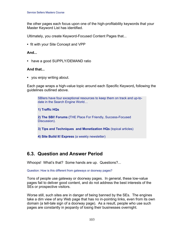the other pages each focus upon one of the high-profitability keywords that your Master Keyword List has identified.

Ultimately, you create Keyword-Focused Content Pages that...

**•** fit with your Site Concept and VPP

#### **And...**

**•** have a good SUPPLY/DEMAND ratio

#### **And that...**

**•** you enjoy writing about.

Each page wraps a high-value topic around each Specific Keyword**,** following the guidelines outlined above.

SBIers have four exceptional resources to keep them on track and up-todate in the Search Engine World…

**1) Traffic HQs**

**2) The SBI! Forums (**THE Place For Friendly, Success-Focused Discussion).

- **3) Tips and Techniques and Monetization HQs** (topical articles)
- **4) Site Build It! Express** (a weekly newsletter)

## **6.3. Question and Answer Period**

Whoops! What's that? Some hands are up. Questions?...

Question: How is this different from gateways or doorway pages?

Tons of people use gateway or doorway pages. In general, these low-value pages fail to deliver good content, and do not address the best interests of the SEs or prospective visitors.

Worse still, such sites are in danger of being banned by the SEs. The engines take a dim view of any Web page that has no in-pointing links, even from its own domain (a tell-tale sign of a doorway page). As a result, people who use such pages are constantly in jeopardy of losing their businesses overnight.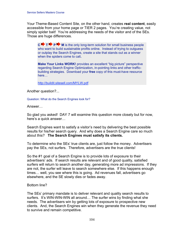Your Theme-Based Content Site, on the other hand, creates **real content**, easily accessible from your home page or TIER 2 pages.You're creating value, not simply spider bait! You're addressing the needs of the visitor and of the SEs. Those are huge differences.

**C P T P P M** is the only long-term solution for small business people who want to build sustainable profits online. Instead of trying to outguess or outplay the Search Engines, create a site that stands out as a winner when the spiders come to call**.**

**Make Your Links WORK!** provides an excellent "big picture" perspective regarding Search Engine Optimization, in-pointing links and other trafficbuilding strategies. Download your **free** copy of this must-have resource here…

<http://buildit.sitesell.com/MYLW.pdf>

Another question?...

Question: What do the Search Engines look for?

Answer…

So glad you asked! DAY 7 will examine this question more closely but for now, here's a quick answer…

Search Engines want to satisfy a visitor's need by delivering the best possible results for his/her search query. And why does a Search Engine care so much about this? **The Search Engines must satisfy its clients.**

To determine who the SEs' true clients are, just follow the money. Advertisers pay the SEs, not surfers. Therefore, advertisers are the true clients!

So the #1 goal of a Search Engine is to provide lots of exposure to their advertisers' ads. If search results are relevant and of good quality, satisfied surfers will return to search another day, generating more ad impressions. If they are not, the surfer will leave to search somewhere else. If this happens enough times… well, you see where this is going. Ad revenues fall, advertisers go elsewhere, and the SE slowly dies or fades away.

#### Bottom line?

The SEs' primary mandate is to deliver relevant and quality search results to surfers. It's WIN-WIN-WIN all around… The surfer wins by finding what she needs. The advertisers win by getting lots of exposure to prospective new clients. And, the Search Engines win when they generate the revenue they need to survive and remain competitive.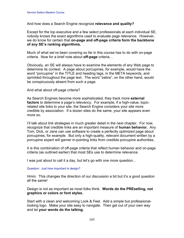#### And how does a Search Engine recognize **relevance and quality?**

Except for the top executive and a few select professionals at each individual SE, nobody knows the exact algorithms used to evaluate page relevance. However, we do know for certain that **on-page and off-page criteria form the backbone of any SE's ranking algorithms.**

Much of what we've been covering so far in this course has to do with on-page criteria. Now for a brief note about **off-page** criteria…

Obviously, an SE will always have to examine the elements of any Web page to determine its context. A page about porcupines, for example, would have the word "porcupine" in the TITLE and heading tags, in the META keywords, and sprinkled throughout the page text. The word "zebra", on the other hand, would be conspicuously absent from such a page.

And what about off-page criteria?

As Search Engines become more sophisticated, they track more **external factors** to determine a page's relevancy. For example, if a high-value, topicrelated site links to your site, the Search Engine considers your site more credible by association. If a dozen sites do the same, your site appears even more so.

I'll talk about link strategies in much greater detail in the next chapter. For now, recognize that credible links are an important measure of **human behavior.** Any Tom, Dick, or Jane can use software to create a perfectly optimized page about porcupines, for example. But only a high-quality, relevant document written by a porcupine expert will garner in-pointing links from credible porcupine authorities.

It is this combination of off-page criteria that reflect human behavior and on-page criteria (as outlined earlier) that most SEs use to determine relevance.

I was just about to call it a day, but let's go with one more question…

#### Question: Just how important is design?

Hmm. This changes the direction of our discussion a bit but it's a good question all the same!

Design is not as important as most folks think. **Words do the PREselling, not graphics or colors or font styles.**

Start with a clean and welcoming Look & Feel. Add a simple but professionallooking logo. Make your site easy to navigate. Then get out of your own way and let **your words do the talking.**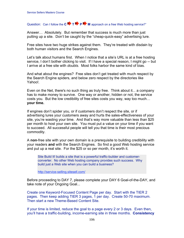Question: Can I follow the  $C \rightarrow T \rightarrow M$  approach on a free Web hosting service?"

Answer… Absolutely. But remember that success is much more than just putting up a site. Don't be caught by the "cheap-quick-easy" advertising lure.

Free sites have two huge strikes against them. They're treated with disdain by both human visitors and the Search Engines.

Let's talk about humans first. When I notice that a site's URL is at a free hosting service, I don't bother clicking to visit. If I have a special reason, I might go -- but I arrive at a free site with *doubts.* Most folks harbor the same kind of bias.

And what about the engines? Free sites don't get treated with much respect by the Search Engine spiders, and below zero respect by the directories like Yahoo!.

Even on the Net, there's no such thing as truly free. Think about it... a company has to make money to survive. One way or another, hidden or not, the service costs you. But the low credibility of free sites costs you way, way too much… **your time.**

If engines don't spider you, or if customers don't respect the site, or if advertising lures your customers away and hurts the sales-effectiveness of your site, you're wasting your time. And that's way more valuable than less than \$25 per month to host your own site. You must put a value on your time if you want to succeed. All successful people will tell you that time is their most precious commodity.

A **non**-free site with your own domain is a prerequisite to building credibility with your readers **and** with the Search Engines. So find a good Web hosting service and put up a real site. For the \$25 or so per month, it's worth it.

Site Build It! builds a site that is a powerful traffic-builder and customerconverter. No other Web hosting company provides such success. Why build just a Web site when you can build a business?

[http://service-selling.sitesell.com/](http://service-selling.sitesell.com/gitbwebaffiliate.html             )

Before proceeding to DAY 7, please complete your DAY 6 Goal-of-the-DAY, and take note of your Ongoing Goal...

Create one Keyword-Focused Content Page per day. Start with the TIER 2 pages. Then keep adding TIER 3 pages, 1 per day. Create 50-70 maximum. Then start a new Theme-Based Content Site.

If your time is limited, reduce the goal to a page every 2 or 3 days. Even then, you'll have a traffic-building, income-earning site in three months. **Consistency**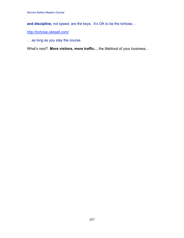**and discipline,** not speed, are the keys. It's OK to be the tortoise…

<http://tortoise.sitesell.com/>

… as long as you stay the course.

What's next? **More visitors, more traffic…** the lifeblood of your business…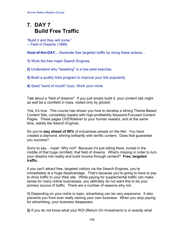# **7. DAY 7 Build Free Traffic**

"Build it and they will come." -- Field of Dreams (1989)

**Goal-of-the-DAY...** Generate free targeted traffic by doing these actions…

**1)** Work the free major Search Engines.

- **2)** Understand why "tweaking" is a low-yield exercise.
- **3)** Build a quality links program to improve your link popularity.
- **4)** Seed "word of mouth" buzz. Work your niche.

Talk about a "field of dreams!" If you just simply build it, your content site might as well be a cornfield in Iowa, visited only by ghosts!

Yes, it's true. This course has shown you how to develop a strong Theme-Based Content Site, completely loaded with high-profitability Keyword-Focused Content Pages. These pages OVERdeliver to your human readers, and at the same time, satisfy the Search Engines.

So you're **way ahead of 99%** of e-business people on the Net. You have created a diamond, shining brilliantly with terrific content. Does that guarantee you success?

Sorry to say... nope! Why not? Because it's just sitting there, buried in the middle of that huge cornfield, that field of dreams. What's missing in order to turn your dreams into reality and build income through content? **Free, targeted traffic.**

If you can't attract free, targeted visitors via the Search Engines, you're immediately at a huge disadvantage. That's because you're going to have to pay to drive traffic to your Web site. While paying for supplemental traffic can make sense for many online businesses, you definitely do not want this to be your primary source of traffic. There are a number of reasons why not…

**1)** Depending on your niche or topic, advertising can be very expensive. It also prevents you from ever really owning your own business. When you stop paying for advertising, your business disappears.

**2)** If you do not know what your ROI (Return On Investment) is or exactly what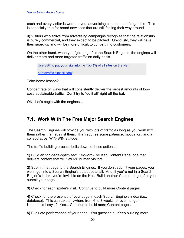each and every visitor is worth to you, advertising can be a bit of a gamble. This is especially true for brand new sites that are still feeling their way around.

**3)** Visitors who arrive from advertising campaigns recognize that the relationship is purely commercial, and they expect to be pitched. Obviously, they will have their guard up and will be more difficult to convert into customers.

On the other hand, when you "get it right" at the Search Engines, the engines will deliver more and more targeted traffic on daily basis.

Use SBI! to put **your** site into the Top **3%** of all sites on the Net…

[http://traffic.sitesell.com](http://traffic.sitesell.com/gitbwebaffiliate.html                     )/

Take-home lesson?

Concentrate on ways that will consistently deliver the largest amounts of lowcost, sustainable traffic. Don't try to "do it all" right off the bat.

OK. Let's begin with the engines…

# **7.1. Work With The Free Major Search Engines**

The Search Engines will provide you with lots of traffic as long as you work *with* them rather than against them. That requires some patience, motivation, and a collaborative, WIN-WIN attitude.

The traffic-building process boils down to these actions...

**1)** Build an "on-page-optimized" Keyword-Focused Content Page, one that delivers content that will "WOW" human visitors.

**2)** Submit that page to the Search Engines. If you don't submit your pages, you won't get into a Search Engine's database at all. And, if you're not in a Search Engine's index, you're invisible on the Net. Build another Content page after you submit your page.

**3)** Check for each spider's visit. Continue to build more Content pages.

**4)** Check for the presence of your page in each Search Engine's index (i.e., database). This can take anywhere from 6 to 8 weeks, or even longer. Uh, should I say it? Yes... Continue to build more Content pages.

**5)** Evaluate performance of your page. You guessed it! Keep building more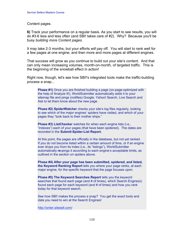## Content pages.

**6)** Track your performance on a regular basis. As you start to see results, you will do #3-6 less and less often (and SBI! takes care of #2). Why? Because you'll be busy *building more Content pages.*

It may take 2-3 months, but your efforts *will* pay off. You will start to rank well for a few pages at one engine, and then more and more pages at different engines.

That success will grow as you continue to build out your site's content. And that can only mean increasing volumes, month-on-month, of targeted traffic. This is the beginning of the snowball effect in action!

Right now, though, let's see how SBI!'s integrated tools make the traffic-building process a snap...

**Phase #1)** Once you are finished building a page (on-page-optimized with the help of Analyze It!), WorldSubmitter automatically adds it to your sitemap file and pings (notifies) Google, Yahoo! Search, Live Search and Ask to let them know about the new page.

**Phase #2) SpiderWatcher** checks your site's log files regularly, looking to see which of the major engines' spiders have visited, and which of your pages they "took back to their mother ships."

**Phase #3) ListChecker** watches for when each engine lists (i.e., "indexes") each of your pages (that have been spidered). The dates are recorded in the **Submit-Spider-List Report.**

At this point, the pages are officially in the database, but not yet ranked. If you do not become listed within a certain amount of time, or if an engine ever drops you from its index (i.e., its "listings"), WorldSubmitter automatically **re-**pings it according to each engine's acceptable limits, as outlined in the section on spiders above.

**Phase #4) After your page has been submitted, spidered, and listed, the Keyword Ranking Report** tells you where your page ranks, at each major engine, for the specific keyword that the page focuses upon.

**Phase #5) The Keyword Searches Report** tells you the keyword searches that found each page (and # of times), which Search Engine(s) found each page for each keyword (and # of times) and how you rank today for that keyword search.

See how SBI! makes the process a snap? You get the exact tools and data you need to win at the Search Engines!

[http://order.sitesell.com/](http://order.sitesell.com/gitbwebaffiliate.html                       )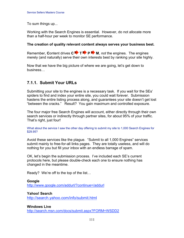To sum things up...

Working with the Search Engines is essential. However, do not allocate more than a half-hour per week to monitor SE performance.

### **The creation of quality relevant content always serves your business best.**

Remember, **Content drives C <b>T** T **P** P **M**, *not* the engines. The engines merely (and naturally) serve their own interests best by ranking your site highly.

Now that we have the big picture of where we are going, let's get down to business…

## **7.1.1. Submit Your URLs**

Submitting your site to the engines is a necessary task. If you wait for the SEs' spiders to find and index your entire site, you could wait forever. Submission hastens the entire listing process along, and guarantees your site doesn't get lost "between the cracks." Result? You gain maximum and controlled exposure.

The four major free Search Engines will account, either directly through their own search services or indirectly through partner sites, for about 95% of your traffic. That's right, just four!

What about the service I saw the other day offering to submit my site to 1,000 Search Engines for \$29.95?

Avoid these services like the plague. "Submit to all 1,000 Engines" services submit mainly to free-for-all links pages. They are totally useless, and will do nothing for you but fill your inbox with an endless barrage of spam.

OK, let's begin the submission process. I've included each SE's current protocols here, but please double-check each one to ensure nothing has changed in the meantime.

Ready? We're off to the top of the list…

## **Google**

<http://www.google.com/addurl/?continue=/addurl>

## **Yahoo! Search**

<http://search.yahoo.com/info/submit.html>

## **Windows Live**

<http://search.msn.com/docs/submit.aspx?FORM=WSDD2>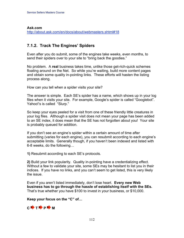#### **Ask.com**

<http://about.ask.com/en/docs/about/webmasters.shtml#18>

## **7.1.2. Track The Engines' Spiders**

Even after you do submit, some of the engines take weeks, even months, to send their spiders over to your site to "bring back the goodies."

No problem. A **real** business takes time, unlike those get-rich-quick schemes floating around on the Net. So while you're waiting, build more content pages and obtain some quality in-pointing links. These efforts will hasten the listing process along.

How can you tell when a spider visits your site?

The answer is simple. Each SE's spider has a name, which shows up in your log files when it visits your site. For example, Google's spider is called "Googlebot". Yahoo!'s is called "Slurp."

So keep your eyes peeled for a visit from one of these friendly little creatures in your log files. Although a spider visit does not mean your page has been added to an SE index, it does mean that the SE has not forgotten about you! Your site is probably queued for addition.

If you don't see an engine's spider within a certain amount of time after submitting (varies for each engine), you can resubmit according to each engine's acceptable limits. Generally though, if you haven't been indexed and listed with 6-8 weeks, do the following…

**1)** Resubmit according to each SE's protocols.

**2)** Build your link popularity. Quality in-pointing have a credentializing effect. Without a few to validate your site, some SEs may be hesitant to list you in their indices. If you have no links, and you can't seem to get listed, this is very likely the issue.

Even if you aren't listed immediately, don't lose heart. **Every new Web business has to go through the hassle of establishing itself with the SEs.** That's true whether you have \$100 to invest in your business, or \$10,000.

**Keep your focus on the "C" of…**

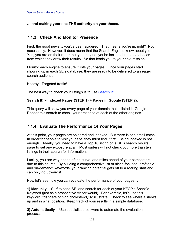## **… and making your site THE authority on your theme.**

## **7.1.3. Check And Monitor Presence**

First, the good news… you've been spidered! That means you're in, right? Not necessarily. However, it does mean that the Search Engines know about you. Yes, you are on their radar, but you may not yet be included in the databases from which they draw their results. So that leads you to your next mission…

Monitor each engine to ensure it lists your pages. Once your pages start showing up in each SE's database, they are ready to be delivered to an eager search audience.

Hooray! Targeted traffic!

The best way to check your listings is to use Search It!...

## **Search It! > Indexed Pages (STEP 1) > Pages in Google (STEP 2).**

This query will show you every page of your domain that is listed in Google. Repeat this search to check your presence at each of the other engines.

## **7.1.4. Evaluate The Performance Of Your Pages**

At this point, your pages are spidered and indexed. But there is one small catch. In order for people to visit your site, they must find it first. Being indexed is not enough. Ideally, you need to have a Top 10 listing on a SE's search results page to get any exposure at all. Most surfers will not check out more than ten listings in their search for information.

Luckily, you are way ahead of the curve, and miles ahead of your competitors due to this course. By building a comprehensive list of niche-focused, profitable and "in-demand" keywords, your ranking potential gets off to a roaring start and can only go upwards!

Now let's see how you can evaluate the performance of your pages…

**1) Manually** -- Surf to each SE, and search for each of your KFCP's Specific Keyword (just as a prospective visitor would). For example, let's use this keyword, "dangers of high cholesterol," to illustrate. Check to see where it shows up and in what position. Keep track of your results in a simple database.

**2) Automatically** -- Use specialized software to automate the evaluation process.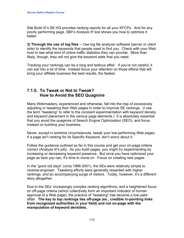Site Build It!'s SE HQ provides ranking reports for all your KFCPs. And for any poorly performing page, SBI!'s Analyze It! tool shows you how to optimize it better.

**3) Through the use of log files** -- Use log file analyzer software (server or client side) to identify the keywords that people used to find you. Check with your Web host to see what kind of online traffic statistics they can provide. More than likely, though, they will not give the keyword stats that you need.

Tracking your rankings can be a long and tedious affair. If you're not careful, it can eat into a lot of time. Instead focus your attention on those efforts that will bring your affiliate business the best results, the fastest.

## **7.1.5. To Tweak or Not to Tweak? How to Avoid the SEO Quagmire**

Many Webmasters, experienced and otherwise, fall into the trap of excessively adjusting or tweaking their Web pages in order to improve SE rankings. (I use the term "tweaking" to refer to the constant experimentation with keyword density and keyword placement in the various page elements.) It is absolutely essential that you avoid the quagmire of Search Engine Optimization (SEO), and focus instead on building your business.

Never, except in extreme circumstances, tweak your low-performing Web pages. If a page isn't ranking for its Specific Keyword, don't worry about it.

Follow the guidance outlined so far in this course and get your on-page criteria correct (Analyze It!'s job). As you build pages, you might try experimenting by increasing or decreasing keyword presence. But once you have optimized your page as best you can, it's time to move on. Focus on creating new pages.

In the "good old days" (circa 1996-2001), the SEs were relatively simple to reverse-engineer. Tweaking efforts were generally rewarded with higher rankings, and an accompanying surge of visitors. Today, however, it's a different story altogether.

Due to the SEs' increasingly complex ranking algorithms, and a heightened focus on off-page criteria (which collectively form an important indicator of human approval of a Web page), the practice of "tweaking" has become a low-yield affair. **The key to top rankings lies off-page (ex., credible in-pointing links from recognized authorities in your field) and not on-page with the manipulation of keyword densities.**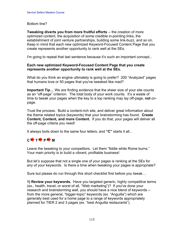## Bottom line?

**Tweaking diverts you from more fruitful efforts** -- the creation of more optimized content, the acquisition of some credible in-pointing links, the establishment of joint venture partnerships, building some link-buzz, and so on. Keep in mind that each new optimized Keyword-Focused Content Page that you create represents another opportunity to rank well at the SEs.

I'm going to repeat that last sentence because it's such an important concept...

## **Each new optimized Keyword-Focused Content Page that you create represents another opportunity to rank well at the SEs.**

What do you think an engine ultimately is going to prefer? 200 "Analyzed" pages that humans love or 50 pages that you've tweaked like mad?

**Important Tip…** We are finding evidence that the sheer size of your site counts as an "off-page" criterion. The total body of your work counts. It's a waste of time to tweak your pages when the key to a top ranking may lay off-page, **not** onpage.

Trust the process. Build a content-rich site, and deliver great information about the theme related topics (keywords) that your brainstorming has found. **Create Content, Content, and more Content.** If you do that, your pages will deliver all the off-page criteria you need!

It always boils down to the same four letters, and **"C"** starts it all...

# **C <sup>+</sup> T + P + M**

Leave the tweaking to your competitors. Let them "fiddle while Rome burns." Your main priority is to build a vibrant, profitable business!

But let's suppose that not a single one of your pages is ranking at the SEs for any of your keywords. Is there a time when tweaking your pages is appropriate?

Sure but please do run through this short checklist first before you tweak…

**1) Review your keywords.** Have you targeted generic, highly competitive terms (ex., health, travel, or worst of all, "Web marketing")? If you've done your research and brainstorming well, you should have a nice blend of keywords - from the more general, "bigger-topic" keywords (ex. "Anguilla") which are generally best used for a home page to a range of keywords appropriately planned for TIER 2 and 3 pages (ex. "best Anguilla restaurants").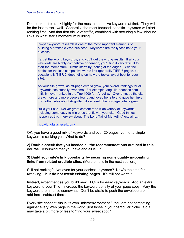Do not expect to rank highly for the most competitive keywords at first. They will be the last to rank well. Generally, the most focused, specific keywords will start ranking first. And that first trickle of traffic, combined with securing a few inbound links, is what starts momentum building.

Proper keyword research is one of the most important elements of building a profitable Web business. Keywords are the lynchpins to your success.

Target the wrong keywords, and you'll get the wrong results. If all your keywords are highly competitive or generic, you'll find it very difficult to start the momentum. Traffic starts by "eating at the edges." Win the battles for the less competitive words first (generally TIER 3 pages, but occasionally TIER 2, depending on how the topics layout best for your site).

As your site grows, as off-page criteria grow, your overall rankings for all keywords rise steadily over time. For example, anguilla-beaches.com initially never ranked in the Top 1000 for "Anguilla." Over time, as the site grew, more and more people found and loved her site and gave her links from other sites about Anguilla. As a result, the off-page criteria grew.

Build your site. Deliver great content for a wide variety of keywords, including some easy-to-win ones that fit with your site. Good things happen as this interview about "The Long Tail of Marketing" explains...

[http://longtail.sitesell.com/](http://longtail.sitesell.com/gitbwebaffiliate.html                    )

OK, you have a good mix of keywords and over 20 pages, yet not a single keyword is ranking yet. What to do?

**2) Double-check that you heeded all the recommendations outlined in this course.** Assuming that you have and all is OK...

**3) Build your site's link popularity by securing some quality in-pointing links from related credible sites.** (More on this in the next section.)

Still not ranking? Not even for your easiest keywords? Now's the time for tweaking**... but do not tweak existing pages.** It's still not worth it.

Instead, experiment as you build new KFCPs for easy keywords. Add an extra keyword to your Title. Increase the keyword density of your page copy. Vary the keyword prominence somewhat. Don't be afraid to push the envelope a bit - add here, subtract there.

Every site concept sits in its own "microenvironment." You are not competing against every Web page in the world, just those in your particular niche. So it may take a bit more or less to "find your sweet spot."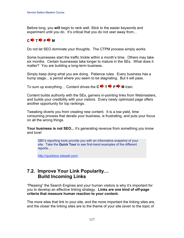Before long, you **will** begin to rank well. Stick to the easier keywords and experiment until you do. It's critical that you do not veer away from...

# **C P T P P M**

Do not let SEO dominate your thoughts. The CTPM process simply works

Some businesses start the traffic trickle within a month's time. Others may take six months. Certain businesses take longer to mature in the SEs. What does it matter? You are building a long-term business.

Simply keep doing what you are doing. Patience rules. Every business has a hump stage... a period where you seem to be stagnating. But it will pass.

To sum up everything... Content drives the  $C \rightarrow T \rightarrow P$  **M** train.

Content builds authority with the SEs, garners in-pointing links from Webmasters, and builds your credibility with your visitors. Every newly optimized page offers another opportunity for top rankings.

Tweaking diverts you from creating new content. It is a low-yield, time consuming process that derails your business, is frustrating, and puts your focus on all the wrong things.

**Your business is not SEO...** it's generating revenue from something you know and love!

SBI!'s reporting tools provide you with an informative snapshot of your site. Take the **Quick Tour** to see first-hand examples of the different reports…

[http://quicktour.sitesell.com/](http://quicktour.sitesell.com/gitbwebaffiliate.html                   )

# **7.2. Improve Your Link Popularity… Build Incoming Links**

"Pleasing" the Search Engines and your human visitors is why it's important for you to develop an effective linking strategy. **Links are one kind of off-page criteria that measure human reaction to your content.**

The more sites that link to your site, and the more important the linking sites are, and the closer the linking sites are to the theme of your site (even to the topic of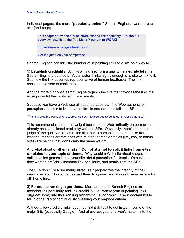individual pages), the more **"popularity points"** Search Engines award to your site (and page).

This chapter provides a brief introduction to link popularity. For the full overview, download the free **Make Your Links WORK!**…

[http://value-exchange.sitesell.com/](http://value-exchanges.sitesell.com/gitbwebaffiliate.html             )

Get the jump on your competition!

Search Engines consider the number of in-pointing links to a site as a way to…

**1) Establish credibility.** An in-pointing link from a quality, related site tells the Search Engine that another Webmaster thinks highly enough of a site to link to it. See how the link becomes representative of human feedback? The link constitutes a vote of confidence.

And the more highly a Search Engine regards the site that provides the link, the more powerful that "vote" is! For example…

Suppose you have a Web site all about porcupines. The Web authority on porcupines decides to link to your site. In essence, this tells the SEs…

"This is a credible porcupine resource. As such, it deserves to be listed in your database."

This recommendation carries weight because the Web authority on porcupines already has established credibility with the SEs. Obviously, there's no better judge of the quality of a porcupine site than a porcupine expert. Links from lesser authorities or from sites with related themes or topics (i.e., zoo, or animal sites) are helpful they don't carry the same weight.

And what about **off-theme** links? **Do not attempt to solicit links from sites unrelated to your topic or theme.** Why would a Web site about Viagara or online casino games link to your site about porcupines? Usually it's because they want to artificially increase link popularity, and manipulate the SEs.

The SEs don't like to be manipulated, as it jeopardizes the integrity of their search results. So you can expect them to ignore, and at worst, penalize you for off-theme links.

**2) Formulate ranking algorithms.** More and more, Search Engines are factoring link popularity and link credibility (i.e., where your in-pointing links originate from) into their ranking algorithms. That's why it's so important not to fall into the trap of continuously tweaking your on-page criteria.

Without a few credible links, you may find it difficult to get listed in some of the major SEs (especially Google). And of course, your site won't make it into the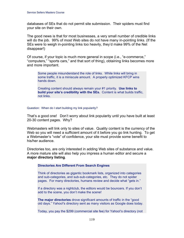databases of SEs that do not permit site submission. Their spiders must find your site on their own.

The good news is that for most businesses, a very small number of credible links will do the job. 99% of most Web sites do not have many in-pointing links. (If the SEs were to weigh in-pointing links too heavily, they'd make 99% of the Net disappear!)

Of course, if your topic is much more general in scope (i.e., "e-commerce," "computers," "sports cars," and that sort of thing), obtaining links becomes more and more important.

Some people misunderstand the role of links. While links will bring in some traffic, it is a miniscule amount. A properly optimized KFCP wins hands down.

Creating content should always remain your #1 priority. **Use links to build your site's credibility with the SEs.** Content is what builds traffic, not links.

Question: When do I start building my link popularity?

That's a good one! Don't worry about link popularity until you have built at least 20-30 content pages. Why?

Webmasters will link only to sites of value. Quality content is the currency of the Web so you will need a sufficient amount of it before you go link hunting. To get a Webmaster's "vote" of confidence, your site must provide some benefit to his/her audience.

Directories too, are only interested in adding Web sites of substance and value. A more mature site will also help you impress a human editor and secure a **major directory listing**.

**Directories Are Different From Search Engines**

Think of directories as gigantic bookmark lists, organized into categories and sub-categories, and sub-sub-categories, etc. They do not spider pages. For many directories, humans review and decide what "gets in."

If a directory was a nightclub, the editors would be bouncers. If you don't add to the scene, you don't make the scene!

**The major directories** drove significant amounts of traffic in the "good old days." Yahoo!'s directory sent as many visitors as Google does today.

Today, you pay the \$299 (commercial site fee) for Yahoo!'s directory (not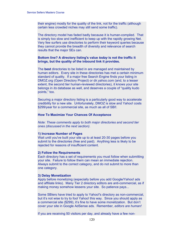their engine) mostly for the quality of the link, not for the traffic (although certain less crowded niches may still send some traffic).

The directory model has faded badly because it is human-compiled. That is simply too slow and inefficient to keep up with the rapidly growing Net. Very few surfers use directories to perform their keyword queries because they cannot provide the breadth of diversity and relevance of search results that the major SEs can.

#### **Bottom line? A directory listing's value** *today* **is not the traffic it brings, but the quality of the inbound link it provides.**

The **best** directories to be listed in are managed and maintained by human editors. Every site in these directories has met a certain minimum standard of quality. If a major free Search Engine finds your listing in DMOZ.org (Open Directory Project) or dir.yahoo.com (and, to a lesser extent, the second tier human-reviewed directories), it knows your site belongs in *its* database as well, and deserves a couple of "quality kudo points," too.

Securing a major directory listing is a particularly good way to accelerate credibility for a new site. Unfortunately, DMOZ is slow and Yahoo! costs \$299/year for a commercial site, as much as all of SBI!.

#### **How To Maximize Your Chances Of Acceptance**

*Note: These comments apply to both major directories and second tier ones (discussed in the next section).*

#### **1) Increase Number of Pages**

Wait until you've built your site up to at least 20-30 pages before you submit to the directories (free and paid). Anything less is likely to be rejected for reasons of insufficient content.

#### **2) Follow the Requirements**

Each directory has a set of requirements you must follow when submitting your site. Failure to follow them can mean an immediate rejection. Always submit to the correct category, and do not submit to more than one category.

#### **3) Delay Monetization**

Apply before monetizing (especially before you add Google/Yahoo! ads and affiliate links). Many Tier 2 directory editors are anti-commercial, as if making money somehow lessens your site. So patience pays...

Some SBIers have tried to apply to Yahoo!'s directory as non-commercial, but it's not wise to try to fool Yahoo! this way. Since you should apply as a commercial site (\$299), it's fine to have some monetization. But don't cover your site in Google AdSense ads. Remember, *editors are human!*

If you are receiving 50 visitors per day, and already have a few non-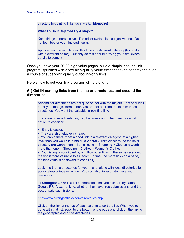directory in-pointing links, don't wait… **Monetize!**

#### **What To Do If Rejected By A Major?**

Keep things in perspective. The editor system is a subjective one. Do not let it bother you. Instead, learn.

Apply again to a month later, this time in a different category (hopefully with a different editor). But only do this after improving your site. (More details to come.)

Once you have your 20-30 high value pages, build a simple inbound link program, sprinkled with a few high-quality value exchanges (be patient) and even a couple of super-high-quality outbound-only links.

Here's how to get your link program rolling along…

#### **#1) Get IN-coming links from the major directories, and second tier directories.**

Second tier directories are not quite on par with the majors. That shouldn't deter you, though. Remember, you are not after the traffic from these directories. You want the valuable in-pointing link.

There are other advantages, too, that make a 2nd tier directory a valid option to consider...

- Entry is easier.
- They are also relatively cheap.

• You can generally get a good link in a relevant category, at a higher level than you would in a major. (Generally, links closer to the top level directory are worth more -- i.e., a listing in Shopping > Clothes is worth more than one in Shopping > Clothes > Women's Clothes.)

• Your listing is not diluted by a million other links in the same category, making it more valuable to a Search Engine (the more links on a page, the less value is bestowed to each link).

Look into theme directories for your niche, along with local directories for your state/province or region. You can also investigate these two resources...

**1) Strongest Links** is a list of directories that you can sort by name, Google PR, Alexa ranking, whether they have free submissions, and the cost of paid submissions.

<http://www.strongestlinks.com/directories.php>

Click on the link at the top of each column to sort the list. When you're done with that list, scroll to the bottom of the page and click on the link to the geographic and niche directories.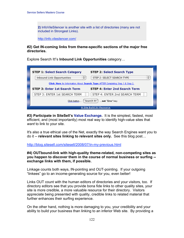**2)** InfoVileSilencer is another site with a list of directories (many are not included in Strongest Links).

<http://info.vilesilencer.com/>

## **#2) Get IN-coming links from theme-specific sections of the major free directories.**

Explore Search It!'s **Inbound Link Opportunities** category…

| <b>STEP 1: Select Search Category</b>                                                     | <b>STEP 2: Select Search Type</b>    |
|-------------------------------------------------------------------------------------------|--------------------------------------|
| ٠<br>Inbound Link Opportunities                                                           | ÷<br>STEP 2: SELECT SEARCH TYPE      |
| <b>Click Here for Information About Search Type AFTER Completing Step 1 &amp; Step 2.</b> |                                      |
| STEP 3: Enter 1st Search Term                                                             | <b>STEP 4: Enter 2nd Search Term</b> |
| STEP 3: ENTER 1st SEARCH TERM                                                             | STEP 4: ENTER 2nd SEARCH TERM        |
| Search It!<br>Click button<br><b>not</b> "Enter" key.                                     |                                      |
| A Site Build It! Resource                                                                 |                                      |

**#3) Participate in SiteSell's Value Exchange.** It is the simplest, fastest, most efficient, and (most importantly) most real way to identify high-value sites that *want* to link to your site.

It's also a true ethical use of the Net, exactly the way Search Engines want you to do it -- **relevant sites linking to relevant sites only.** See this blog post…

<http://blog.sitesell.com/sitesell/2008/07/in-my-previous.html>

**#4) OUTbound-link with high-quality theme-related, non-competing sites as you happen to discover them in the course of normal business or surfing - exchange links with them, if possible.**

Linkage counts both ways, IN-pointing and OUT-pointing. If your outgoing "linkees" go to an income-generating source for you, even better!

Links OUT count with the human editors of directories and your visitors, too. If directory editors see that you provide bona fide links to other quality sites, your site is more credible, a more valuable resource for their directory. Visitors appreciate being presented with quality, credible links to related material that further enhances their surfing experience.

On the other hand, nothing is more damaging to you, your credibility and your ability to build your business than linking to an inferior Web site. By providing a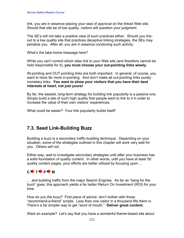link, you are in essence placing your seal of approval on the linked Web site. Should that site be of low quality, visitors will question your judgment.

The SE's will not take a positive view of such practices either. Should you linkout to a low quality site that practices deceptive linking strategies, the SEs may penalize you. After all, you are in essence condoning such activity.

What's the take-home message here?

While you can't control which sites link to your Web site (and therefore cannot be held responsible for it), **you must choose your out-pointing links wisely.**

IN-pointing and OUT-pointing links are both important. In general, of course, you want to have far more in-pointing. And don't make all out-pointing links purely monetary links. **You want to show your visitors that you have their best interests at heart, not just yours!**

By far, the easiest, long-term strategy for building link popularity is a passive one. Simply build a site of such high quality that people want to link to it in order to increase the value of their own visitors' experiences.

What could be easier? Your link popularity builds itself!

# **7.3. Seed Link-Building Buzz**

Building a buzz is a secondary traffic-building technique. Depending on your situation, some of the strategies outlined in this chapter will work very well for you. Others will not.

Either way, wait to investigate secondary strategies until after your business has a solid foundation of quality content. In other words, until you have at least 50 quality content pages, your efforts are better utilized by focusing upon…

## **C <sup>+</sup>T +** P + M

… and building traffic from the major Search Engines. As far as "bang for the buck" goes, this approach yields a far better Return On Investment (ROI) for your time.

How do you the buzz? First piece of advice, don't bother with those "recommend-a-friend" scripts. Less than one visitor in a thousand fills them in. There's a far simpler way to get "word of mouth." **Deliver great content.**

Want an example? Let's say that you have a wonderful theme-based site about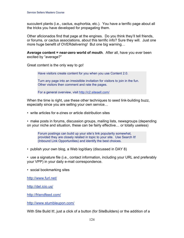succulent plants (i.e., cactus, euphorbia, etc.). You have a terrific page about all the tricks you have developed for propagating them.

Other aficionados find that page at the engines. Do you think they'll tell friends, or forums, or cactus associations, about this terrific info? Sure they will. Just one more huge benefit of OVERdelivering! But one big warning…

**Average content = near-zero world of mouth**. After all, have you ever been excited by "average?"

Great content is the only way to go!

Have visitors create content for you when you use Content 2.0.

Turn any page into an irresistible invitation for visitors to join in the fun. Other visitors then comment and rate the pages.

For a general overview, visit [http://c2.sitesell.com/](http://c2.sitesell.com/gitbwebaffiliate.html                          )

When the time is right, use these other techniques to seed link-building buzz, especially since you are selling your own service…

• write articles for e-zines or article distribution sites

• make posts in forums, discussion groups, mailing lists, newsgroups (depending on your niche and situation, these can be fairly effective… or totally useless)

Forum postings can build up your site's link popularity somewhat, provided they are closely related in topic to your site. Use Search It! (Inbound Link Opportunities) and identify the best choices.

• publish your own blog, a Web log/diary (discussed in DAY 8)

• use a signature file (i.e., contact information, including your URL and preferably your VPP) in your daily e-mail correspondence.

• social bookmarking sites

<http://www.furl.net/>

<http://del.icio.us/>

<http://friendfeed.com/>

<http://www.stumbleupon.com/>

With Site Build It!, just a click of a button (for SiteBuilders) or the addition of a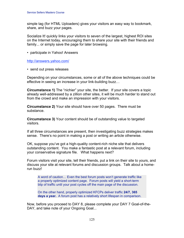simple tag (for HTML Uploaders) gives your visitors an easy way to bookmark, share, and buzz your pages.

Socialize It! quickly links your visitors to seven of the largest, highest ROI sites on the Internet today, encouraging them to share your site with their friends and family... or simply save the page for later browsing.

• participate in Yahoo! Answers

<http://answers.yahoo.com/>

• send out press releases

Depending on your circumstances, some or all of the above techniques could be effective in seeing an increase in your link-building buzz…

**Circumstance 1)** The "nichier" your site, the better. If your site covers a topic already well-addressed by a zillion other sites, it will be much harder to stand out from the crowd and make an impression with your visitors.

**Circumstance 2)** Your site should have over 50 pages. There must be substance.

**Circumstance 3)** Your content should be of outstanding value to targeted visitors.

If all three circumstances are present, then investigating buzz strategies makes sense. There's no point in making a post or writing an article otherwise.

OK, suppose you've got a high-quality content-rich niche site that delivers outstanding content. You make a fantastic post at a relevant forum, including your conservative signature file. What happens next?

Forum visitors visit your site, tell their friends, put a link on their site to yours, and discuss your site at relevant forums and discussion groups. Talk about a homerun buzz!

A word of caution… Even the best forum posts won't generate traffic like a properly optimized content page. Forum posts will yield a short-term blip of traffic until your post cycles off the main page of the discussion.

On the other hand, properly optimized KFCPs deliver traffic **24/7, 365 days a year.** A forum post has a relatively short lifespan in comparison.

Now, before you proceed to DAY 8, please complete your DAY 7 Goal-of-the-DAY, and take note of your Ongoing Goal...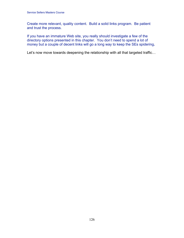Create more relevant, quality content. Build a solid links program. Be patient and trust the process.

If you have an immature Web site, you really should investigate a few of the directory options presented in this chapter. You don't need to spend a lot of money but a couple of decent links will go a long way to keep the SEs spidering**.**

Let's now move towards deepening the relationship with all that targeted traffic...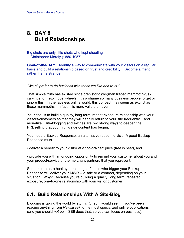# **8. DAY 8 Build Relationships**

Big shots are only little shots who kept shooting -- Christopher Morely (1880-1957)

**Goal-of-the-DAY...** Identify a way to communicate with your visitors on a regular basis and build a relationship based on trust and credibility. Become a friend rather than a stranger.

*"We all prefer to do business with those we like and trust."*

That simple truth has existed since prehistoric (wo)man traded mammoth-tusk carvings for new-model wheels. It's a shame so many business people forget or ignore this. In the faceless online world, this concept may seem as extinct as those mammoths. In fact, it is more valid than ever.

Your goal is to build a quality, long-term, repeat-exposure relationship with your visitors/customers so that they will happily return to your site frequently... and monetize! Site-blogging and e-zines are two strong ways to deepen the PREselling that your high-value content has begun.

You need a Backup Response, an alternative reason to visit. A good Backup Response must...

• deliver a benefit to your visitor at a "no-brainer" price (free is best), and...

• provide you with an ongoing opportunity to remind your customer about you and your product/service or the merchant-partners that you represent.

Sooner or later, a healthy percentage of those who trigger your Backup Response will deliver your MWR -- a sale or a contract, depending on your situation. Why? Because you're building a quality, long term, repeated exposure, one-to-one relationship with your visitor/customer.

## **8.1. Build Relationships With A Site-Blog**

Blogging is taking the world by storm. Or so it would seem if you've been reading anything from *Newsweek* to the most specialized online publications (and you should *not* be -- SBI! does that, so you can focus on business).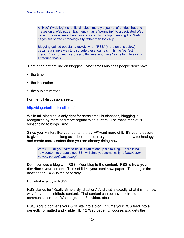A "blog" ("web log") is, at its simplest, merely a journal of entries that one makes on a Web page. Each entry has a "permalink" to a dedicated Web page. The most recent entries are sorted to the top, meaning that Web pages are sorted chronologically rather than topically.

Blogging gained popularity rapidly when "RSS" (more on this below) became a simple way to distribute these journals. It is the "perfect medium" for communicators and thinkers who have "something to say" on a frequent basis.

Here's the bottom line on blogging. Most small business people don't have...

- the time
- the inclination
- the subject matter.

For the full discussion, see…

[http://blogorbuild.sitesell.com/](http://blogorbuild.sitesell.com/gitbwebaffiliate.html                 )

While full**-**blogging is only right for *some* small businesses, blogging is recognized by more and more regular Web surfers. The mass market is subscribing to blogs. And...

Since your visitors like your content, they *will* want more of it. It's your pleasure to give it to them, as long as it does not require you to master a new technology and create more content than you are already doing now.

With SBI!, all you have to do is **click** to set up a site-blog. There is no new content to create since SBI! will simply, automatically *reformat your newest content into a blog!*

Don't confuse a blog with RSS. Your blog **is** the content. RSS is **how you distribute** your content. Think of it like your local newspaper. The blog is the newspaper. RSS is the paperboy.

But what exactly is RSS?...

RSS stands for "Really Simple Syndication." And that is exactly what it is... a new way for you to distribute content. That content can be any electronic communication (i.e., Web pages, mp3s, video, etc.)

RSS/Blog It! converts your SBI! site into a blog. It turns your RSS feed into a perfectly formatted and visible TIER 2 Web page. Of course, *that* gets the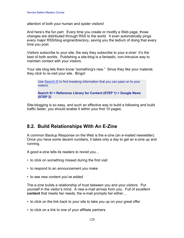attention of both your human and spider visitors!

And here's the fun part. Every time you create or modify a Web page, those changes are distributed through RSS to the world. It even automatically pings every major RSS/blog engine/directory, saving you the tedium of doing that every time you post.

Visitors subscribe to your site, the way they subscribe to your e-zine! It's the best of both worlds. Publishing a site-blog is a fantastic, non-intrusive way to maintain contact with your visitors.

Your site blog lets them know "something's new." Since they like your material, they click to re-visit your site. Bingo!

Use [Search It!](http://searchit.sitesell.com/gitbwebaffiliate.html                    ) to find breaking information that you can pass on to your visitors.

**Search It! > Reference Library for Content (STEP 1) > Google News (STEP 2)**

Site-blogging is so easy, and such an effective way to build a following and build traffic faster, you should enable it within your first 10 pages.

# **8.2. Build Relationships With An E-Zine**

A common Backup Response on the Web is the e-zine (an e-mailed newsletter). Once you have some decent numbers, it takes only a day to get an e-zine up and running.

A good e-zine tells its readers to revisit you…

- to click on something missed during the first visit
- to respond to an announcement you make
- to see new content you've added

The e-zine builds a relationship of trust between you and your visitors. Put yourself in the visitor's mind. A new e-mail arrives from you. Full of excellent **content** that meets her needs, the e-mail prompts her either…

- to click on the link back to your site to take you up on your great offer
- to click on a link to one of your affiliate partners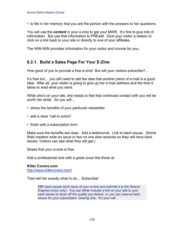• to file in her memory that you are the person with the answers to her questions.

You will use the **content** in your e-zine to get your MWR. It's fine to give lots of information. But use that information to PREsell. Give your visitor a reason to click on a link back to your site or directly to one of your affiliates.

The WIN-WIN provides information for your visitor and income for you**.**

## **8.2.1. Build a Sales Page For Your E-Zine**

How good of you to provide a free e-zine! But will your visitors subscribe?...

It's free but… you still need to sell the idea that another piece of e-mail is a good idea. After all, your visitor is going to give up her e-mail address and the time it takes to read what you send.

While she's on your site, she needs to feel that continued contact with you will be worth her while. So you will...

- stress the benefits of your particular newsletter
- add a clear "call to action"
- finish with a subscription form

Make sure the benefits are clear. Add a testimonial. Link to back issues. (Some Web masters write an issue or two no one else receives so they will have back issues. Visitors can see what they will get.)

Stress that your e-zine is free.

Add a professional look with a great cover like those at

#### **Killer Covers.com**

<http://www.killercovers.com/>

Then tell her exactly what to do… Subscribe!

SBI! back-issues each issue of your e-zine and submits it to the Search Engines (once only). You can either include a link on your site to your back issues to show off the quality you deliver, or you can reserve back issues for your subscribers' viewing only. It's your call.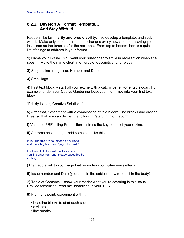## **8.2.2. Develop A Format Template… And Stay With It!**

Readers like **familiarity and predictability**… so develop a template, and stick with it. Make only minor, incremental changes every now and then, saving your last issue as the template for the next one. From top to bottom, here's a quick list of things to address in your format...

**1)** Name your E-zine. You want your subscriber to smile in recollection when she sees it. Make the name short, memorable, descriptive, and relevant.

**2)** Subject, including Issue Number and Date

**3)** Small logo

**4)** First text block -- start off your e-zine with a catchy benefit-oriented slogan. For example, under your Cactus Gardening logo, you might type into your first text block...

"Prickly Issues, Creative Solutions"

**5)** After that, experiment with a combination of text blocks, line breaks and divider lines, so that you can deliver the following "starting information"...

**i)** Valuable PREselling Proposition -- stress the key points of your e-zine.

**ii)** A promo pass-along -- add something like this...

If you like this e-zine, please do a friend and me a big favor and "pay it forward."

If a friend DID forward this to you and if you like what you read, please subscribe by visiting...

(Then add a link to your page that promotes your opt-in newsletter.)

**6)** Issue number and Date (you did it in the subject, now repeat it in the body)

**7)** Table of Contents -- show your reader what you're covering in this issue. Provide tantalizing "read me" headlines in your TOC.

**8)** From this point, experiment with…

- headline blocks to start each section
- dividers
- line breaks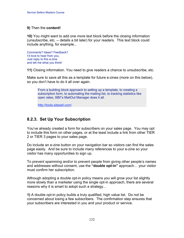## **9)** Then the **content!**

**10)** You might want to add one more text block before the closing information (unsubscribe, etc. -- details a bit later) for your readers. This text block could include anything, for example...

Comments? Ideas? Feedback? I'd love to hear from you. Just reply to this e-zine and tell me what you think!

**11)** Closing information. You need to give readers a chance to unsubscribe, etc.

Make sure to save all this as a template for future e-zines (more on this below), so you don't have to do it all over again.

From a building block approach to setting up a template, to creating a subscription form, to automating the mailing list, to tracking statistics like open rates, SBI!'s MailOut Manager does it all.

[http://tools.sitesell.com/](http://tools.sitesell.com/gitbwebaffiliate.html                       )

## **8.2.3. Set Up Your Subscription**

You've already created a form for subscribers on your sales page. You may opt to include this form on other pages, or at the least include a link from other TIER 2 or TIER 3 pages to your sales page.

Do include an e-zine button on your navigation bar so visitors can find the sales page easily. And be sure to include many references to your e-zine so your visitor has many opportunities to sign up.

To prevent spamming and/or to prevent people from giving other people's names and addresses without consent, use the **"double opt-in"** approach… your visitor must confirm her subscription.

Although adopting a double opt-in policy means you will grow your list slightly more slowly than a marketer using the single opt-in approach, there are several reasons why it is smart to adopt such a strategy...

**1)** A double opt-in policy builds a truly qualified, high value list. Do not be concerned about losing a few subscribers. The confirmation step ensures that your subscribers are interested in you and your product or service.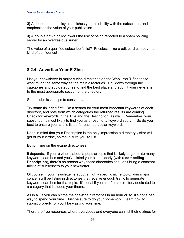**2)** A double opt-in policy establishes your credibility with the subscriber, and emphasizes the value of your publication.

**3)** A double opt-in policy lowers the risk of being reported to a spam policing server by an overzealous surfer.

The value of a qualified subscriber's list? Priceless -- no credit card can buy that kind of confidence!

## **8.2.4. Advertise Your E-Zine**

List your newsletter in major e-zine directories on the Web. You'll find these work much the same way as the main directories. Drill down through the categories and sub-categories to find the best place and submit your newsletter to the most appropriate section of the directory.

Some submission tips to consider…

Try some tinkering first. Do a search for your most important keywords at each directory, and note from which categories the returned results are coming. Check for keywords in the Title and the Description, as well. Remember, your subscriber is most likely to find you as a result of a keyword search. So do your best to ensure your site is listed for each particular keyword.

Keep in mind that your Description is the only impression a directory visitor will get of your e-zine, so make sure you **sell** it!

Bottom line on the e-zine directories?...

It depends. If your e-zine is about a popular topic that is likely to generate many keyword searches and you've listed your site properly (with a **compelling Description**), there's no reason why these directories shouldn't bring a constant trickle of subscribers to your newsletter.

Of course, if your newsletter is about a highly specific niche topic, your major concern will be listing in directories that receive enough traffic to generate keyword searches for that topic. It's ideal if you can find a directory dedicated to a category that includes your theme.

All in all, if you can hit the major e-zine directories in an hour or so, it's not a bad way to spend your time. Just be sure to do your homework. Learn how to submit properly, or you'll be wasting your time.

There are free resources where everybody and everyone can list their e-zines for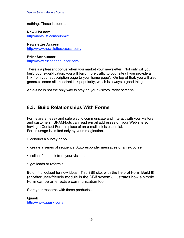nothing. These include...

**New-List.com** <http://new-list.com/submit/>

**Newsletter Access** <http://www.newsletteraccess.com/>

#### **EzineAnnouncer**

<http://www.ezineannouncer.com/>

There's a pleasant bonus when you market your newsletter. Not only will you build your e-publication, you will build more traffic to your site (if you provide a link from your subscription page to your home page). On top of that, you will also generate some all-important link popularity, which is always a good thing!

An e-zine is not the only way to stay on your visitors' radar screens…

# **8.3. Build Relationships With Forms**

Forms are an easy and safe way to communicate and interact with your visitors and customers. SPAM-bots can read e-mail addresses off your Web site so having a Contact Form in place of an e-mail link is essential. Forms usage is limited only by your imagination…

- conduct a survey or poll
- create a series of sequential Autoresponder messages or an e-course
- collect feedback from your visitors
- get leads or referrals

Be on the lookout for new ideas. This SBI! site, with the help of Form Build It! (another user-friendly module in the SBI! system), illustrates how a simple Form can be an effective communication tool.

Start your research with these products…

**Quask** <http://www.quask.com/>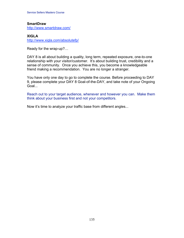### **SmartDraw**

<http://www.smartdraw.com/>

#### **XIGLA**

<http://www.xigla.com/absolutefp/>

Ready for the wrap-up?…

DAY 8 is all about building a quality, long term, repeated exposure, one-to-one relationship with your visitor/customer. It's about building trust, credibility and a sense of community. Once you achieve this, you become a knowledgeable friend making a recommendation. You are no longer a stranger.

You have only one day to go to complete the course. Before proceeding to DAY 9, please complete your DAY 8 Goal-of-the-DAY, and take note of your Ongoing Goal...

Reach out to your target audience, whenever and however you can. Make them think about your business first and not your competitors.

Now it's time to analyze your traffic base from different angles...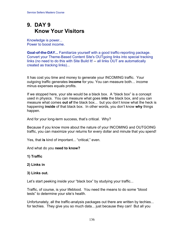# **9. DAY 9 Know Your Visitors**

Knowledge is power... Power to boost income.

**Goal-of-the-DAY...** Familiarize yourself with a good traffic-reporting package. Convert your Theme-Based Content Site's OUTgoing links into special tracking links (no need to do this with Site Build It! -- all links OUT are automatically created as tracking links)...

It has cost you time and money to generate your INCOMING traffic. Your outgoing traffic generates **income** for you. You can measure both… income minus expenses equals profits.

If we stopped here, your site would be a black box. A "black box" is a concept used in physics. You can measure what goes **into** the black box, and you can measure what comes **out of** the black box... but you don't know what the heck is happening **inside** of that black box. In other words, you don't know **why** things happen.

And for your long-term success, that's critical. Why?

Because if you know more about the nature of your INCOMING and OUTGOING traffic, you can maximize your returns for every dollar and minute that you spend!

Yes, that **is** kind of important... "critical," even.

And what do you **need to know?**

**1) Traffic**

**2) Links in**

**3) Links out.**

Let's start peeking inside your "black box" by studying your traffic...

Traffic, of course, is your lifeblood. You need the means to do some "blood tests" to determine your site's health.

Unfortunately, all the traffic-analysis packages out there are written by techies... for techies. They give you so much data... just because they can! But all you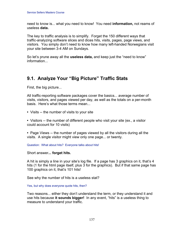need to know is... what you need to know! You need **information,** not reams of useless **data.**

The key to traffic analysis is to simplify. Forget the 150 different ways that traffic-analyzing software slices and dices hits, visits, pages, page views, and visitors. You simply don't need to know how many left-handed Norwegians visit your site between 3-4 AM on Sundays.

So let's prune away all the **useless data,** and keep just the "need to know" information...

# **9.1. Analyze Your "Big Picture" Traffic Stats**

First, the big picture...

All traffic-reporting software packages cover the basics... average number of visits, visitors, and pages viewed per day, as well as the totals on a per-month basis. Here's what those terms mean...

**•** Visits -- the number of visits to your site

**•** Visitors -- the number of different people who visit your site (ex., a visitor could account for 10 visits)

**•** Page Views -- the number of pages viewed by all the visitors during all the visits. A single visitor might view only one page... or twenty.

Question: What about hits? Everyone talks about hits!

Short answer**... forget hits.**

A hit is simply a line in your site's log file. If a page has 3 graphics on it, that's 4 hits (1 for the html page itself, plus 3 for the graphics). But if that same page has 100 graphics on it, that's 101 hits!

See why the number of hits is a useless stat?

Yes, but why does everyone quote hits, then?

Two reasons... either they don't understand the term, or they understand it and use hits because **it sounds bigger!** In any event, "hits" is a useless thing to measure to understand your traffic.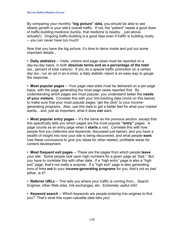By comparing your monthly **"big picture" data,** you should be able to see steady growth in your site's overall traffic. If not, the "patient" needs a good dose of traffic-building medicine (luckily, that medicine is nearby... just above, actually!). Ongoing traffic-building is a good idea even if traffic is building nicely -- you can never have too much!

Now that you have the big picture, it's time to delve inside and pull out some important details...

**• Daily statistics** -- Visits, visitors and page views must be reported on a day-by-day basis, in both **absolute terms and as a percentage of the total** (ex., percent of total visitors). If you do a special traffic promotion on a certain day (ex., run an ad in an e-zine), a daily statistic report is an easy way to gauge the response.

**• Most popular pages** -- Your page view stats must be delivered on a per-page basis, with the page generating the most page views reported first. By understanding which pages are most popular, you understand better the **needs of your visitors.** Correlate this with your link-tracking data (more on this below) to make sure that your most popular pages "get the click" to your incomegenerating programs. Also, use this data to get a better feel for what your market wants... and, just as important, what it does **not** want.

**• Most popular entry pages** -- It's the same as the previous section, except that this specifically tells you which pages are the most popular **"entry"** pages. A page counts as an entry page when it **starts** a visit. Correlate this with how people find you (referrers and keywords, discussed just below), and you have a wealth of insight into how your site is being discovered, and what people **want.** Use these conclusions to give you ideas for other related, profitable areas for content development.

**• Most frequent exit pages** -- These are the pages from which people **leave** your site. Some people look upon high numbers for a given page as "bad." But you have to correlate this with other data. If a "high entry" page is also a "high exit" page, that's not really a surprise. If a "high exit" page is also generating tons of links **out** to your **income-generating programs** for you, that's not so bad either, is it?

**• Referrer URLs** -- This tells you where your traffic is coming from... Search Engines, other Web sites, link exchanges, etc. Extremely useful info!

**• Keyword search** -- Which keywords are people entering into engines to find you? That's what this super-valuable data tells you!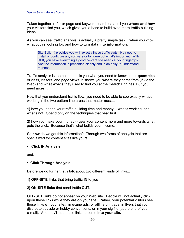Taken together, referrer page and keyword search data tell you **where and how** your visitors find you, which gives you a base to build even more traffic-building ideas!

As you can see, traffic analysis is actually a pretty simple task... when you know what you're looking for, and how to turn **data into information.**

Site Build It! provides you with exactly these traffic stats. No need to install or configure any software or to figure out what's important. With SBI!, you have everything a good content site needs at your fingertips. And the information is presented cleanly and in an easy-to-understand manner.

Traffic analysis is the base. It tells you what you need to know about **quantities** of visits, visitors, and page views. It shows you **where** they come from (if via the Web) and **what words** they used to find you at the Search Engines. But you need more…

Now that you understand traffic flow, you need to be able to see exactly what's working in the two bottom-line areas that matter most...

**1)** how you spend your traffic-building time and money -- what's working, and what's not. Spend only on the techniques that bear fruit.

**2)** how you make your money -- gear your content more and more towards what gets the click. Because that's what builds your income.

So **how** do we get this information? Through two forms of analysis that are specialized for content sites like yours...

## **• Click IN Analysis**

and…

## **• Click Through Analysis**

Before we go further, let's talk about two different kinds of links...

## **1) OFF-SITE links** that bring traffic **IN** to you

## **2) ON-SITE links** that send traffic **OUT.**

OFF-SITE links do not appear on your Web site. People will not actually click upon these links while they are **on** your site. Rather, your potential visitors see these links **off** your site... in e-zine ads, or offline print ads, in flyers that you distribute at trade or hobby conventions, or in your sig file (at the end of your e-mail). And they'll use these links to come **into your site.**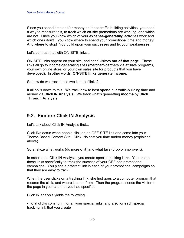Since you spend time and/or money on these traffic-building activities, you need a way to measure this, to track which off-site promotions are working, and which are not. Once you know which of your **expense-generating** activities work and which ones don't... you know where to spend your promotional time and money! And where to stop! You build upon your successes and fix your weaknesses.

Let's contrast that with ON-SITE links...

ON-SITE links appear on your site, and send visitors **out of that page.** These links all go to income-generating sites (merchant-partners via affiliate programs, your own online store, or your own sales site for products that you have developed). In other words, **ON-SITE links generate income.**

So how do we track these two kinds of links?

It all boils down to this. We track how to best **spend** our traffic-building time and money via **Click IN Analysis.** We track what's generating **income** by **Click Through Analysis.**

# **9.2. Explore Click IN Analysis**

Let's talk about Click IN Analysis first...

Click INs occur when people click on an OFF-SITE link and come into your Theme-Based Content Site. Click INs cost you time and/or money (explained above).

So analyze what works (do more of it) and what fails (drop or improve it).

In order to do Click IN Analysis, you create special tracking links. You create these links specifically to track the success of your OFF-site promotional campaigns. You place a different link in each of your promotional campaigns so that they are easy to track.

When the user clicks on a tracking link, she first goes to a computer program that records the click, and where it came from. Then the program sends the visitor to the page in your site that you had specified.

Click IN analysis yields the following...

**•** total clicks coming in, for all your special links, and also for each special tracking link that you create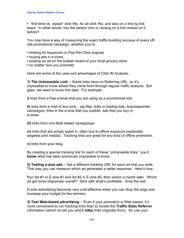**•** "first-time vs. repeat" click INs, for all click INs, and also on a link-by-link basis. In other words, has the person who is clicking on a link clicked on it before?

You now have a way of measuring the exact traffic-building success of every offsite promotional campaign, whether you're...

- **•** bidding for keywords on Pay-Per-Click engines
- buying ads in e-zines
- posting an ad on the bulletin board of your local grocery store
- no matter how you promote!

Here are some of the uses and advantages of Click IN Analysis...

**1) The Untraceable Link** -- Some links have no Referring URL, so it's impossible to know where they come from through regular traffic analysis. But geez, we need to know this data. For example...

**i)** links from a free e-book that you are using as a promotional tool.

**ii)** links from e-mail of any kind... sig files, links in mailing lists, Autoresponder campaigns, links in the e-zine that you publish, ads that you buy in e-zines.

**iii)** links from non-Web based newsgroups

**iv)** links that are simply typed in, often due to offline exposure (especially targeted print media). Tracking links are great for any kind of offline promotion.

**v)** links from your blog.

By creating a special tracking link for each of these "untraceable links," you'll **know** what has been previously impossible to know.

**2) Testing e-zine ads** -- Set a different tracking URL for each ad that you write. That way you can measure which ad generates a better response. Here's how...

Run Ad #1 in E-zine #1 and Ad #2 in E-zine #2, then switch a month later. Which ad got more responses overall? Stick with what's profitable. Drop the rest.

E-zine advertising becomes very cost-effective when you can drop the dogs and increase your budget for the winners.

**3) Test Web-based advertising** -- Even if your promotion is Web-based, it's more convenient to run tracking links than to review the **Traffic Stats Referrer** information (which do tell you which **sites** links originate from). So use your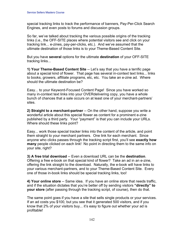special tracking links to track the performance of banners, Pay-Per-Click Search Engines, and even posts to forums and discussion groups.

So far, we've talked about tracking the various possible origins of the tracking links (i.e., the OFF-SITE places where potential visitors see and click on your tracking link... e-zines, pay-per-clicks, etc.). And we've assumed that the ultimate destination of those links is to your Theme-Based Content Site.

But you have **several** options for the ultimate **destination** of your OFF-SITE tracking links...

**1) Your Theme-Based Content Site** -- Let's say that you have a terrific page about a special kind of flower. That page has several in-context text links... links to books, growers, affiliate programs, etc, etc. You take an e-zine ad. Where should the ultimate destination be?

Easy... to your Keyword-Focused Content Page! Since you have worked so many in-context text links into your OVERdelivering copy, you have a whole bunch of chances that a sale occurs on at least one of your merchant-partners' sites.

**2) Straight to a merchant-partner** -- On the other hand, suppose you write a wonderful article about this special flower as content for a prominent e-zine published by a third party. Your "payment" is that you can include your URLs. Where should these links point?

Easy... work those special tracker links into the content of the article, and point them straight to your merchant partners. One link for each merchant. Since anyone who clicks passes through the tracking script first, you'll see **exactly how many** people clicked on each link! No point in directing them to the same info on your site, right?

**3) A free trial download** -- Even a download URL can be the **destination**. Offering a free e-book on that special kind of flower? Take an ad in an e-zine, offering the link straight to the download. Naturally, the e-book will have links to your various merchant-partners, and to your Theme-Based Content Site. Every one of those in-book links should be special tracking links, too!

**4) Your online store** -- Same idea. If you have an online store that needs traffic, and if the situation dictates that you're better off by sending visitors **"directly" to your store** (after passing through the tracking script, of course), then do that.

The same point goes if you have a site that sells single products or your services. If an ad costs you \$100, but you see that it generated 500 visitors, and if you know that 2% of your visitors buy... it's easy to figure out whether your ad is profitable!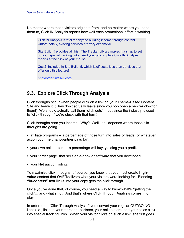No matter where these visitors originate from, and no matter where you send them to, Click IN Analysis reports how well each promotional effort is working.

Click IN Analysis is vital for anyone building income through content. Unfortunately, existing services are very expensive.

Site Build It! provides all this. The Tracker Library makes it a snap to set up your special tracking links. And you get complete Click IN Analysis reports at the click of your mouse!

Cost? Included in Site Build It!, which itself costs less than services that offer only this feature!

[http://order.sitesell.com/](http://order.sitesell.com/gitbwebaffiliate.html                       )

# **9.3. Explore Click Through Analysis**

Click throughs occur when people click on a link on your Theme-Based Content Site and leave it. (They don't actually leave since you pop open a new window for them!) We should actually call them "click outs" -- but since the industry is used to "click through," we're stuck with that term!

Click throughs earn you income. Why? Well, it all depends where those click throughs are going...

**•** affiliate programs -- a percentage of those turn into sales or leads (or whatever action your merchant-partner pays for).

- your own online store -- a percentage will buy, yielding you a profit.
- your "order page" that sells an e-book or software that you developed.
- your Net auction listing.

To maximize click throughs, of course, you know that you must create **highvalue** content that OVERdelivers what your visitors were looking for. Blending **"in-context" text links** into your copy gets the click through.

Once you've done that, of course, you need a way to know what's "getting the click"... and what's not! And that's where Click Through Analysis comes into play.

In order to do "Click Through Analysis," you convert your regular OUTGOING links (i.e., links to your merchant-partners, your online store, and your sales site) into special tracking links. When your visitor clicks on such a link, she first goes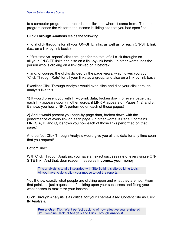to a computer program that records the click and where it came from. Then the program sends the visitor to the income-building site that you had specified.

**Click Through Analysis** yields the following...

**•** total click throughs for all your ON-SITE links, as well as for each ON-SITE link (i.e., on a link-by-link basis)

**•** "first-time vs. repeat" click throughs for the total of all click throughs on all your ON-SITE links and also on a link-by-link basis. In other words, has the person who is clicking on a link clicked on it before?

• and, of course, the clicks divided by the page views, which gives you your "Click Through Rate" for all your links as a group, and also on a link-by-link basis.

Excellent Click Through Analysis would even slice and dice your click through analysis like this...

**1)** It would present you with link-by-link data, broken down for every page that each link appears upon (in other words, if LINK A appears on Pages 1, 2, and 3, it shows you how LINK A performed on each of those pages)

**2)** And it would present you page-by-page data, broken down with the performance of every link on each page. (In other words, if Page 1 contains LINKS A, B, and C, it shows you how each of those links performed on that page.)

And perfect Click Through Analysis would give you all this data for any time span that you request!

Bottom line?

With Click Through Analysis, you have an exact success rate of every single ON-SITE link. And that, dear reader, measures **income... your** money.

This analysis is totally integrated with Site Build It!'s site-building tools. All you have to do is click your mouse to get the reports.

You'll know exactly what people are clicking upon and what they are not. From that point, it's just a question of building upon your successes and fixing your weaknesses to maximize your income.

Click Through Analysis is as critical for your Theme-Based Content Site as Click IN Analysis.

**Power-User Tip:** Want perfect tracking of how effective your e-zine ad is? Combine Click IN Analysis and Click Through Analysis!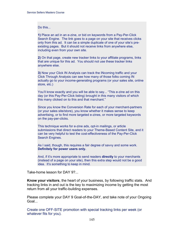Do this...

**1)** Place an ad in an e-zine, or bid on keywords from a Pay-Per-Click Search Engine. The link goes to a page on your site that receives clicks only from this ad. It can be a simple duplicate of one of your site's preexisting pages. But it should not receive links from anywhere else, including even from your own site.

**2)** On that page, create new tracker links to your affiliate programs, links that are unique for this ad. You should not use these tracker links anywhere else.

**3)** Now your Click IN Analysis can track the INcoming traffic and your Click Through Analysis can see how many of those folks coming IN actually go to your income-generating programs (or your sales site, online store, etc.)

You'll know exactly and you will be able to say... "This e-zine ad on this day (or this Pay-Per-Click listing) brought in this many visitors of which this many clicked on to this and that merchant."

Since you know the Conversion Rate for each of your merchant-partners (or your sales site/store), you know whether it makes sense to keep advertising, or to find more targeted e-zines, or more targeted keywords on the pay-per-clicks.

This technique works for e-zine ads, opt-in mailings, or article submissions that direct readers to your Theme-Based Content Site, and it can be very helpful to test the cost-effectiveness of the Pay-Per-Click Search Engines.

As I said, though, this requires a fair degree of savvy and some work. **Definitely for power users only.**

And, if it's more appropriate to send readers **directly** to your merchants (instead of a page on your site), then this extra step would not be a good idea. It's something to keep in mind.

Take-home lesson for DAY 9?...

**Know your visitors**, the heart of your business, by following traffic stats. And tracking links in and out is the key to maximizing income by getting the most return from all your traffic-building expenses.

Please complete your DAY 9 Goal-of-the-DAY, and take note of your Ongoing Goal...

Create one OFF-SITE promotion with special tracking links per week (or whatever fits for you).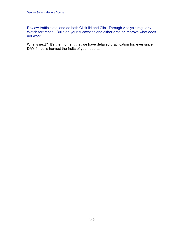Review traffic stats, and do both Click IN and Click Through Analysis regularly. Watch for trends. Build on your successes and either drop or improve what does not work.

What's next? It's the moment that we have delayed gratification for, ever since DAY 4. Let's harvest the fruits of your labor...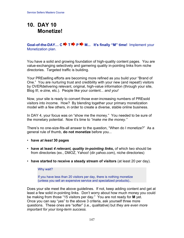# **10. DAY 10 Monetize!**

**Goal-of-the-DAY... C <b>P** T **P** P **M...** It's finally "M" time! Implement your Monetization plan.

You have a solid and growing foundation of high-quality content pages. You are value-exchanging selectively and garnering quality in-pointing links from niche directories. Targeted traffic is building.

Your PREselling efforts are becoming more refined as you build your "Brand of One." You are nurturing trust and credibility with your new (and repeat!) visitors by OVERdelivering relevant, original, high-value information (through your site, Blog It!, e-zine, etc.). People like your content... *and you!*

Now, your site is ready to convert those ever-increasing numbers of PREsold visitors into income. How? By blending together your primary monetization model with a few others, in order to create a diverse, stable online business.

In DAY 4, your focus was on "show me the money." You needed to be sure of the monetary potential. Now it's time to *"make me the money."*

There's no one-size-fits-all answer to the question, "When do I monetize?" As a general rule of thumb, **do not monetize** before you...

- **have** *at least* **30 pages**
- **have at least** *4 relevant, quality in-pointing links***,** of which two should be from directories (ex., DMOZ, Yahoo! (dir.yahoo.com), niche directories)
- **have started to receive a steady stream of visitors** (at least 20 per day).

#### Why wait?

If you have less than 20 visitors per day, there is nothing monetize (unless you sell an expensive service and specialized products)..

Does your site meet the above guidelines. If not, keep adding content and get at least a few solid in-pointing links. Don't worry about how much money you could be making from those "15 visitors per day." You are not ready for **M** yet. Once you can say "yes" to the above 3 criteria, ask yourself three more questions. These ones are "softer" (i.e., qualitative) but *they are even more important for your long-term success.*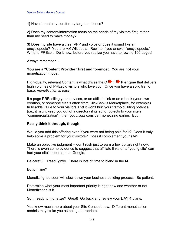**1)** Have I created value for my target audience?

**2)** Does my content/information focus on the needs of my visitors *first,* rather than my need to make money?

**3)** Does my site have a clear VPP and voice or does it sound like an encyclopedia? You are *not* Wikipedia. Rewrite if you answer "encyclopedia." Write to PREsell. Do it now, before you realize you have to rewrite 100 pages!

Always remember...

**You are a "Content Provider" first and foremost**. You are **not** your monetization model.

High-quality, relevant Content is what drives the **C P T P** engine that delivers high volumes of PREsold visitors who love you. Once you have a solid traffic base, *monetization is easy.*

If a page PREselling your services, or an affiliate link or an e-book (your own creation, or someone else's effort from ClickBank's Marketplace, for example) truly adds value to your visitors **and** it won't hurt your traffic-building potential (i.e., it might keep you out of a directory if its editor objects to your site's "commercialization"), then you *might* consider monetizing earlier. But...

### **Really think it through, though**.

Would you add this offering even if you were not being paid for it? Does it truly help solve a problem for your visitors? Does it complement your site?

Make an objective judgment -- don't rush just to earn a few dollars right now. There is even some evidence to suggest that affiliate links on a "young site" can hurt your site's reputation at Google.

Be careful. Tread lightly. There is lots of time to blend in the **M**.

Bottom line?

Monetizing too soon will slow down your business-building process. Be patient.

Determine what your most important priority is right now and whether or not Monetization is it.

So... ready to monetize? Great! Go back and review your DAY 4 plans.

You know much more about your Site Concept now. Different monetization models may strike you as being appropriate.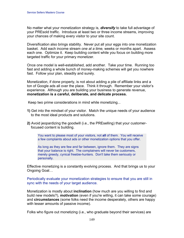No matter what your monetization strategy is, *diversify* to take full advantage of your PREsold traffic. Introduce at least two or three income streams, improving your chances of making every visitor to your site count.

Diversification also brings stability. Never put all your eggs into one monetization basket. Add each income stream *one at a time,* weeks or months apart. Assess each one. Optimize it. Keep building content while you focus on building more targeted traffic for your primary monetizer.

Once one model is well-established, add another. Take your time. Running too fast and adding a whole bunch of money-making schemes will get you nowhere fast. Follow your plan, steadily and surely.

Monetization, if done properly, is not about adding a pile of affiliate links and a ton of Google ads all over the place. Think it through. Remember your visitor's experience. Although you are building your business to generate revenue, **monetization is a careful, deliberate, and delicate process.**

Keep two prime considerations in mind while monetizing...

- **1)** Get into the mindset of your visitor. Match the unique needs of your audience to the most ideal products and solutions.
- **2)** Avoid jeopardizing the goodwill (i.e., the PREselling) that your customerfocused content is building.

You want to please most of your visitors, not **all** of them. You will receive a few complaints about ads or other monetization options that you offer.

As long as they are few and far between, ignore them. They are signs that your balance is right. The complainers will never be customers, merely greedy, cynical freebie-hunters. Don't take them seriously or personally.

Effective monetizing is a constantly evolving process. And that brings us to your Ongoing Goal…

Periodically evaluate your monetization strategies to ensure that you are still in sync with the needs of your target audience.

Monetization is mostly about **inclination** (how much are you willing to find and build new models?), **motivation** (even if you're willing, it can take some courage) and **circumstances** (some folks need the income desperately, others are happy with lesser amounts of passive income).

Folks who figure out monetizing (i.e., who graduate beyond their services) are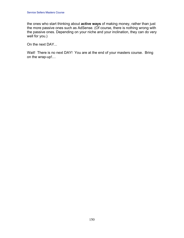the ones who start thinking about **active ways** of making money, rather than just the more passive ones such as AdSense. (Of course, there is nothing wrong with the passive ones. Depending on your niche and your inclination, they can do very well for you.)

On the next DAY...

Wait! There is no next DAY! You are at the end of your masters course. Bring on the wrap-up!…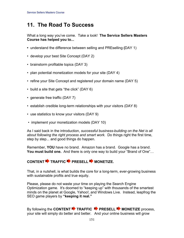# **11. The Road To Success**

What a long way you've come. Take a look! **The Service Sellers Masters Course has helped you to...**

- understand the difference between selling and PREselling **(**DAY 1)
- develop your best Site Concept (DAY 2)
- brainstorm profitable topics (DAY 3)
- plan potential monetization models for your site (DAY 4)
- refine your Site Concept and registered your domain name (DAY 5)
- build a site that gets "the click" (DAY 6)
- generate free traffic (DAY 7)
- establish credible long-term relationships with your visitors (DAY 8)
- use statistics to know your visitors (DAY 9)
- implement your monetization models (DAY 10)

As I said back in the introduction, *successful business-building on the Net is all about following the right process and smart work.* Do things right the first time, step by step... and good things do happen.

Remember, **YOU** have no brand. Amazon has a brand. Google has a brand. **You must build one.** And there is only one way to build your "Brand of One"…

## **CONTENT TRAFFIC PRESELL MONETIZE.**

That, in a nutshell, is what builds the core for a long-term, ever-growing business with sustainable profits and true equity.

Please, please do not waste your time on playing the Search Engine Optimization game. It's doomed to "keeping up" with thousands of the smartest minds on the planet at Google, Yahoo!, and Windows Live. Instead, leapfrog the SEO game players by **"keeping it real."**

By following the **CONTENT TRAFFIC****PRESELL MONETIZE** process, your site will simply do better and better. And your online business will grow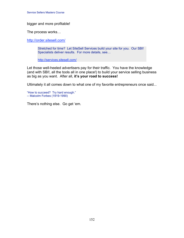bigger and more profitable!

The process works…

[http://order.sitesell.com/](http://order.sitesell.com/gitbwebaffiliate.html                       )

Stretched for time? Let SiteSell Services build your site for you. Our SBI! Specialists deliver results. For more details, see…

[http://services.sitesell.com/](http://services.sitesell.com/gitbwebaffiliate.html                    )

Let those well-heeled advertisers pay for their traffic. You have the knowledge (and with SBI!, all the tools all in one place!) to build your service selling business as big as you want. After all, **it's your road to success!**

Ultimately it all comes down to what one of my favorite entrepreneurs once said...

"How to succeed? Try hard enough." -- Malcolm Forbes (1919-1990)

There's nothing else. Go get 'em.